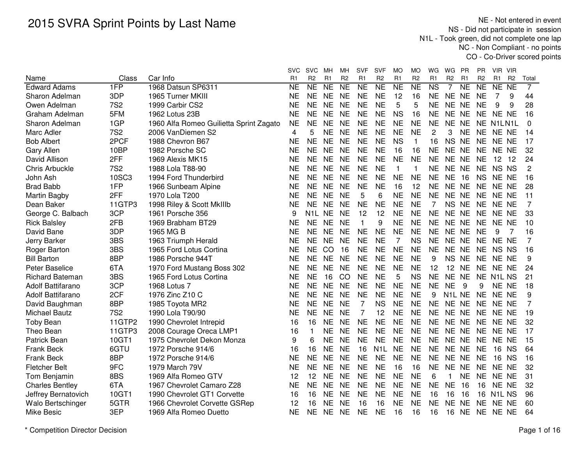NE - Not entered in event NS - Did not participate in session N1L - Took green, did not complete one lap NC - Non Compliant - no pointsCO - Co-Driver scored points

|                        |            |                                         | SVC       | <b>SVC</b>       | MН             | MН             | SVF          | <b>SVF</b>       | MO             | MO             | WG             | WG                              | <b>PR</b>      | <b>PR</b>      | VIR VIR            |                |                |
|------------------------|------------|-----------------------------------------|-----------|------------------|----------------|----------------|--------------|------------------|----------------|----------------|----------------|---------------------------------|----------------|----------------|--------------------|----------------|----------------|
| Name                   | Class      | Car Info                                | R1        | R <sub>2</sub>   | R <sub>1</sub> | R <sub>2</sub> | R1           | R <sub>2</sub>   | R <sub>1</sub> | R <sub>2</sub> | R1             | R <sub>2</sub>                  | R <sub>1</sub> | R <sub>2</sub> | R <sub>1</sub>     | R <sub>2</sub> | Total          |
| <b>Edward Adams</b>    | 1FP        | 1968 Datsun SP6311                      | NE        | <b>NE</b>        | <b>NE</b>      | <b>NE</b>      | <b>NE</b>    | <b>NE</b>        | <b>NE</b>      | <b>NE</b>      | <b>NS</b>      | 7                               | <b>NE</b>      | <b>NE</b>      | NE NE              |                | $\overline{7}$ |
| Sharon Adelman         | 3DP        | 1965 Turner MKIII                       | <b>NE</b> | <b>NE</b>        | <b>NE</b>      | <b>NE</b>      | <b>NE</b>    | <b>NE</b>        | 12             | 16             | <b>NE</b>      | NE NE                           |                | <b>NE</b>      | 7                  | 9              | 44             |
| Owen Adelman           | <b>7S2</b> | 1999 Carbir CS2                         | <b>NE</b> | <b>NE</b>        | <b>NE</b>      | <b>NE</b>      | <b>NE</b>    | <b>NE</b>        | 5              | 5              | <b>NE</b>      | NE NE                           |                | <b>NE</b>      | 9                  | 9              | 28             |
| Graham Adelman         | 5FM        | 1962 Lotus 23B                          | <b>NE</b> | <b>NE</b>        | <b>NE</b>      | <b>NE</b>      | <b>NE</b>    | <b>NE</b>        | <b>NS</b>      | 16             | <b>NE</b>      | <b>NE</b>                       | <b>NE</b>      | <b>NE</b>      | NE NE              |                | 16             |
| Sharon Adelman         | 1GP        | 1960 Alfa Romeo Guilietta Sprint Zagato | <b>NE</b> | <b>NE</b>        | <b>NE</b>      | <b>NE</b>      | <b>NE</b>    | <b>NE</b>        | <b>NE</b>      | <b>NE</b>      | <b>NE</b>      | <b>NE</b>                       | <b>NE</b>      |                | NE N1LN1L          |                | 0              |
| Marc Adler             | <b>7S2</b> | 2006 VanDiemen S2                       | 4         | 5                | <b>NE</b>      | <b>NE</b>      | <b>NE</b>    | <b>NE</b>        | <b>NE</b>      | <b>NE</b>      | $\overline{c}$ | 3                               | <b>NE</b>      | <b>NE</b>      | NE NE              |                | 14             |
| <b>Bob Albert</b>      | 2PCF       | 1988 Chevron B67                        | <b>NE</b> | <b>NE</b>        | <b>NE</b>      | <b>NE</b>      | <b>NE</b>    | <b>NE</b>        | <b>NS</b>      | $\mathbf{1}$   | 16             | NS NE                           |                | <b>NE</b>      | NE NE              |                | 17             |
| <b>Gary Allen</b>      | 10BP       | 1982 Porsche SC                         | NE        | <b>NE</b>        | <b>NE</b>      | <b>NE</b>      | <b>NE</b>    | <b>NE</b>        | 16             | 16             | <b>NE</b>      | NE NE                           |                |                | NE NE NE           |                | 32             |
| David Allison          | 2FF        | 1969 Alexis MK15                        | NΕ        | <b>NE</b>        | <b>NE</b>      | <b>NE</b>      | <b>NE</b>    | NE               | <b>NE</b>      | <b>NE</b>      | NE             | NE NE                           |                | NE             | 12 12              |                | 24             |
| <b>Chris Arbuckle</b>  | <b>7S2</b> | 1988 Lola T88-90                        | <b>NE</b> | <b>NE</b>        | <b>NE</b>      | <b>NE</b>      | <b>NE</b>    | <b>NE</b>        | $\mathbf{1}$   | $\mathbf{1}$   | <b>NE</b>      | NE NE                           |                | <b>NE</b>      | NS NS              |                | $\overline{2}$ |
| John Ash               | 10SC3      | 1994 Ford Thunderbird                   | <b>NE</b> | <b>NE</b>        | <b>NE</b>      | <b>NE</b>      | <b>NE</b>    | <b>NE</b>        | <b>NE</b>      | <b>NE</b>      | <b>NE</b>      | <b>NE</b>                       | 16             | <b>NS</b>      | NE NE              |                | 16             |
| <b>Brad Babb</b>       | 1FP        | 1966 Sunbeam Alpine                     | <b>NE</b> | <b>NE</b>        | <b>NE</b>      | <b>NE</b>      | <b>NE</b>    | <b>NE</b>        | 16             | 12             | <b>NE</b>      | NE NE                           |                | <b>NE</b>      | NE NE              |                | 28             |
| Martin Bagby           | 2FF        | 1970 Lola T200                          | <b>NE</b> | <b>NE</b>        | <b>NE</b>      | <b>NE</b>      | 5            | 6                | <b>NE</b>      | <b>NE</b>      | <b>NE</b>      | NE NE                           |                | <b>NE</b>      | NE NE              |                | 11             |
| Dean Baker             | 11GTP3     | 1998 Riley & Scott MkIIIb               | <b>NE</b> | <b>NE</b>        | <b>NE</b>      | <b>NE</b>      | <b>NE</b>    | <b>NE</b>        | <b>NE</b>      | <b>NE</b>      | 7              | NS NE                           |                | <b>NE</b>      | NE NE              |                | 7              |
| George C. Balbach      | 3CP        | 1961 Porsche 356                        | 9         | N <sub>1</sub> L | <b>NE</b>      | <b>NE</b>      | 12           | 12               | <b>NE</b>      | <b>NE</b>      | <b>NE</b>      | NE NE                           |                | <b>NE</b>      | NE NE              |                | 33             |
| <b>Rick Balsley</b>    | 2FB        | 1969 Brabham BT29                       | NE        | <b>NE</b>        | <b>NE</b>      | <b>NE</b>      | $\mathbf{1}$ | 9                | <b>NE</b>      | <b>NE</b>      | <b>NE</b>      | NE NE                           |                | <b>NE</b>      | NE NE              |                | 10             |
| David Bane             | 3DP        | 1965 MG B                               | <b>NE</b> | <b>NE</b>        | <b>NE</b>      | <b>NE</b>      | <b>NE</b>    | <b>NE</b>        | <b>NE</b>      | <b>NE</b>      | <b>NE</b>      | NE NE                           |                | <b>NE</b>      | 9                  | 7              | 16             |
| Jerry Barker           | 3BS        | 1963 Triumph Herald                     | <b>NE</b> | <b>NE</b>        | <b>NE</b>      | <b>NE</b>      | <b>NE</b>    | <b>NE</b>        | 7              | <b>NS</b>      | <b>NE</b>      | NE NE                           |                | <b>NE</b>      | NE NE              |                | $\overline{7}$ |
| Roger Barton           | 3BS        | 1965 Ford Lotus Cortina                 | <b>NE</b> | <b>NE</b>        | CO             | 16             | <b>NE</b>    | <b>NE</b>        | <b>NE</b>      | <b>NE</b>      | <b>NE</b>      | NE NE                           |                | <b>NE</b>      | NS NS              |                | 16             |
| <b>Bill Barton</b>     | 8BP        | 1986 Porsche 944T                       | <b>NE</b> | <b>NE</b>        | <b>NE</b>      | <b>NE</b>      | <b>NE</b>    | <b>NE</b>        | <b>NE</b>      | <b>NE</b>      | 9              | <b>NS</b>                       | <b>NE</b>      | <b>NE</b>      | NE NE              |                | 9              |
| Peter Baselice         | 6TA        | 1970 Ford Mustang Boss 302              | <b>NE</b> | <b>NE</b>        | <b>NE</b>      | <b>NE</b>      | <b>NE</b>    | <b>NE</b>        | <b>NE</b>      | <b>NE</b>      | 12             | 12                              | <b>NE</b>      | <b>NE</b>      | NE NE              |                | 24             |
| <b>Richard Bateman</b> | 3BS        | 1965 Ford Lotus Cortina                 | <b>NE</b> | <b>NE</b>        | 16             | CO             | <b>NE</b>    | <b>NE</b>        | 5              | <b>NS</b>      | <b>NE</b>      | NE NE                           |                |                | NE N1L NS          |                | 21             |
| Adolf Battifarano      | 3CP        | 1968 Lotus 7                            | ΝE        | <b>NE</b>        | <b>NE</b>      | <b>NE</b>      | <b>NE</b>    | <b>NE</b>        | <b>NE</b>      | <b>NE</b>      | <b>NE</b>      | <b>NE</b>                       | -9             | 9              | NE NE              |                | 18             |
| Adolf Battifarano      | 2CF        | 1976 Zinc Z10 C                         | <b>NE</b> | <b>NE</b>        | <b>NE</b>      | <b>NE</b>      | <b>NE</b>    | <b>NE</b>        | <b>NE</b>      | <b>NE</b>      | 9              | N <sub>1</sub> L N <sub>E</sub> |                | <b>NE</b>      | NE NE              |                | 9              |
| David Baughman         | 8BP        | 1985 Toyota MR2                         | NE        | <b>NE</b>        | <b>NE</b>      | <b>NE</b>      | 7            | <b>NS</b>        | <b>NE</b>      | <b>NE</b>      | <b>NE</b>      | NE NE                           |                | <b>NE</b>      | NE NE              |                | 7              |
| <b>Michael Bautz</b>   | <b>7S2</b> | 1990 Lola T90/90                        | <b>NE</b> | <b>NE</b>        | <b>NE</b>      | <b>NE</b>      | 7            | 12               | <b>NE</b>      | <b>NE</b>      | <b>NE</b>      | NE NE                           |                | <b>NE</b>      | NE NE              |                | 19             |
| <b>Toby Bean</b>       | 11GTP2     | 1990 Chevrolet Intrepid                 | 16        | 16               | <b>NE</b>      | <b>NE</b>      | <b>NE</b>    | <b>NE</b>        | <b>NE</b>      | <b>NE</b>      | <b>NE</b>      | NE NE                           |                | <b>NE</b>      | NE NE              |                | 32             |
| Theo Bean              | 11GTP3     | 2008 Courage Oreca LMP1                 | 16        | $\mathbf{1}$     | <b>NE</b>      | <b>NE</b>      | <b>NE</b>    | <b>NE</b>        | <b>NE</b>      | <b>NE</b>      | <b>NE</b>      | <b>NE</b>                       | <b>NE</b>      | <b>NE</b>      | NE NE              |                | 17             |
| Patrick Bean           | 10GT1      | 1975 Chevrolet Dekon Monza              | 9         | 6                | <b>NE</b>      | <b>NE</b>      | <b>NE</b>    | <b>NE</b>        | <b>NE</b>      | <b>NE</b>      | <b>NE</b>      | NE NE                           |                | <b>NE</b>      | NE NE              |                | 15             |
| Frank Beck             | 6GTU       | 1972 Porsche 914/6                      | 16        | 16               | <b>NE</b>      | <b>NE</b>      | 16           | N <sub>1</sub> L | <b>NE</b>      | <b>NE</b>      | <b>NE</b>      | NE NE                           |                | <b>NE</b>      | 16                 | <b>NS</b>      | 64             |
| <b>Frank Beck</b>      | 8BP        | 1972 Porsche 914/6                      | <b>NE</b> | <b>NE</b>        | <b>NE</b>      | <b>NE</b>      | <b>NE</b>    | <b>NE</b>        | <b>NE</b>      | <b>NE</b>      | <b>NE</b>      | <b>NE</b>                       | <b>NE</b>      | <b>NE</b>      | 16                 | <b>NS</b>      | 16             |
| <b>Fletcher Belt</b>   | 9FC        | 1979 March 79V                          | <b>NE</b> | <b>NE</b>        | <b>NE</b>      | <b>NE</b>      | <b>NE</b>    | <b>NE</b>        | 16             | 16             | <b>NE</b>      | <b>NE</b>                       | <b>NE</b>      | <b>NE</b>      | NE NE              |                | 32             |
| Tom Benjamin           | 8BS        | 1969 Alfa Romeo GTV                     | 12        | 12               | <b>NE</b>      | <b>NE</b>      | <b>NE</b>    | <b>NE</b>        | <b>NE</b>      | <b>NE</b>      | 6              | $\mathbf{1}$                    | <b>NE</b>      | <b>NE</b>      | NE NE              |                | 31             |
| <b>Charles Bentley</b> | 6TA        | 1967 Chevrolet Camaro Z28               | <b>NE</b> | <b>NE</b>        | <b>NE</b>      | <b>NE</b>      | <b>NE</b>    | <b>NE</b>        | <b>NE</b>      | <b>NE</b>      | <b>NE</b>      | <b>NE</b>                       | 16             | 16             | NE NE              |                | 32             |
| Jeffrey Bernatovich    | 10GT1      | 1990 Chevrolet GT1 Corvette             | 16        | 16               | <b>NE</b>      | <b>NE</b>      | <b>NE</b>    | <b>NE</b>        | <b>NE</b>      | <b>NE</b>      | 16             | 16                              | 16             | 16             | N <sub>1</sub> LNS |                | 96             |
| Walo Bertschinger      | 5GTR       | 1966 Chevrolet Corvette GSRep           | 12        | 16               | <b>NE</b>      | <b>NE</b>      | 16           | 16               | <b>NE</b>      | <b>NE</b>      | <b>NE</b>      | <b>NE</b>                       | <b>NE</b>      | <b>NE</b>      | NE NE              |                | 60             |
| <b>Mike Besic</b>      | 3EP        | 1969 Alfa Romeo Duetto                  | ΝE        | <b>NE</b>        | <b>NE</b>      | <b>NE</b>      | <b>NE</b>    | <b>NE</b>        | 16             | 16             | 16             | 16 NE                           |                |                | NE NE NE           |                | 64             |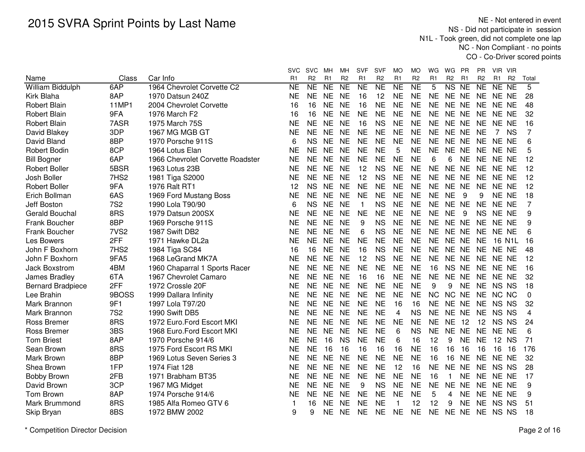NE - Not entered in event NS - Did not participate in session N1L - Took green, did not complete one lap NC - Non Compliant - no pointsCO - Co-Driver scored points

|                          |                  |                                  | svc            | <b>SVC</b>     | MН             | MН                  | SVF            | <b>SVF</b>     | MO             | МO             | WG             | WG                     | - PR            | PR                  | VIR VIR     |                |                         |
|--------------------------|------------------|----------------------------------|----------------|----------------|----------------|---------------------|----------------|----------------|----------------|----------------|----------------|------------------------|-----------------|---------------------|-------------|----------------|-------------------------|
| Name                     | Class            | Car Info                         | R <sub>1</sub> | R <sub>2</sub> | R <sub>1</sub> | R <sub>2</sub>      | R <sub>1</sub> | R <sub>2</sub> | R <sub>1</sub> | R <sub>2</sub> | R <sub>1</sub> | R <sub>2</sub>         | R <sub>1</sub>  | R <sub>2</sub>      | R1          | R <sub>2</sub> | Total                   |
| <b>William Biddulph</b>  | 6AP              | 1964 Chevrolet Corvette C2       | <b>NE</b>      | NE             | <b>NE</b>      | $\overline{\sf NE}$ | N <sub>E</sub> | <b>NE</b>      | N <sub>E</sub> | NE             | 5              | $\overline{\text{NS}}$ | $\overline{NE}$ | $\overline{\sf NE}$ | NE NE       |                | 5                       |
| Kirk Blaha               | 8AP              | 1970 Datsun 240Z                 | <b>NE</b>      | <b>NE</b>      | <b>NE</b>      | <b>NE</b>           | 16             | 12             | <b>NE</b>      | <b>NE</b>      | <b>NE</b>      | NE NE                  |                 | <b>NE</b>           | NE NE       |                | 28                      |
| <b>Robert Blain</b>      | <b>11MP1</b>     | 2004 Chevrolet Corvette          | 16             | 16             | <b>NE</b>      | <b>NE</b>           | 16             | <b>NE</b>      | <b>NE</b>      | <b>NE</b>      | <b>NE</b>      | <b>NE</b>              | <b>NE</b>       | <b>NE</b>           | NE NE       |                | 48                      |
| <b>Robert Blain</b>      | 9FA              | 1976 March F2                    | 16             | 16             | <b>NE</b>      | <b>NE</b>           | <b>NE</b>      | <b>NE</b>      | <b>NE</b>      | <b>NE</b>      | <b>NE</b>      | NE NE                  |                 | <b>NE</b>           | NE NE       |                | 32                      |
| <b>Robert Blain</b>      | 7ASR             | 1975 March 75S                   | <b>NE</b>      | <b>NE</b>      | <b>NE</b>      | <b>NE</b>           | 16             | <b>NS</b>      | <b>NE</b>      | <b>NE</b>      | <b>NE</b>      | NE NE                  |                 | <b>NE</b>           | NE NE       |                | 16                      |
| David Blakey             | 3DP              | 1967 MG MGB GT                   | <b>NE</b>      | <b>NE</b>      | <b>NE</b>      | <b>NE</b>           | <b>NE</b>      | <b>NE</b>      | <b>NE</b>      | <b>NE</b>      | <b>NE</b>      | NE NE                  |                 | <b>NE</b>           | $7^{\circ}$ | <b>NS</b>      | 7                       |
| David Bland              | 8BP              | 1970 Porsche 911S                | 6              | <b>NS</b>      | <b>NE</b>      | <b>NE</b>           | <b>NE</b>      | <b>NE</b>      | <b>NE</b>      | <b>NE</b>      | <b>NE</b>      | NE NE                  |                 | <b>NE</b>           | NE NE       |                | 6                       |
| <b>Robert Bodin</b>      | 8CP              | 1964 Lotus Elan                  | <b>NE</b>      | <b>NE</b>      | <b>NE</b>      | <b>NE</b>           | <b>NE</b>      | <b>NE</b>      | 5              | <b>NE</b>      | <b>NE</b>      | NE NE                  |                 |                     | NE NE NE    |                | 5                       |
| <b>Bill Bogner</b>       | 6AP              | 1966 Chevrolet Corvette Roadster | NE             | <b>NE</b>      | <b>NE</b>      | <b>NE</b>           | <b>NE</b>      | <b>NE</b>      | <b>NE</b>      | <b>NE</b>      | 6              | 6                      | NE              | <b>NE</b>           | NE NE       |                | 12                      |
| <b>Robert Boller</b>     | 5BSR             | 1963 Lotus 23B                   | NE             | <b>NE</b>      | <b>NE</b>      | <b>NE</b>           | 12             | <b>NS</b>      | <b>NE</b>      | <b>NE</b>      | <b>NE</b>      | NE NE                  |                 | NE                  | NE NE       |                | 12                      |
| Josh Boller              | 7HS2             | 1981 Tiga S2000                  | <b>NE</b>      | <b>NE</b>      | <b>NE</b>      | <b>NE</b>           | 12             | <b>NS</b>      | <b>NE</b>      | <b>NE</b>      | <b>NE</b>      | NE NE                  |                 | <b>NE</b>           | NE NE       |                | 12                      |
| <b>Robert Boller</b>     | 9FA              | 1976 Ralt RT1                    | 12             | <b>NS</b>      | <b>NE</b>      | <b>NE</b>           | <b>NE</b>      | <b>NE</b>      | <b>NE</b>      | <b>NE</b>      | <b>NE</b>      | NE NE                  |                 | <b>NE</b>           | NE NE       |                | 12                      |
| Erich Bollman            | 6AS              | 1969 Ford Mustang Boss           | <b>NE</b>      | <b>NE</b>      | <b>NE</b>      | <b>NE</b>           | <b>NE</b>      | <b>NE</b>      | <b>NE</b>      | <b>NE</b>      | <b>NE</b>      | <b>NE</b>              | 9               | 9                   | NE NE       |                | 18                      |
| Jeff Boston              | <b>7S2</b>       | 1990 Lola T90/90                 | 6              | <b>NS</b>      | <b>NE</b>      | <b>NE</b>           | $\mathbf{1}$   | <b>NS</b>      | <b>NE</b>      | <b>NE</b>      | <b>NE</b>      | NE NE                  |                 | <b>NE</b>           | NE NE       |                | 7                       |
| <b>Gerald Bouchal</b>    | 8RS              | 1979 Datsun 200SX                | <b>NE</b>      | <b>NE</b>      | <b>NE</b>      | <b>NE</b>           | <b>NE</b>      | <b>NE</b>      | <b>NE</b>      | <b>NE</b>      | <b>NE</b>      | <b>NE</b>              | 9               | <b>NS</b>           | NE NE       |                | 9                       |
| Frank Boucher            | 8BP              | 1969 Porsche 911S                | NE             | <b>NE</b>      | <b>NE</b>      | <b>NE</b>           | 9              | <b>NS</b>      | <b>NE</b>      | <b>NE</b>      | <b>NE</b>      | NE NE                  |                 | <b>NE</b>           | NE NE       |                | 9                       |
| Frank Boucher            | 7VS <sub>2</sub> | 1987 Swift DB2                   | <b>NE</b>      | <b>NE</b>      | <b>NE</b>      | <b>NE</b>           | 6              | <b>NS</b>      | <b>NE</b>      | <b>NE</b>      | <b>NE</b>      | NE NE                  |                 | <b>NE</b>           | NE NE       |                | 6                       |
| Les Bowers               | 2FF              | 1971 Hawke DL2a                  | <b>NE</b>      | <b>NE</b>      | <b>NE</b>      | <b>NE</b>           | <b>NE</b>      | <b>NE</b>      | <b>NE</b>      | <b>NE</b>      | <b>NE</b>      | NE NE                  |                 | <b>NE</b>           | 16 N1L      |                | 16                      |
| John F Boxhorn           | 7HS2             | 1984 Tiga SC84                   | 16             | 16             | <b>NE</b>      | <b>NE</b>           | 16             | <b>NS</b>      | <b>NE</b>      | <b>NE</b>      | <b>NE</b>      | <b>NE</b>              | <b>NE</b>       | <b>NE</b>           | NE NE       |                | 48                      |
| John F Boxhorn           | 9FA5             | 1968 LeGrand MK7A                | <b>NE</b>      | <b>NE</b>      | <b>NE</b>      | <b>NE</b>           | 12             | <b>NS</b>      | <b>NE</b>      | <b>NE</b>      | <b>NE</b>      | NE NE                  |                 | <b>NE</b>           | NE NE       |                | 12                      |
| <b>Jack Boxstrom</b>     | 4BM              | 1960 Chaparral 1 Sports Racer    | <b>NE</b>      | <b>NE</b>      | <b>NE</b>      | <b>NE</b>           | <b>NE</b>      | <b>NE</b>      | <b>NE</b>      | <b>NE</b>      | 16             | NS NE                  |                 | <b>NE</b>           | NE NE       |                | 16                      |
| James Bradley            | 6TA              | 1967 Chevrolet Camaro            | NE             | <b>NE</b>      | <b>NE</b>      | <b>NE</b>           | 16             | 16             | <b>NE</b>      | <b>NE</b>      | <b>NE</b>      | NE NE                  |                 | <b>NE</b>           | NE NE       |                | 32                      |
| <b>Bernard Bradpiece</b> | 2FF              | 1972 Crossle 20F                 | <b>NE</b>      | <b>NE</b>      | <b>NE</b>      | <b>NE</b>           | <b>NE</b>      | <b>NE</b>      | <b>NE</b>      | <b>NE</b>      | 9              | 9                      | <b>NE</b>       |                     | NE NS NS    |                | 18                      |
| Lee Brahin               | 9BOSS            | 1999 Dallara Infinity            | NE             | <b>NE</b>      | <b>NE</b>      | <b>NE</b>           | <b>NE</b>      | <b>NE</b>      | <b>NE</b>      | <b>NE</b>      | <b>NC</b>      | NC NE                  |                 | NE.                 | NC NC       |                | 0                       |
| Mark Brannon             | 9F1              | 1997 Lola T97/20                 | NE             | <b>NE</b>      | <b>NE</b>      | <b>NE</b>           | <b>NE</b>      | <b>NE</b>      | 16             | 16             | <b>NE</b>      | NE NE                  |                 | <b>NE</b>           | NS NS       |                | 32                      |
| Mark Brannon             | <b>7S2</b>       | 1990 Swift DB5                   | <b>NE</b>      | <b>NE</b>      | <b>NE</b>      | <b>NE</b>           | <b>NE</b>      | <b>NE</b>      | 4              | <b>NS</b>      | <b>NE</b>      | NE NE                  |                 | NE.                 | NS NS       |                | $\overline{\mathbf{4}}$ |
| <b>Ross Bremer</b>       | 8RS              | 1972 Euro.Ford Escort MKI        | <b>NE</b>      | <b>NE</b>      | <b>NE</b>      | <b>NE</b>           | <b>NE</b>      | <b>NE</b>      | <b>NE</b>      | <b>NE</b>      | <b>NE</b>      | <b>NE</b>              | 12              | 12                  | NS NS       |                | 24                      |
| <b>Ross Bremer</b>       | 3BS              | 1968 Euro. Ford Escort MKI       | <b>NE</b>      | <b>NE</b>      | <b>NE</b>      | <b>NE</b>           | <b>NE</b>      | <b>NE</b>      | 6              | <b>NS</b>      | <b>NE</b>      | <b>NE</b>              | <b>NE</b>       | <b>NE</b>           | NE NE       |                | 6                       |
| <b>Tom Briest</b>        | 8AP              | 1970 Porsche 914/6               | <b>NE</b>      | <b>NE</b>      | 16             | <b>NS</b>           | <b>NE</b>      | <b>NE</b>      | 6              | 16             | 12             | 9                      | <b>NE</b>       | <b>NE</b>           | 12 NS       |                | 71                      |
| Sean Brown               | 8RS              | 1975 Ford Escort RS MKI          | <b>NE</b>      | <b>NE</b>      | 16             | 16                  | 16             | 16             | 16             | <b>NE</b>      | 16             | 16                     | 16              | 16                  | 16          | 16             | 176                     |
| Mark Brown               | 8BP              | 1969 Lotus Seven Series 3        | <b>NE</b>      | <b>NE</b>      | <b>NE</b>      | <b>NE</b>           | <b>NE</b>      | <b>NE</b>      | <b>NE</b>      | <b>NE</b>      | 16             | 16                     | <b>NE</b>       | <b>NE</b>           | NE NE       |                | 32                      |
| Shea Brown               | 1FP              | 1974 Fiat 128                    | <b>NE</b>      | <b>NE</b>      | <b>NE</b>      | <b>NE</b>           | <b>NE</b>      | <b>NE</b>      | 12             | 16             | <b>NE</b>      | <b>NE</b>              | <b>NE</b>       | <b>NE</b>           | NS NS       |                | 28                      |
| <b>Bobby Brown</b>       | 2FB              | 1971 Brabham BT35                | <b>NE</b>      | <b>NE</b>      | <b>NE</b>      | <b>NE</b>           | <b>NE</b>      | <b>NE</b>      | <b>NE</b>      | <b>NE</b>      | 16             | $\mathbf{1}$           | <b>NE</b>       | <b>NE</b>           | NE NE       |                | 17                      |
| David Brown              | 3CP              | 1967 MG Midget                   | <b>NE</b>      | <b>NE</b>      | <b>NE</b>      | <b>NE</b>           | 9              | <b>NS</b>      | <b>NE</b>      | <b>NE</b>      | <b>NE</b>      | <b>NE</b>              | <b>NE</b>       | <b>NE</b>           | NE NE       |                | 9                       |
| <b>Tom Brown</b>         | 8AP              | 1974 Porsche 914/6               | <b>NE</b>      | <b>NE</b>      | <b>NE</b>      | <b>NE</b>           | <b>NE</b>      | <b>NE</b>      | <b>NE</b>      | <b>NE</b>      | 5              | 4                      | <b>NE</b>       | <b>NE</b>           | NE NE       |                | 9                       |
| Mark Brummond            | 8RS              | 1985 Alfa Romeo GTV 6            | 1              | 16             | <b>NE</b>      | <b>NE</b>           | <b>NE</b>      | <b>NE</b>      | $\mathbf{1}$   | 12             | 12             | 9                      | <b>NE</b>       | <b>NE</b>           | NS NS       |                | 51                      |
| Skip Bryan               | 8BS              | 1972 BMW 2002                    | 9              | 9              | <b>NE</b>      | <b>NE</b>           | NE             | <b>NE</b>      | <b>NE</b>      | <b>NE</b>      | <b>NE</b>      | <b>NE</b>              | <b>NE</b>       | <b>NE</b>           | NS NS       |                | 18                      |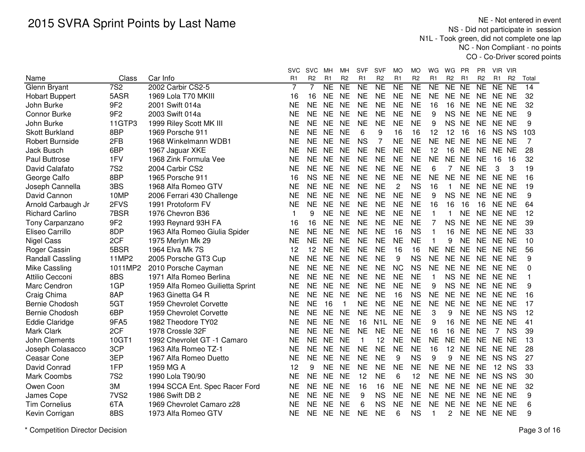NE - Not entered in event NS - Did not participate in session N1L - Took green, did not complete one lap NC - Non Compliant - no pointsCO - Co-Driver scored points

|                         | Class            | Car Info                         | <b>SVC</b><br>R1 | <b>SVC</b><br>R <sub>2</sub> | мн<br>R <sub>1</sub> | мн<br>R <sub>2</sub> | <b>SVF</b><br>R1 | <b>SVF</b><br>R <sub>2</sub> | MO<br>R <sub>1</sub> | МO<br>R <sub>2</sub> | WG<br>R <sub>1</sub> | WG<br>R <sub>2</sub> | <b>PR</b><br>R <sub>1</sub> | PR.<br>R <sub>2</sub> | VIR VIR<br>R1  | R <sub>2</sub> | Total |
|-------------------------|------------------|----------------------------------|------------------|------------------------------|----------------------|----------------------|------------------|------------------------------|----------------------|----------------------|----------------------|----------------------|-----------------------------|-----------------------|----------------|----------------|-------|
| Name<br>Glenn Bryant    | 7S <sub>2</sub>  | 2002 Carbir CS2-5                | 7                | 7                            | <b>NE</b>            | N <sub>E</sub>       | <b>NE</b>        | $\overline{\text{NE}}$       | $\overline{NE}$      | N <sub>E</sub>       | <b>NE</b>            | NE NE                |                             | $\overline{NE}$       | NE NE          |                | 14    |
| <b>Hobart Buppert</b>   | 5ASR             | 1969 Lola T70 MKIII              | 16               | 16                           | NE.                  | <b>NE</b>            | <b>NE</b>        | <b>NE</b>                    | <b>NE</b>            | <b>NE</b>            | <b>NE</b>            | NE NE                |                             | <b>NE</b>             | NE NE          |                | 32    |
| John Burke              | 9F <sub>2</sub>  | 2001 Swift 014a                  | <b>NE</b>        | <b>NE</b>                    | <b>NE</b>            | <b>NE</b>            | <b>NE</b>        | <b>NE</b>                    | <b>NE</b>            | <b>NE</b>            | 16                   | 16                   | <b>NE</b>                   | <b>NE</b>             | NE NE          |                | 32    |
| Connor Burke            | 9F <sub>2</sub>  | 2003 Swift 014a                  | <b>NE</b>        | <b>NE</b>                    | <b>NE</b>            | <b>NE</b>            | <b>NE</b>        | <b>NE</b>                    | <b>NE</b>            | <b>NE</b>            | 9                    | <b>NS</b>            | <b>NE</b>                   | <b>NE</b>             | NE NE          |                | 9     |
| John Burke              | 11GTP3           | 1999 Riley Scott MK III          | <b>NE</b>        | <b>NE</b>                    | <b>NE</b>            | <b>NE</b>            | <b>NE</b>        | <b>NE</b>                    | <b>NE</b>            | <b>NE</b>            | 9                    | <b>NS</b>            | <b>NE</b>                   | <b>NE</b>             | NE NE          |                | 9     |
| <b>Skott Burkland</b>   | 8BP              | 1969 Porsche 911                 | <b>NE</b>        | <b>NE</b>                    | <b>NE</b>            | <b>NE</b>            | 6                | 9                            | 16                   | 16                   | 12                   | 12                   | 16                          | 16                    | NS NS          |                | 103   |
| <b>Robert Burnside</b>  | 2FB              | 1968 Winkelmann WDB1             | <b>NE</b>        | <b>NE</b>                    | <b>NE</b>            | <b>NE</b>            | <b>NS</b>        | 7                            | <b>NE</b>            | <b>NE</b>            | <b>NE</b>            | NE NE                |                             | <b>NE</b>             | NE NE          |                | 7     |
| Jack Busch              | 6BP              | 1967 Jaguar XKE                  | <b>NE</b>        | <b>NE</b>                    | <b>NE</b>            | <b>NE</b>            | <b>NE</b>        | <b>NE</b>                    | <b>NE</b>            | <b>NE</b>            | 12                   | 16 NE                |                             | <b>NE</b>             | NE NE          |                | 28    |
| Paul Buttrose           | 1FV              | 1968 Zink Formula Vee            | <b>NE</b>        | <b>NE</b>                    | <b>NE</b>            | <b>NE</b>            | <b>NE</b>        | <b>NE</b>                    | <b>NE</b>            | <b>NE</b>            | <b>NE</b>            | NE NE                |                             | <b>NE</b>             | 16             | 16             | 32    |
| David Calafato          | <b>7S2</b>       | 2004 Carbir CS2                  | <b>NE</b>        | <b>NE</b>                    | <b>NE</b>            | <b>NE</b>            | <b>NE</b>        | <b>NE</b>                    | <b>NE</b>            | <b>NE</b>            | 6                    | 7                    | <b>NE</b>                   | <b>NE</b>             | 3              | 3              | 19    |
| George Calfo            | 8BP              | 1965 Porsche 911                 | 16               | <b>NS</b>                    | <b>NE</b>            | <b>NE</b>            | <b>NE</b>        | <b>NE</b>                    | <b>NE</b>            | <b>NE</b>            | <b>NE</b>            | NE NE                |                             | <b>NE</b>             | NE NE          |                | 16    |
| Joseph Cannella         | 3BS              | 1968 Alfa Romeo GTV              | <b>NE</b>        | <b>NE</b>                    | <b>NE</b>            | <b>NE</b>            | <b>NE</b>        | <b>NE</b>                    | 2                    | <b>NS</b>            | 16                   | 1                    | <b>NE</b>                   | <b>NE</b>             | NE NE          |                | 19    |
| David Cannon            | 10MP             | 2006 Ferrari 430 Challenge       | <b>NE</b>        | <b>NE</b>                    | <b>NE</b>            | <b>NE</b>            | <b>NE</b>        | <b>NE</b>                    | <b>NE</b>            | <b>NE</b>            | 9                    | <b>NS</b>            | <b>NE</b>                   | <b>NE</b>             | NE NE          |                | 9     |
| Arnold Carbaugh Jr      | 2FVS             | 1991 Protoform FV                | <b>NE</b>        | <b>NE</b>                    | <b>NE</b>            | <b>NE</b>            | <b>NE</b>        | <b>NE</b>                    | <b>NE</b>            | <b>NE</b>            | 16                   | 16                   | 16                          | 16                    | NE NE          |                | 64    |
| <b>Richard Carlino</b>  | 7BSR             | 1976 Chevron B36                 | 1                | 9                            | <b>NE</b>            | <b>NE</b>            | <b>NE</b>        | <b>NE</b>                    | <b>NE</b>            | <b>NE</b>            | $\mathbf{1}$         | 1                    | <b>NE</b>                   | <b>NE</b>             | NE NE          |                | 12    |
| Tony Carpanzano         | 9F <sub>2</sub>  | 1993 Reynard 93H FA              | 16               | 16                           | <b>NE</b>            | <b>NE</b>            | <b>NE</b>        | <b>NE</b>                    | <b>NE</b>            | <b>NE</b>            | 7                    | <b>NS</b>            | <b>NE</b>                   | <b>NE</b>             | NE NE          |                | 39    |
| Eliseo Carrillo         | 8DP              | 1963 Alfa Romeo Giulia Spider    | <b>NE</b>        | <b>NE</b>                    | <b>NE</b>            | <b>NE</b>            | <b>NE</b>        | <b>NE</b>                    | 16                   | <b>NS</b>            | 1                    | 16                   | <b>NE</b>                   | <b>NE</b>             | NE NE          |                | 33    |
| <b>Nigel Cass</b>       | 2CF              | 1975 Merlyn Mk 29                | <b>NE</b>        | <b>NE</b>                    | <b>NE</b>            | <b>NE</b>            | <b>NE</b>        | <b>NE</b>                    | <b>NE</b>            | <b>NE</b>            | $\mathbf{1}$         | 9                    | <b>NE</b>                   | <b>NE</b>             | NE NE          |                | 10    |
| Roger Cassin            | 5BSR             | 1964 Elva Mk 7S                  | 12               | 12                           | <b>NE</b>            | <b>NE</b>            | <b>NE</b>        | <b>NE</b>                    | 16                   | 16                   | <b>NE</b>            | NE NE                |                             | <b>NE</b>             | NE NE          |                | 56    |
| <b>Randall Cassling</b> | 11MP2            | 2005 Porsche GT3 Cup             | NE               | <b>NE</b>                    | <b>NE</b>            | <b>NE</b>            | <b>NE</b>        | <b>NE</b>                    | 9                    | <b>NS</b>            | <b>NE</b>            | NE NE                |                             | <b>NE</b>             | NE NE          |                | 9     |
| Mike Cassling           | 1011MP2          | 2010 Porsche Cayman              | <b>NE</b>        | <b>NE</b>                    | NE                   | <b>NE</b>            | <b>NE</b>        | <b>NE</b>                    | <b>NC</b>            | <b>NS</b>            | <b>NE</b>            | NE NE                |                             | <b>NE</b>             | NE NE          |                | 0     |
| Attilio Cecconi         | 8BS              | 1971 Alfa Romeo Berlina          | <b>NE</b>        | <b>NE</b>                    | <b>NE</b>            | <b>NE</b>            | <b>NE</b>        | <b>NE</b>                    | <b>NE</b>            | <b>NE</b>            | 1                    | NS NE                |                             | <b>NE</b>             | NE NE          |                | 1     |
| Marc Cendron            | 1GP              | 1959 Alfa Romeo Guilietta Sprint | <b>NE</b>        | <b>NE</b>                    | <b>NE</b>            | <b>NE</b>            | <b>NE</b>        | <b>NE</b>                    | <b>NE</b>            | <b>NE</b>            | 9                    | <b>NS</b>            | <b>NE</b>                   | <b>NE</b>             | NE NE          |                | 9     |
| Craig Chima             | 8AP              | 1963 Ginetta G4 R                | <b>NE</b>        | <b>NE</b>                    | <b>NE</b>            | <b>NE</b>            | <b>NE</b>        | <b>NE</b>                    | 16                   | <b>NS</b>            | <b>NE</b>            | NE NE                |                             | <b>NE</b>             | NE NE          |                | 16    |
| Bernie Chodosh          | 5GT              | 1959 Chevrolet Corvette          | <b>NE</b>        | <b>NE</b>                    | 16                   |                      | <b>NE</b>        | <b>NE</b>                    | <b>NE</b>            | <b>NE</b>            | <b>NE</b>            | <b>NE</b>            | <b>NE</b>                   | <b>NE</b>             | NE NE          |                | 17    |
| Bernie Chodosh          | 6BP              | 1959 Chevrolet Corvette          | <b>NE</b>        | <b>NE</b>                    | <b>NE</b>            | <b>NE</b>            | <b>NE</b>        | <b>NE</b>                    | <b>NE</b>            | <b>NE</b>            | 3                    | 9                    | <b>NE</b>                   | <b>NE</b>             | NS NS          |                | 12    |
| <b>Eddie Claridge</b>   | 9FA5             | 1982 Theodore TY02               | <b>NE</b>        | <b>NE</b>                    | <b>NE</b>            | <b>NE</b>            | 16               | N1L                          | <b>NE</b>            | <b>NE</b>            | 9                    | 16                   | <b>NE</b>                   | <b>NE</b>             | NE NE          |                | 41    |
| <b>Mark Clark</b>       | 2CF              | 1978 Crossle 32F                 | <b>NE</b>        | <b>NE</b>                    | <b>NE</b>            | <b>NE</b>            | <b>NE</b>        | <b>NE</b>                    | <b>NE</b>            | <b>NE</b>            | 16                   | 16                   | <b>NE</b>                   | <b>NE</b>             | $\overline{7}$ | <b>NS</b>      | 39    |
| John Clements           | 10GT1            | 1992 Chevrolet GT -1 Camaro      | <b>NE</b>        | <b>NE</b>                    | <b>NE</b>            | <b>NE</b>            | $\mathbf{1}$     | 12                           | <b>NE</b>            | <b>NE</b>            | <b>NE</b>            | <b>NE</b>            | <b>NE</b>                   | <b>NE</b>             | NE NE          |                | 13    |
| Joseph Colasacco        | 3CP              | 1963 Alfa Romeo TZ-1             | <b>NE</b>        | <b>NE</b>                    | <b>NE</b>            | <b>NE</b>            | <b>NE</b>        | <b>NE</b>                    | <b>NE</b>            | <b>NE</b>            | 16                   | 12                   | <b>NE</b>                   | <b>NE</b>             | NE NE          |                | 28    |
| Ceasar Cone             | 3EP              | 1967 Alfa Romeo Duetto           | <b>NE</b>        | <b>NE</b>                    | <b>NE</b>            | <b>NE</b>            | <b>NE</b>        | <b>NE</b>                    | 9                    | <b>NS</b>            | 9                    | 9                    | <b>NE</b>                   | <b>NE</b>             | NS NS          |                | 27    |
| David Conrad            | 1FP              | 1959 MG A                        | 12               | 9                            | <b>NE</b>            | <b>NE</b>            | <b>NE</b>        | <b>NE</b>                    | <b>NE</b>            | <b>NE</b>            | <b>NE</b>            | NE NE                |                             | NE                    | 12 NS          |                | 33    |
| <b>Mark Coombs</b>      | <b>7S2</b>       | 1990 Lola T90/90                 | NE               | <b>NE</b>                    | NE                   | <b>NE</b>            | 12               | <b>NE</b>                    | 6                    | 12                   | NE                   | NE NE                |                             | <b>NE</b>             | NS NS          |                | 30    |
| Owen Coon               | 3M               | 1994 SCCA Ent. Spec Racer Ford   | NE               | NE.                          | <b>NE</b>            | <b>NE</b>            | 16               | 16                           | <b>NE</b>            | <b>NE</b>            | <b>NE</b>            | NE NE                |                             | <b>NE</b>             | NE NE          |                | 32    |
| James Cope              | 7VS <sub>2</sub> | 1986 Swift DB 2                  | NΕ               | NE.                          | <b>NE</b>            | <b>NE</b>            | 9                | <b>NS</b>                    | NE                   | <b>NE</b>            | <b>NE</b>            | NE NE                |                             | <b>NE</b>             | NE NE          |                | 9     |
| <b>Tim Cornelius</b>    | 6TA              | 1969 Chevrolet Camaro z28        | <b>NE</b>        | <b>NE</b>                    | <b>NE</b>            | <b>NE</b>            | 6                | <b>NS</b>                    | <b>NE</b>            | <b>NE</b>            | <b>NE</b>            | NE NE                |                             | <b>NE</b>             | NE NE          |                | 6     |
| Kevin Corrigan          | 8BS              | 1973 Alfa Romeo GTV              | <b>NE</b>        | <b>NE</b>                    | <b>NE</b>            | <b>NE</b>            | <b>NE</b>        | <b>NE</b>                    | 6                    | <b>NS</b>            | 1                    | $\overline{2}$       | <b>NE</b>                   |                       | NE NE NE       |                | 9     |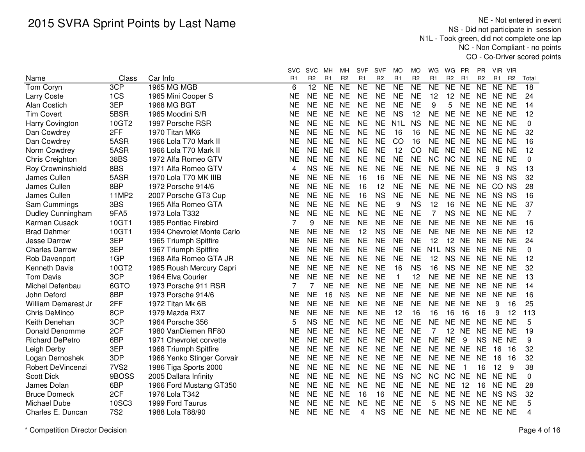NE - Not entered in event NS - Did not participate in session N1L - Took green, did not complete one lap NC - Non Compliant - no pointsCO - Co-Driver scored points

|                        |                  |                                | <b>SVC</b>     | <b>SVC</b>      | мн             | мн                                | <b>SVF</b>                       | SVF       | MO               | МO                                    | WG               | WG                          | <b>PR</b>              | <b>PR</b>      | - VIR<br><b>VIR</b>              |                |
|------------------------|------------------|--------------------------------|----------------|-----------------|----------------|-----------------------------------|----------------------------------|-----------|------------------|---------------------------------------|------------------|-----------------------------|------------------------|----------------|----------------------------------|----------------|
| Name                   | Class<br>3CP     | Car Info<br><b>1965 MG MGB</b> | R <sub>1</sub> | R <sub>2</sub>  | R <sub>1</sub> | R <sub>2</sub><br>$\overline{NE}$ | R <sub>1</sub><br>N <sub>E</sub> | R2<br>NE  | R <sub>1</sub>   | R <sub>2</sub><br>$\overline{\sf NE}$ | R <sub>1</sub>   | R <sub>2</sub><br><b>NE</b> | R <sub>1</sub>         | R <sub>2</sub> | R <sub>1</sub><br>R <sub>2</sub> | Total          |
| Tom Coryn              |                  |                                | 6              | $\overline{12}$ | <b>NE</b>      |                                   |                                  |           | <b>NE</b>        |                                       | <b>NE</b>        |                             | <b>NE</b><br><b>NE</b> |                | <b>NE</b><br><b>NE</b>           | 18             |
| <b>Larry Coste</b>     | 1CS              | 1965 Mini Cooper S             | <b>NE</b>      | <b>NE</b>       | <b>NE</b>      | <b>NE</b>                         | <b>NE</b>                        | <b>NE</b> | <b>NE</b>        | <b>NE</b>                             | 12               | 12                          | <b>NE</b>              | <b>NE</b>      | NE NE                            | 24             |
| Alan Costich           | 3EP              | 1968 MG BGT                    | <b>NE</b>      | <b>NE</b>       | <b>NE</b>      | <b>NE</b>                         | <b>NE</b>                        | <b>NE</b> | <b>NE</b>        | <b>NE</b>                             | 9                | 5                           | <b>NE</b>              | <b>NE</b>      | NE NE                            | 14             |
| <b>Tim Covert</b>      | 5BSR             | 1965 Moodini S/R               | <b>NE</b>      | <b>NE</b>       | <b>NE</b>      | <b>NE</b>                         | <b>NE</b>                        | <b>NE</b> | <b>NS</b>        | 12                                    | <b>NE</b>        | NE NE                       |                        | <b>NE</b>      | NE NE                            | 12             |
| Harry Covington        | 10GT2            | 1997 Porsche RSR               | <b>NE</b>      | <b>NE</b>       | <b>NE</b>      | <b>NE</b>                         | <b>NE</b>                        | <b>NE</b> | N <sub>1</sub> L | <b>NS</b>                             | <b>NE</b>        | NE NE                       |                        | <b>NE</b>      | NE NE                            | 0              |
| Dan Cowdrey            | 2FF              | 1970 Titan MK6                 | NE             | <b>NE</b>       | <b>NE</b>      | <b>NE</b>                         | <b>NE</b>                        | <b>NE</b> | 16               | 16                                    | <b>NE</b>        | NE NE                       |                        | <b>NE</b>      | NE NE                            | 32             |
| Dan Cowdrey            | 5ASR             | 1966 Lola T70 Mark II          | <b>NE</b>      | <b>NE</b>       | <b>NE</b>      | <b>NE</b>                         | <b>NE</b>                        | <b>NE</b> | CO               | 16                                    | <b>NE</b>        | NE NE                       | <b>NE</b>              |                | NE NE                            | 16             |
| Norm Cowdrey           | 5ASR             | 1966 Lola T70 Mark II          | <b>NE</b>      | <b>NE</b>       | <b>NE</b>      | <b>NE</b>                         | <b>NE</b>                        | <b>NE</b> | 12               | CO                                    | <b>NE</b>        | NE NE                       | <b>NE</b>              |                | NE NE                            | 12             |
| Chris Creighton        | 38BS             | 1972 Alfa Romeo GTV            | <b>NE</b>      | <b>NE</b>       | <b>NE</b>      | <b>NE</b>                         | <b>NE</b>                        | <b>NE</b> | <b>NE</b>        | <b>NE</b>                             | <b>NC</b>        | NC NE                       | <b>NE</b>              |                | NE NE                            | 0              |
| Roy Crowninshield      | 8BS              | 1971 Alfa Romeo GTV            | 4              | <b>NS</b>       | <b>NE</b>      | <b>NE</b>                         | <b>NE</b>                        | <b>NE</b> | <b>NE</b>        | <b>NE</b>                             | <b>NE</b>        | NE NE                       | <b>NE</b>              |                | <b>NS</b><br>9                   | 13             |
| James Cullen           | 5ASR             | 1970 Lola T70 MK IIIB          | <b>NE</b>      | <b>NE</b>       | <b>NE</b>      | <b>NE</b>                         | 16                               | 16        | <b>NE</b>        | <b>NE</b>                             | <b>NE</b>        | NE NE                       | <b>NE</b>              |                | NS NS                            | 32             |
| James Cullen           | 8BP              | 1972 Porsche 914/6             | <b>NE</b>      | <b>NE</b>       | <b>NE</b>      | <b>NE</b>                         | 16                               | 12        | <b>NE</b>        | <b>NE</b>                             | <b>NE</b>        | NE NE                       |                        | <b>NE</b>      | CO NS                            | 28             |
| James Cullen           | 11MP2            | 2007 Porsche GT3 Cup           | <b>NE</b>      | <b>NE</b>       | <b>NE</b>      | <b>NE</b>                         | 16                               | <b>NS</b> | <b>NE</b>        | <b>NE</b>                             | <b>NE</b>        | NE NE                       |                        | <b>NE</b>      | NS NS                            | 16             |
| Sam Cummings           | 3BS              | 1965 Alfa Romeo GTA            | <b>NE</b>      | <b>NE</b>       | <b>NE</b>      | <b>NE</b>                         | <b>NE</b>                        | <b>NE</b> | 9                | <b>NS</b>                             | 12               | 16                          | <b>NE</b><br><b>NE</b> |                | NE NE                            | 37             |
| Dudley Cunningham      | 9FA5             | 1973 Lola T332                 | <b>NE</b>      | <b>NE</b>       | <b>NE</b>      | <b>NE</b>                         | <b>NE</b>                        | <b>NE</b> | <b>NE</b>        | <b>NE</b>                             | 7                | <b>NS</b>                   | <b>NE</b><br><b>NE</b> |                | NE NE                            | $\overline{7}$ |
| Karman Cusack          | 10GT1            | 1985 Pontiac Firebird          | 7              | 9               | <b>NE</b>      | <b>NE</b>                         | <b>NE</b>                        | <b>NE</b> | <b>NE</b>        | <b>NE</b>                             | <b>NE</b>        | NE NE                       |                        | <b>NE</b>      | NE NE                            | 16             |
| <b>Brad Dahmer</b>     | 10GT1            | 1994 Chevrolet Monte Carlo     | <b>NE</b>      | <b>NE</b>       | <b>NE</b>      | <b>NE</b>                         | 12                               | <b>NS</b> | <b>NE</b>        | <b>NE</b>                             | <b>NE</b>        | NE NE                       |                        | <b>NE</b>      | NE NE                            | 12             |
| Jesse Darrow           | 3EP              | 1965 Triumph Spitfire          | <b>NE</b>      | <b>NE</b>       | <b>NE</b>      | <b>NE</b>                         | <b>NE</b>                        | <b>NE</b> | <b>NE</b>        | <b>NE</b>                             | 12               | 12                          | <b>NE</b>              | <b>NE</b>      | NE NE                            | 24             |
| <b>Charles Darrow</b>  | 3EP              | 1967 Triumph Spitfire          | <b>NE</b>      | <b>NE</b>       | <b>NE</b>      | <b>NE</b>                         | <b>NE</b>                        | <b>NE</b> | <b>NE</b>        | <b>NE</b>                             | N <sub>1</sub> L | NS NE                       | <b>NE</b>              |                | NE NE                            | 0              |
| Rob Davenport          | 1GP              | 1968 Alfa Romeo GTA JR         | <b>NE</b>      | <b>NE</b>       | <b>NE</b>      | <b>NE</b>                         | <b>NE</b>                        | <b>NE</b> | <b>NE</b>        | <b>NE</b>                             | 12               | NS NE                       |                        | <b>NE</b>      | NE NE                            | 12             |
| Kenneth Davis          | 10GT2            | 1985 Roush Mercury Capri       | NE             | <b>NE</b>       | <b>NE</b>      | <b>NE</b>                         | <b>NE</b>                        | <b>NE</b> | 16               | <b>NS</b>                             | 16               | NS NE                       |                        | <b>NE</b>      | NE NE                            | 32             |
| <b>Tom Davis</b>       | 3CP              | 1964 Elva Courier              | <b>NE</b>      | <b>NE</b>       | <b>NE</b>      | <b>NE</b>                         | <b>NE</b>                        | <b>NE</b> | 1                | 12                                    | <b>NE</b>        | NE NE                       |                        | <b>NE</b>      | NE NE                            | 13             |
| Michel Defenbau        | 6GTO             | 1973 Porsche 911 RSR           | 7              | 7               | <b>NE</b>      | <b>NE</b>                         | <b>NE</b>                        | <b>NE</b> | <b>NE</b>        | <b>NE</b>                             | <b>NE</b>        | NE NE                       |                        | <b>NE</b>      | NE NE                            | 14             |
| John Deford            | 8BP              | 1973 Porsche 914/6             | <b>NE</b>      | <b>NE</b>       | 16             | <b>NS</b>                         | <b>NE</b>                        | <b>NE</b> | <b>NE</b>        | <b>NE</b>                             | <b>NE</b>        | NE NE                       | <b>NE</b>              |                | NE NE                            | 16             |
| William Demarest Jr    | 2FF              | 1972 Titan Mk 6B               | <b>NE</b>      | <b>NE</b>       | <b>NE</b>      | <b>NE</b>                         | <b>NE</b>                        | <b>NE</b> | <b>NE</b>        | <b>NE</b>                             | <b>NE</b>        | NE NE                       | <b>NE</b>              |                | 9<br>16                          | 25             |
| Chris DeMinco          | 8CP              | 1979 Mazda RX7                 | <b>NE</b>      | <b>NE</b>       | <b>NE</b>      | <b>NE</b>                         | <b>NE</b>                        | <b>NE</b> | 12               | 16                                    | 16               | 16                          | 16<br>16               |                | 9<br>12                          | 113            |
| Keith Denehan          | 3CP              | 1964 Porsche 356               | 5              | <b>NS</b>       | <b>NE</b>      | <b>NE</b>                         | <b>NE</b>                        | <b>NE</b> | <b>NE</b>        | <b>NE</b>                             | <b>NE</b>        | <b>NE</b>                   | <b>NE</b>              | <b>NE</b>      | NE NE                            | 5              |
| Donald Denomme         | 2CF              | 1980 VanDiemen RF80            | <b>NE</b>      | <b>NE</b>       | <b>NE</b>      | <b>NE</b>                         | <b>NE</b>                        | <b>NE</b> | <b>NE</b>        | <b>NE</b>                             | 7                | 12                          | <b>NE</b>              | <b>NE</b>      | NE NE                            | 19             |
| <b>Richard DePetro</b> | 6BP              | 1971 Chevrolet corvette        | <b>NE</b>      | <b>NE</b>       | <b>NE</b>      | <b>NE</b>                         | <b>NE</b>                        | <b>NE</b> | <b>NE</b>        | <b>NE</b>                             | <b>NE</b>        | <b>NE</b>                   | 9                      | <b>NS</b>      | NE NE                            | 9              |
| Leigh Derby            | 3EP              | 1968 Triumph Spitfire          | <b>NE</b>      | <b>NE</b>       | <b>NE</b>      | <b>NE</b>                         | <b>NE</b>                        | <b>NE</b> | <b>NE</b>        | <b>NE</b>                             | <b>NE</b>        | NE NE                       |                        | <b>NE</b>      | 16<br>16                         | 32             |
| Logan Dernoshek        | 3DP              | 1966 Yenko Stinger Corvair     | <b>NE</b>      | <b>NE</b>       | <b>NE</b>      | <b>NE</b>                         | <b>NE</b>                        | <b>NE</b> | <b>NE</b>        | <b>NE</b>                             | <b>NE</b>        | NE NE                       |                        | <b>NE</b>      | 16<br>16                         | 32             |
| Robert DeVincenzi      | 7VS <sub>2</sub> | 1986 Tiga Sports 2000          | <b>NE</b>      | <b>NE</b>       | <b>NE</b>      | <b>NE</b>                         | <b>NE</b>                        | <b>NE</b> | <b>NE</b>        | <b>NE</b>                             | <b>NE</b>        | <b>NE</b>                   | -1                     | 16             | 12<br>9                          | 38             |
| <b>Scott Dick</b>      | 9BOSS            | 2005 Dallara Infinity          | <b>NE</b>      | <b>NE</b>       | <b>NE</b>      | <b>NE</b>                         | <b>NE</b>                        | <b>NE</b> | <b>NS</b>        | <b>NC</b>                             | <b>NC</b>        | NC NE                       | <b>NE</b>              |                | NE NE                            | 0              |
| James Dolan            | 6BP              | 1966 Ford Mustang GT350        | <b>NE</b>      | <b>NE</b>       | <b>NE</b>      | <b>NE</b>                         | <b>NE</b>                        | <b>NE</b> | <b>NE</b>        | <b>NE</b>                             | <b>NE</b>        | <b>NE</b>                   | 12                     | 16             | NE NE                            | 28             |
| <b>Bruce Domeck</b>    | 2CF              | 1976 Lola T342                 | ΝE             | <b>NE</b>       | <b>NE</b>      | <b>NE</b>                         | 16                               | 16        | <b>NE</b>        | <b>NE</b>                             | NE               | NE NE                       | NE                     |                | NS NS                            | 32             |
| Michael Dube           | 10SC3            | 1999 Ford Taurus               | NE             | <b>NE</b>       | <b>NE</b>      | <b>NE</b>                         | <b>NE</b>                        | <b>NE</b> | <b>NE</b>        | <b>NE</b>                             | 5                | NS NE                       |                        | <b>NE</b>      | NE NE                            | 5              |
| Charles E. Duncan      | <b>7S2</b>       | 1988 Lola T88/90               | <b>NE</b>      | <b>NE</b>       | <b>NE</b>      | <b>NE</b>                         | 4                                | <b>NS</b> | <b>NE</b>        | <b>NE</b>                             | <b>NE</b>        | NE NE                       |                        |                | NE NE NE                         | 4              |
|                        |                  |                                |                |                 |                |                                   |                                  |           |                  |                                       |                  |                             |                        |                |                                  |                |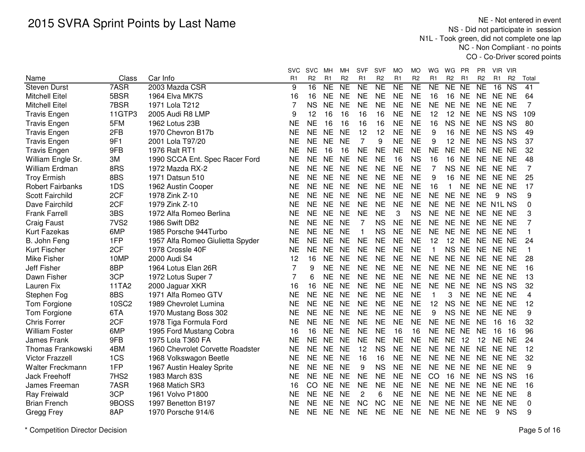NE - Not entered in event NS - Did not participate in session N1L - Took green, did not complete one lap NC - Non Compliant - no pointsCO - Co-Driver scored points

|                          |                  |                                  | <b>SVC</b>     | <b>SVC</b>      | MН        | МH              | <b>SVF</b>     | <b>SVF</b>     | <b>MO</b>      | МO             | WG             | WG<br>PR                         | PR             | VIR VIR                      |                |              |
|--------------------------|------------------|----------------------------------|----------------|-----------------|-----------|-----------------|----------------|----------------|----------------|----------------|----------------|----------------------------------|----------------|------------------------------|----------------|--------------|
| Name                     | Class            | Car Info                         | R1             | R <sub>2</sub>  | R1        | R <sub>2</sub>  | R <sub>1</sub> | R <sub>2</sub> | R <sub>1</sub> | R <sub>2</sub> | R <sub>1</sub> | R <sub>2</sub><br>R <sub>1</sub> | R <sub>2</sub> | R <sub>1</sub>               | R <sub>2</sub> | Total        |
| <b>Steven Durst</b>      | 7ASR             | 2003 Mazda CSR                   | 9              | $\overline{16}$ | <b>NE</b> | $\overline{NE}$ | <b>NE</b>      | N <sub>E</sub> | <b>NE</b>      | <b>NE</b>      | <b>NE</b>      | NE<br><b>NE</b>                  | <b>NE</b>      | $\overline{\text{NS}}$<br>16 |                | 41           |
| <b>Mitchell Eitel</b>    | 5BSR             | 1964 Elva MK7S                   | 16             | 16              | <b>NE</b> | <b>NE</b>       | <b>NE</b>      | <b>NE</b>      | <b>NE</b>      | <b>NE</b>      | 16             | 16<br><b>NE</b>                  | <b>NE</b>      | NE NE                        |                | 64           |
| <b>Mitchell Eitel</b>    | 7BSR             | 1971 Lola T212                   | 7              | <b>NS</b>       | <b>NE</b> | <b>NE</b>       | <b>NE</b>      | <b>NE</b>      | <b>NE</b>      | <b>NE</b>      | <b>NE</b>      | <b>NE</b><br>NE                  | <b>NE</b>      | NE NE                        |                | 7            |
| <b>Travis Engen</b>      | 11GTP3           | 2005 Audi R8 LMP                 | 9              | 12              | 16        | 16              | 16             | 16             | <b>NE</b>      | <b>NE</b>      | 12             | 12<br><b>NE</b>                  | <b>NE</b>      | NS NS                        |                | 109          |
| <b>Travis Engen</b>      | 5FM              | 1962 Lotus 23B                   | <b>NE</b>      | <b>NE</b>       | 16        | 16              | 16             | 16             | <b>NE</b>      | <b>NE</b>      | 16             | <b>NS</b><br><b>NE</b>           | <b>NE</b>      | NS NS                        |                | 80           |
| <b>Travis Engen</b>      | 2FB              | 1970 Chevron B17b                | <b>NE</b>      | <b>NE</b>       | <b>NE</b> | <b>NE</b>       | 12             | 12             | <b>NE</b>      | <b>NE</b>      | 9              | 16<br><b>NE</b>                  | <b>NE</b>      | NS NS                        |                | 49           |
| <b>Travis Engen</b>      | 9F1              | 2001 Lola T97/20                 | <b>NE</b>      | <b>NE</b>       | <b>NE</b> | <b>NE</b>       | 7              | 9              | <b>NE</b>      | <b>NE</b>      | 9              | <b>NE</b><br>12 <sup>7</sup>     | <b>NE</b>      | NS NS                        |                | 37           |
| <b>Travis Engen</b>      | 9FB              | 1976 Ralt RT1                    | <b>NE</b>      | <b>NE</b>       | 16        | 16              | <b>NE</b>      | NE             | <b>NE</b>      | <b>NE</b>      | <b>NE</b>      | NE NE                            | <b>NE</b>      | NE NE                        |                | 32           |
| William Engle Sr.        | 3M               | 1990 SCCA Ent. Spec Racer Ford   | <b>NE</b>      | <b>NE</b>       | <b>NE</b> | <b>NE</b>       | <b>NE</b>      | <b>NE</b>      | 16             | <b>NS</b>      | 16             | 16<br><b>NE</b>                  | <b>NE</b>      | NE NE                        |                | 48           |
| William Erdman           | 8RS              | 1972 Mazda RX-2                  | <b>NE</b>      | <b>NE</b>       | <b>NE</b> | <b>NE</b>       | <b>NE</b>      | <b>NE</b>      | <b>NE</b>      | <b>NE</b>      | 7              | NS NE                            | <b>NE</b>      | NE NE                        |                | 7            |
| <b>Troy Ermish</b>       | 8BS              | 1971 Datsun 510                  | <b>NE</b>      | <b>NE</b>       | <b>NE</b> | <b>NE</b>       | <b>NE</b>      | <b>NE</b>      | <b>NE</b>      | <b>NE</b>      | 9              | <b>NE</b><br>16                  | <b>NE</b>      | NE NE                        |                | 25           |
| <b>Robert Fairbanks</b>  | 1DS              | 1962 Austin Cooper               | <b>NE</b>      | <b>NE</b>       | <b>NE</b> | <b>NE</b>       | <b>NE</b>      | <b>NE</b>      | <b>NE</b>      | <b>NE</b>      | 16             | <b>NE</b><br>$\mathbf{1}$        | <b>NE</b>      | NE NE                        |                | 17           |
| <b>Scott Fairchild</b>   | 2CF              | 1978 Zink Z-10                   | <b>NE</b>      | <b>NE</b>       | <b>NE</b> | <b>NE</b>       | <b>NE</b>      | <b>NE</b>      | <b>NE</b>      | <b>NE</b>      | <b>NE</b>      | <b>NE</b><br><b>NE</b>           | <b>NE</b>      | 9<br><b>NS</b>               |                | 9            |
| Dave Fairchild           | 2CF              | 1979 Zink Z-10                   | <b>NE</b>      | <b>NE</b>       | <b>NE</b> | <b>NE</b>       | <b>NE</b>      | <b>NE</b>      | <b>NE</b>      | <b>NE</b>      | <b>NE</b>      | NE NE                            |                | NE N1L NS                    |                | 0            |
| <b>Frank Farrell</b>     | 3BS              | 1972 Alfa Romeo Berlina          | <b>NE</b>      | <b>NE</b>       | <b>NE</b> | <b>NE</b>       | <b>NE</b>      | <b>NE</b>      | 3              | <b>NS</b>      | <b>NE</b>      | NE NE                            | NE             | NE NE                        |                | 3            |
| <b>Craig Faust</b>       | 7VS <sub>2</sub> | 1986 Swift DB2                   | <b>NE</b>      | <b>NE</b>       | <b>NE</b> | <b>NE</b>       | $\overline{7}$ | <b>NS</b>      | <b>NE</b>      | <b>NE</b>      | <b>NE</b>      | NE NE                            | <b>NE</b>      | NE NE                        |                | 7            |
| Kurt Fazekas             | 6MP              | 1985 Porsche 944Turbo            | <b>NE</b>      | <b>NE</b>       | <b>NE</b> | <b>NE</b>       | $\mathbf{1}$   | <b>NS</b>      | <b>NE</b>      | <b>NE</b>      | <b>NE</b>      | <b>NE</b><br><b>NE</b>           | <b>NE</b>      | NE NE                        |                | $\mathbf{1}$ |
| B. John Feng             | 1FP              | 1957 Alfa Romeo Giulietta Spyder | <b>NE</b>      | <b>NE</b>       | <b>NE</b> | NE              | <b>NE</b>      | <b>NE</b>      | <b>NE</b>      | <b>NE</b>      | 12             | 12<br><b>NE</b>                  | <b>NE</b>      | NE NE                        |                | 24           |
| Kurt Fischer             | 2CF              | 1978 Crossle 40F                 | <b>NE</b>      | <b>NE</b>       | <b>NE</b> | <b>NE</b>       | <b>NE</b>      | <b>NE</b>      | <b>NE</b>      | <b>NE</b>      | 1              | <b>NS</b><br><b>NE</b>           | <b>NE</b>      | NE NE                        |                | $\mathbf{1}$ |
| Mike Fisher              | 10MP             | 2000 Audi S4                     | 12             | 16              | <b>NE</b> | <b>NE</b>       | <b>NE</b>      | <b>NE</b>      | <b>NE</b>      | <b>NE</b>      | <b>NE</b>      | NE NE                            | <b>NE</b>      | NE NE                        |                | 28           |
| <b>Jeff Fisher</b>       | 8BP              | 1964 Lotus Elan 26R              | 7              | 9               | <b>NE</b> | <b>NE</b>       | <b>NE</b>      | <b>NE</b>      | <b>NE</b>      | <b>NE</b>      | <b>NE</b>      | NE NE                            | <b>NE</b>      | NE NE                        |                | 16           |
| Dawn Fisher              | 3CP              | 1972 Lotus Super 7               | $\overline{7}$ | 6               | <b>NE</b> | <b>NE</b>       | <b>NE</b>      | <b>NE</b>      | <b>NE</b>      | <b>NE</b>      | <b>NE</b>      | NE NE                            | <b>NE</b>      | NE NE                        |                | 13           |
| Lauren Fix               | 11TA2            | 2000 Jaguar XKR                  | 16             | 16              | <b>NE</b> | <b>NE</b>       | <b>NE</b>      | <b>NE</b>      | <b>NE</b>      | <b>NE</b>      | <b>NE</b>      | NE NE                            | <b>NE</b>      | NS NS                        |                | 32           |
| Stephen Fog              | 8BS              | 1971 Alfa Romeo GTV              | <b>NE</b>      | <b>NE</b>       | <b>NE</b> | <b>NE</b>       | <b>NE</b>      | <b>NE</b>      | <b>NE</b>      | <b>NE</b>      | 1              | 3<br><b>NE</b>                   | <b>NE</b>      | NE NE                        |                | 4            |
| Tom Forgione             | <b>10SC2</b>     | 1989 Chevrolet Lumina            | <b>NE</b>      | <b>NE</b>       | <b>NE</b> | <b>NE</b>       | <b>NE</b>      | <b>NE</b>      | <b>NE</b>      | <b>NE</b>      | 12             | <b>NS</b><br><b>NE</b>           | <b>NE</b>      | NE NE                        |                | 12           |
| Tom Forgione             | 6TA              | 1970 Mustang Boss 302            | <b>NE</b>      | <b>NE</b>       | <b>NE</b> | <b>NE</b>       | <b>NE</b>      | <b>NE</b>      | <b>NE</b>      | <b>NE</b>      | 9              | <b>NS</b><br><b>NE</b>           | <b>NE</b>      | NE NE                        |                | 9            |
| <b>Chris Forrer</b>      | 2CF              | 1978 Tiga Formula Ford           | <b>NE</b>      | <b>NE</b>       | <b>NE</b> | <b>NE</b>       | <b>NE</b>      | <b>NE</b>      | <b>NE</b>      | <b>NE</b>      | <b>NE</b>      | <b>NE</b><br><b>NE</b>           | <b>NE</b>      | 16<br>16                     |                | 32           |
| <b>William Foster</b>    | 6MP              | 1995 Ford Mustang Cobra          | 16             | 16              | <b>NE</b> | <b>NE</b>       | <b>NE</b>      | <b>NE</b>      | 16             | 16             | <b>NE</b>      | NE NE                            | <b>NE</b>      | 16                           | 16             | 96           |
| James Frank              | 9FB              | 1975 Lola T360 FA                | <b>NE</b>      | <b>NE</b>       | <b>NE</b> | <b>NE</b>       | <b>NE</b>      | <b>NE</b>      | <b>NE</b>      | <b>NE</b>      | <b>NE</b>      | <b>NE</b><br>-12                 | 12             | NE NE                        |                | 24           |
| <b>Thomas Frankowski</b> | 4BM              | 1960 Chevrolet Corvette Roadster | <b>NE</b>      | <b>NE</b>       | <b>NE</b> | <b>NE</b>       | 12             | <b>NS</b>      | <b>NE</b>      | <b>NE</b>      | <b>NE</b>      | NE NE                            | <b>NE</b>      | NE NE                        |                | 12           |
| <b>Victor Frazzell</b>   | 1CS              | 1968 Volkswagon Beetle           | <b>NE</b>      | <b>NE</b>       | <b>NE</b> | <b>NE</b>       | 16             | 16             | <b>NE</b>      | <b>NE</b>      | <b>NE</b>      | NE NE                            | <b>NE</b>      | NE NE                        |                | 32           |
| <b>Walter Freckmann</b>  | 1FP              | 1967 Austin Healey Sprite        | <b>NE</b>      | <b>NE</b>       | <b>NE</b> | <b>NE</b>       | 9              | <b>NS</b>      | <b>NE</b>      | <b>NE</b>      | <b>NE</b>      | NE NE                            | <b>NE</b>      | NE NE                        |                | 9            |
| Jack Freehoff            | 7HS <sub>2</sub> | 1983 March 83S                   | <b>NE</b>      | <b>NE</b>       | <b>NE</b> | <b>NE</b>       | <b>NE</b>      | <b>NE</b>      | <b>NE</b>      | <b>NE</b>      | CO             | 16<br><b>NE</b>                  | <b>NE</b>      | NS NS                        |                | 16           |
| James Freeman            | 7ASR             | 1968 Matich SR3                  | 16             | CO              | <b>NE</b> | <b>NE</b>       | <b>NE</b>      | <b>NE</b>      | <b>NE</b>      | <b>NE</b>      | <b>NE</b>      | NE NE                            | NE.            | NE NE                        |                | 16           |
| <b>Ray Freiwald</b>      | 3CP              | 1961 Volvo P1800                 | NΕ             | <b>NE</b>       | <b>NE</b> | <b>NE</b>       | 2              | 6              | NE             | <b>NE</b>      | NE             | NE NE                            | NE.            | NE NE                        |                | 8            |
| <b>Brian French</b>      | 9BOSS            | 1997 Benetton B197               | NΕ             | <b>NE</b>       | <b>NE</b> | <b>NE</b>       | <b>NC</b>      | <b>NC</b>      | <b>NE</b>      | NE             | <b>NE</b>      | NE NE                            | NE             | NE NE                        |                | $\Omega$     |
| Gregg Frey               | 8AP              | 1970 Porsche 914/6               | <b>NE</b>      | <b>NE</b>       | <b>NE</b> | <b>NE</b>       | <b>NE</b>      | <b>NE</b>      | <b>NE</b>      | <b>NE</b>      | <b>NE</b>      | NE NE                            | <b>NE</b>      | 9<br><b>NS</b>               |                | 9            |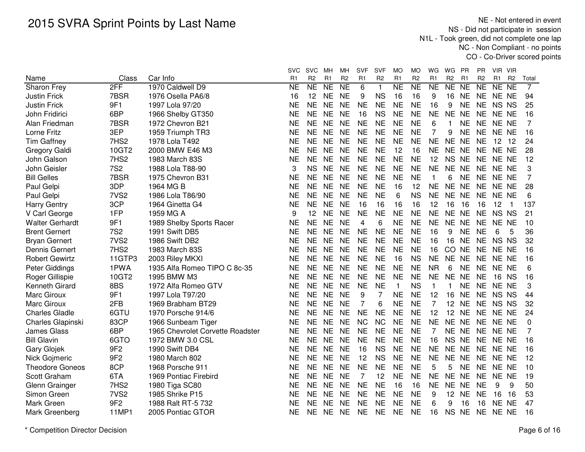NE - Not entered in event NS - Did not participate in session N1L - Took green, did not complete one lap NC - Non Compliant - no pointsCO - Co-Driver scored points

|                        |                  |                                  | <b>SVC</b>     | <b>SVC</b>     | MН              | мн             | <b>SVF</b>     | <b>SVF</b>     | MO                  | МO             | WG             | WG             | PR             | PR             | - VIR<br>VIR.                    |                |  |
|------------------------|------------------|----------------------------------|----------------|----------------|-----------------|----------------|----------------|----------------|---------------------|----------------|----------------|----------------|----------------|----------------|----------------------------------|----------------|--|
| Name                   | Class            | Car Info                         | R <sub>1</sub> | R <sub>2</sub> | R <sub>1</sub>  | R <sub>2</sub> | R <sub>1</sub> | R <sub>2</sub> | R <sub>1</sub>      | R <sub>2</sub> | R <sub>1</sub> | R <sub>2</sub> | R <sub>1</sub> | R <sub>2</sub> | R <sub>1</sub><br>R <sub>2</sub> | Total          |  |
| Sharon Frey            | 2FF              | 1970 Caldwell D9                 | <b>NE</b>      | NE             | $\overline{NE}$ | <b>NE</b>      | 6              | $\mathbf{1}$   | $\overline{\sf NE}$ | NE             | NE             | NE             | NE             | <b>NE</b>      | NE NE                            | $\overline{7}$ |  |
| <b>Justin Frick</b>    | 7BSR             | 1976 Osella PA6/8                | 16             | 12             | <b>NE</b>       | <b>NE</b>      | 9              | <b>NS</b>      | 16                  | 16             | 9              | 16             | <b>NE</b>      | <b>NE</b>      | NE NE                            | 94             |  |
| <b>Justin Frick</b>    | 9F1              | 1997 Lola 97/20                  | NΕ             | <b>NE</b>      | <b>NE</b>       | <b>NE</b>      | <b>NE</b>      | <b>NE</b>      | <b>NE</b>           | <b>NE</b>      | 16             | 9              | <b>NE</b>      | <b>NE</b>      | <b>NS</b><br><b>NS</b>           | 25             |  |
| John Fridirici         | 6BP              | 1966 Shelby GT350                | NE             | <b>NE</b>      | <b>NE</b>       | <b>NE</b>      | 16             | <b>NS</b>      | <b>NE</b>           | <b>NE</b>      | <b>NE</b>      | NE NE          |                | <b>NE</b>      | NE NE                            | 16             |  |
| Alan Friedman          | 7BSR             | 1972 Chevron B21                 | <b>NE</b>      | <b>NE</b>      | <b>NE</b>       | <b>NE</b>      | <b>NE</b>      | <b>NE</b>      | <b>NE</b>           | <b>NE</b>      | 6              | 1              | <b>NE</b>      | <b>NE</b>      | NE NE                            | 7              |  |
| Lorne Fritz            | 3EP              | 1959 Triumph TR3                 | <b>NE</b>      | <b>NE</b>      | <b>NE</b>       | <b>NE</b>      | <b>NE</b>      | <b>NE</b>      | <b>NE</b>           | <b>NE</b>      | $\overline{7}$ | 9              | <b>NE</b>      | <b>NE</b>      | NE NE                            | 16             |  |
| <b>Tim Gaffney</b>     | 7HS <sub>2</sub> | 1978 Lola T492                   | NΕ             | <b>NE</b>      | <b>NE</b>       | <b>NE</b>      | <b>NE</b>      | <b>NE</b>      | <b>NE</b>           | <b>NE</b>      | <b>NE</b>      | <b>NE</b>      | <b>NE</b>      | <b>NE</b>      | 12 12                            | 24             |  |
| Gregory Galdi          | 10GT2            | 2000 BMW E46 M3                  | NE             | <b>NE</b>      | <b>NE</b>       | <b>NE</b>      | <b>NE</b>      | <b>NE</b>      | 12                  | 16             | <b>NE</b>      | NE NE          |                | <b>NE</b>      | NE NE                            | 28             |  |
| John Galson            | 7HS2             | 1983 March 83S                   | NE             | <b>NE</b>      | <b>NE</b>       | <b>NE</b>      | <b>NE</b>      | <b>NE</b>      | <b>NE</b>           | <b>NE</b>      | 12             | <b>NS</b>      | <b>NE</b>      | <b>NE</b>      | NE NE                            | 12             |  |
| John Geisler           | <b>7S2</b>       | 1988 Lola T88-90                 | 3              | <b>NS</b>      | NE.             | <b>NE</b>      | <b>NE</b>      | <b>NE</b>      | <b>NE</b>           | <b>NE</b>      | <b>NE</b>      | NE NE          |                | <b>NE</b>      | NE NE                            | 3              |  |
| <b>Bill Gelles</b>     | 7BSR             | 1975 Chevron B31                 | ΝE             | <b>NE</b>      | <b>NE</b>       | <b>NE</b>      | <b>NE</b>      | <b>NE</b>      | <b>NE</b>           | <b>NE</b>      | 1              | 6              | <b>NE</b>      | <b>NE</b>      | NE NE                            | 7              |  |
| Paul Gelpi             | 3DP              | 1964 MG B                        | NΕ             | <b>NE</b>      | <b>NE</b>       | <b>NE</b>      | <b>NE</b>      | <b>NE</b>      | 16                  | 12             | <b>NE</b>      | NE NE          |                | <b>NE</b>      | NE NE                            | 28             |  |
| Paul Gelpi             | 7VS <sub>2</sub> | 1986 Lola T86/90                 | <b>NE</b>      | <b>NE</b>      | <b>NE</b>       | <b>NE</b>      | <b>NE</b>      | <b>NE</b>      | 6                   | <b>NS</b>      | <b>NE</b>      | NE NE          |                | <b>NE</b>      | NE NE                            | 6              |  |
| <b>Harry Gentry</b>    | 3CP              | 1964 Ginetta G4                  | <b>NE</b>      | <b>NE</b>      | <b>NE</b>       | <b>NE</b>      | 16             | 16             | 16                  | 16             | 12             | 16             | 16             | 16             | 12<br>$\overline{1}$             | 137            |  |
| V Carl George          | 1FP              | 1959 MG A                        | 9              | 12             | <b>NE</b>       | <b>NE</b>      | <b>NE</b>      | <b>NE</b>      | <b>NE</b>           | <b>NE</b>      | <b>NE</b>      | NE NE          |                | <b>NE</b>      | <b>NS</b><br><b>NS</b>           | 21             |  |
| <b>Walter Gerhardt</b> | 9F1              | 1989 Shelby Sports Racer         | <b>NE</b>      | <b>NE</b>      | <b>NE</b>       | <b>NE</b>      | 4              | 6              | <b>NE</b>           | <b>NE</b>      | <b>NE</b>      | NE NE          |                | <b>NE</b>      | NE NE                            | 10             |  |
| <b>Brent Gernert</b>   | <b>7S2</b>       | 1991 Swift DB5                   | NE             | <b>NE</b>      | <b>NE</b>       | <b>NE</b>      | <b>NE</b>      | <b>NE</b>      | <b>NE</b>           | <b>NE</b>      | 16             | 9              | <b>NE</b>      | <b>NE</b>      | 6<br>5                           | 36             |  |
| <b>Bryan Gernert</b>   | 7VS <sub>2</sub> | 1986 Swift DB2                   | ΝE             | <b>NE</b>      | <b>NE</b>       | <b>NE</b>      | <b>NE</b>      | <b>NE</b>      | <b>NE</b>           | <b>NE</b>      | 16             | 16             | <b>NE</b>      | <b>NE</b>      | <b>NS</b><br><b>NS</b>           | 32             |  |
| <b>Dennis Gernert</b>  | 7HS2             | 1983 March 83S                   | NE             | <b>NE</b>      | <b>NE</b>       | <b>NE</b>      | <b>NE</b>      | <b>NE</b>      | <b>NE</b>           | <b>NE</b>      | 16             | CO             | <b>NE</b>      | <b>NE</b>      | NE NE                            | 16             |  |
| <b>Robert Gewirtz</b>  | 11GTP3           | 2003 Riley MKXI                  | <b>NE</b>      | <b>NE</b>      | <b>NE</b>       | <b>NE</b>      | <b>NE</b>      | <b>NE</b>      | 16                  | <b>NS</b>      | <b>NE</b>      | <b>NE</b>      | <b>NE</b>      | <b>NE</b>      | NE NE                            | 16             |  |
| Peter Giddings         | 1PWA             | 1935 Alfa Romeo TIPO C 8c-35     | <b>NE</b>      | <b>NE</b>      | <b>NE</b>       | <b>NE</b>      | <b>NE</b>      | <b>NE</b>      | <b>NE</b>           | <b>NE</b>      | <b>NR</b>      | 6              | <b>NE</b>      | <b>NE</b>      | NE NE                            | 6              |  |
| Roger Gillispie        | 10GT2            | 1995 BMW M3                      | <b>NE</b>      | <b>NE</b>      | <b>NE</b>       | <b>NE</b>      | <b>NE</b>      | <b>NE</b>      | <b>NE</b>           | <b>NE</b>      | <b>NE</b>      | NE NE          |                | <b>NE</b>      | 16<br><b>NS</b>                  | 16             |  |
| Kenneth Girard         | 8BS              | 1972 Alfa Romeo GTV              | <b>NE</b>      | <b>NE</b>      | <b>NE</b>       | <b>NE</b>      | <b>NE</b>      | <b>NE</b>      | $\mathbf{1}$        | <b>NS</b>      | $\mathbf{1}$   | 1              | <b>NE</b>      | <b>NE</b>      | NE NE                            | 3              |  |
| Marc Giroux            | 9F1              | 1997 Lola T97/20                 | <b>NE</b>      | <b>NE</b>      | <b>NE</b>       | <b>NE</b>      | 9              | 7              | <b>NE</b>           | <b>NE</b>      | 12             | 16             | <b>NE</b>      | <b>NE</b>      | NS NS                            | 44             |  |
| Marc Giroux            | 2FB              | 1969 Brabham BT29                | NE             | <b>NE</b>      | <b>NE</b>       | <b>NE</b>      | 7              | 6              | <b>NE</b>           | <b>NE</b>      | $\overline{7}$ | 12             | <b>NE</b>      | <b>NE</b>      | NS NS                            | 32             |  |
| <b>Charles Gladle</b>  | 6GTU             | 1970 Porsche 914/6               | NΕ             | <b>NE</b>      | <b>NE</b>       | <b>NE</b>      | <b>NE</b>      | <b>NE</b>      | <b>NE</b>           | <b>NE</b>      | 12             | 12 NE          |                | <b>NE</b>      | NE NE                            | 24             |  |
| Charles Glapinski      | 83CP             | 1966 Sunbeam Tiger               | NE             | <b>NE</b>      | <b>NE</b>       | <b>NE</b>      | <b>NC</b>      | <b>NC</b>      | <b>NE</b>           | <b>NE</b>      | <b>NE</b>      | NE NE          |                | <b>NE</b>      | NE NE                            | 0              |  |
| <b>James Glass</b>     | 6BP              | 1965 Chevrolet Corvette Roadster | <b>NE</b>      | <b>NE</b>      | <b>NE</b>       | <b>NE</b>      | <b>NE</b>      | <b>NE</b>      | <b>NE</b>           | <b>NE</b>      | 7              | NE NE          |                | <b>NE</b>      | NE NE                            | 7              |  |
| <b>Bill Glavin</b>     | 6GTO             | 1972 BMW 3.0 CSL                 | NE.            | <b>NE</b>      | <b>NE</b>       | <b>NE</b>      | <b>NE</b>      | <b>NE</b>      | <b>NE</b>           | <b>NE</b>      | 16             | NS NE          |                | <b>NE</b>      | NE NE                            | 16             |  |
| Gary Glojek            | 9F <sub>2</sub>  | 1990 Swift DB4                   | NE             | <b>NE</b>      | <b>NE</b>       | <b>NE</b>      | 16             | <b>NS</b>      | <b>NE</b>           | <b>NE</b>      | <b>NE</b>      | NE NE          |                | <b>NE</b>      | NE NE                            | 16             |  |
| Nick Gojmeric          | 9F <sub>2</sub>  | 1980 March 802                   | NE             | <b>NE</b>      | <b>NE</b>       | <b>NE</b>      | 12             | <b>NS</b>      | <b>NE</b>           | <b>NE</b>      | <b>NE</b>      | NE NE          |                | <b>NE</b>      | NE NE                            | 12             |  |
| <b>Theodore Goneos</b> | 8CP              | 1968 Porsche 911                 | <b>NE</b>      | <b>NE</b>      | <b>NE</b>       | <b>NE</b>      | <b>NE</b>      | <b>NE</b>      | <b>NE</b>           | <b>NE</b>      | 5              | 5              | <b>NE</b>      | <b>NE</b>      | NE NE                            | 10             |  |
| Scott Graham           | 6TA              | 1969 Pontiac Firebird            | <b>NE</b>      | <b>NE</b>      | <b>NE</b>       | <b>NE</b>      | $\overline{7}$ | 12             | <b>NE</b>           | <b>NE</b>      | <b>NE</b>      | <b>NE</b>      | <b>NE</b>      | <b>NE</b>      | NE NE                            | 19             |  |
| Glenn Grainger         | 7HS2             | 1980 Tiga SC80                   | <b>NE</b>      | <b>NE</b>      | <b>NE</b>       | <b>NE</b>      | <b>NE</b>      | <b>NE</b>      | 16                  | 16             | <b>NE</b>      | <b>NE</b>      | <b>NE</b>      | <b>NE</b>      | 9<br>9                           | 50             |  |
| Simon Green            | 7VS <sub>2</sub> | 1985 Shrike P15                  | NΕ             | <b>NE</b>      | <b>NE</b>       | <b>NE</b>      | <b>NE</b>      | <b>NE</b>      | <b>NE</b>           | <b>NE</b>      | 9              | 12             | <b>NE</b>      | <b>NE</b>      | 16<br>16                         | 53             |  |
| Mark Green             | 9F <sub>2</sub>  | 1988 Ralt RT-5 732               | ΝE             | <b>NE</b>      | <b>NE</b>       | <b>NE</b>      | <b>NE</b>      | <b>NE</b>      | <b>NE</b>           | <b>NE</b>      | 6              | 9              | 16             | 16             | <b>NE</b><br><b>NE</b>           | 47             |  |
| Mark Greenberg         | <b>11MP1</b>     | 2005 Pontiac GTOR                | <b>NE</b>      | <b>NE</b>      | <b>NE</b>       | <b>NE</b>      | <b>NE</b>      | <b>NE</b>      | <b>NE</b>           | <b>NE</b>      | 16             | <b>NS</b>      | <b>NE</b>      | <b>NE</b>      | NE NE                            | 16             |  |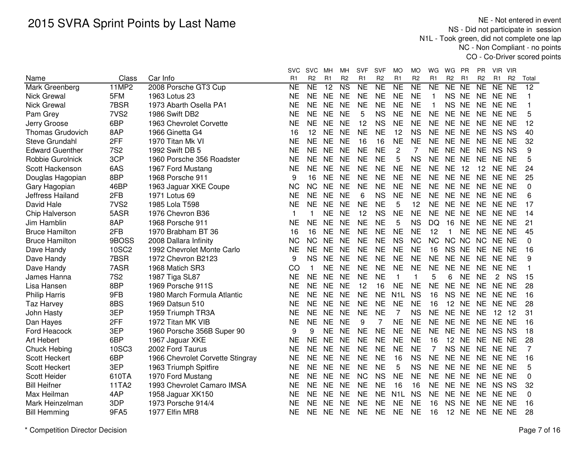NE - Not entered in event NS - Did not participate in session N1L - Took green, did not complete one lap NC - Non Compliant - no pointsCO - Co-Driver scored points

|                         |                  |                                  | svc            | <b>SVC</b>              | MН              | мн                     | <b>SVF</b>          | <b>SVF</b>     | MO               | МO             | WG             | WG             | <b>PR</b>       | <b>PR</b>           | VIR VIR               |                |                 |
|-------------------------|------------------|----------------------------------|----------------|-------------------------|-----------------|------------------------|---------------------|----------------|------------------|----------------|----------------|----------------|-----------------|---------------------|-----------------------|----------------|-----------------|
| Name                    | Class            | Car Info                         | R <sub>1</sub> | R <sub>2</sub>          | R <sub>1</sub>  | R <sub>2</sub>         | R <sub>1</sub>      | R <sub>2</sub> | R <sub>1</sub>   | R <sub>2</sub> | R <sub>1</sub> | R <sub>2</sub> | R <sub>1</sub>  | R <sub>2</sub>      | R1                    | R <sub>2</sub> | Total           |
| Mark Greenberg          | <b>11MP2</b>     | 2008 Porsche GT3 Cup             | <b>NE</b>      | <b>NE</b>               | $\overline{12}$ | $\overline{\text{NS}}$ | $\overline{\sf NE}$ | NE             | N <sub>E</sub>   | NE             | N <sub>E</sub> | NE             | $\overline{NE}$ | $\overline{\sf NE}$ | NE NE                 |                | $\overline{12}$ |
| <b>Nick Grewal</b>      | 5FM              | 1963 Lotus 23                    | <b>NE</b>      | <b>NE</b>               | <b>NE</b>       | <b>NE</b>              | <b>NE</b>           | <b>NE</b>      | <b>NE</b>        | <b>NE</b>      | 1              | <b>NS</b>      | <b>NE</b>       | <b>NE</b>           | NE NE                 |                | $\mathbf{1}$    |
| <b>Nick Grewal</b>      | 7BSR             | 1973 Abarth Osella PA1           | <b>NE</b>      | <b>NE</b>               | <b>NE</b>       | <b>NE</b>              | <b>NE</b>           | <b>NE</b>      | <b>NE</b>        | <b>NE</b>      | 1              | <b>NS</b>      | <b>NE</b>       | <b>NE</b>           | NE NE                 |                | 1               |
| Pam Grey                | 7VS <sub>2</sub> | 1986 Swift DB2                   | <b>NE</b>      | <b>NE</b>               | <b>NE</b>       | <b>NE</b>              | 5                   | <b>NS</b>      | <b>NE</b>        | <b>NE</b>      | <b>NE</b>      | <b>NE</b>      | <b>NE</b>       | <b>NE</b>           | NE NE                 |                | 5               |
| Jerry Groose            | 6BP              | 1963 Chevrolet Corvette          | <b>NE</b>      | <b>NE</b>               | <b>NE</b>       | <b>NE</b>              | 12                  | <b>NS</b>      | <b>NE</b>        | <b>NE</b>      | <b>NE</b>      | NE NE          |                 | <b>NE</b>           | NE NE                 |                | 12              |
| <b>Thomas Grudovich</b> | 8AP              | 1966 Ginetta G4                  | 16             | 12                      | <b>NE</b>       | <b>NE</b>              | <b>NE</b>           | <b>NE</b>      | 12               | <b>NS</b>      | <b>NE</b>      | NE NE          |                 | <b>NE</b>           | NS NS                 |                | 40              |
| Steve Grundahl          | 2FF              | 1970 Titan Mk VI                 | <b>NE</b>      | <b>NE</b>               | <b>NE</b>       | <b>NE</b>              | 16                  | 16             | <b>NE</b>        | <b>NE</b>      | <b>NE</b>      | NE NE          |                 | <b>NE</b>           | NE NE                 |                | 32              |
| <b>Edward Guenther</b>  | <b>7S2</b>       | 1992 Swift DB 5                  | NE             | <b>NE</b>               | <b>NE</b>       | <b>NE</b>              | <b>NE</b>           | <b>NE</b>      | $\overline{2}$   | 7              | <b>NE</b>      | NE NE          |                 |                     | NE NS NS              |                | 9               |
| Robbie Gurolnick        | 3CP              | 1960 Porsche 356 Roadster        | ΝE             | <b>NE</b>               | <b>NE</b>       | <b>NE</b>              | <b>NE</b>           | <b>NE</b>      | 5                | <b>NS</b>      | <b>NE</b>      | NE NE          |                 |                     | NE NE NE              |                | 5               |
| Scott Hackenson         | 6AS              | 1967 Ford Mustang                | <b>NE</b>      | <b>NE</b>               | <b>NE</b>       | <b>NE</b>              | <b>NE</b>           | <b>NE</b>      | <b>NE</b>        | <b>NE</b>      | <b>NE</b>      | <b>NE</b>      | 12              | 12                  | NE NE                 |                | 24              |
| Douglas Hagopian        | 8BP              | 1968 Porsche 911                 | 9              | 16                      | <b>NE</b>       | <b>NE</b>              | <b>NE</b>           | <b>NE</b>      | <b>NE</b>        | <b>NE</b>      | <b>NE</b>      | NE NE          |                 | <b>NE</b>           | NE NE                 |                | 25              |
| Gary Hagopian           | 46BP             | 1963 Jaguar XKE Coupe            | <b>NC</b>      | <b>NC</b>               | <b>NE</b>       | <b>NE</b>              | <b>NE</b>           | <b>NE</b>      | <b>NE</b>        | <b>NE</b>      | <b>NE</b>      | NE NE          |                 | <b>NE</b>           | NE NE                 |                | $\Omega$        |
| Jeffress Hailand        | 2FB              | 1971 Lotus 69                    | <b>NE</b>      | <b>NE</b>               | <b>NE</b>       | <b>NE</b>              | 6                   | <b>NS</b>      | <b>NE</b>        | <b>NE</b>      | <b>NE</b>      | NE NE          |                 | <b>NE</b>           | NE NE                 |                | 6               |
| David Hale              | 7VS <sub>2</sub> | 1985 Lola T598                   | <b>NE</b>      | <b>NE</b>               | <b>NE</b>       | <b>NE</b>              | <b>NE</b>           | <b>NE</b>      | 5                | 12             | <b>NE</b>      | NE NE          |                 | <b>NE</b>           | NE NE                 |                | 17              |
| Chip Halverson          | 5ASR             | 1976 Chevron B36                 | 1              | $\overline{\mathbf{1}}$ | <b>NE</b>       | <b>NE</b>              | 12                  | <b>NS</b>      | <b>NE</b>        | <b>NE</b>      | <b>NE</b>      | NE NE          |                 | <b>NE</b>           | NE NE                 |                | 14              |
| Jim Hamblin             | 8AP              | 1968 Porsche 911                 | <b>NE</b>      | <b>NE</b>               | <b>NE</b>       | <b>NE</b>              | <b>NE</b>           | <b>NE</b>      | 5                | <b>NS</b>      | DQ             | 16             | <b>NE</b>       | <b>NE</b>           | NE NE                 |                | 21              |
| <b>Bruce Hamilton</b>   | 2FB              | 1970 Brabham BT 36               | 16             | 16                      | <b>NE</b>       | <b>NE</b>              | <b>NE</b>           | <b>NE</b>      | <b>NE</b>        | <b>NE</b>      | 12             | $\mathbf{1}$   | <b>NE</b>       | <b>NE</b>           | NE NE                 |                | 45              |
| <b>Bruce Hamilton</b>   | 9BOSS            | 2008 Dallara Infinity            | <b>NC</b>      | <b>NC</b>               | <b>NE</b>       | <b>NE</b>              | <b>NE</b>           | <b>NE</b>      | <b>NS</b>        | <b>NC</b>      | <b>NC</b>      | NC NC          |                 | <b>NC</b>           | NE NE                 |                | $\Omega$        |
| Dave Handy              | 10SC2            | 1992 Chevrolet Monte Carlo       | <b>NE</b>      | <b>NE</b>               | <b>NE</b>       | <b>NE</b>              | <b>NE</b>           | <b>NE</b>      | <b>NE</b>        | <b>NE</b>      | 16             | <b>NS</b>      | <b>NE</b>       | <b>NE</b>           | NE NE                 |                | 16              |
| Dave Handy              | 7BSR             | 1972 Chevron B2123               | 9              | <b>NS</b>               | <b>NE</b>       | <b>NE</b>              | <b>NE</b>           | <b>NE</b>      | <b>NE</b>        | <b>NE</b>      | <b>NE</b>      | <b>NE</b>      | <b>NE</b>       | <b>NE</b>           | NE NE                 |                | 9               |
| Dave Handy              | 7ASR             | 1968 Matich SR3                  | CO             | $\mathbf{1}$            | <b>NE</b>       | <b>NE</b>              | <b>NE</b>           | <b>NE</b>      | <b>NE</b>        | <b>NE</b>      | <b>NE</b>      | <b>NE</b>      | <b>NE</b>       | <b>NE</b>           | NE NE                 |                | $\mathbf{1}$    |
| James Hanna             | <b>7S2</b>       | 1987 Tiga SL87                   | <b>NE</b>      | <b>NE</b>               | <b>NE</b>       | <b>NE</b>              | <b>NE</b>           | <b>NE</b>      | $\mathbf{1}$     | $\mathbf{1}$   | 5              | 6              | <b>NE</b>       | <b>NE</b>           | $\mathbf{2}^{\prime}$ | <b>NS</b>      | 15              |
| Lisa Hansen             | 8BP              | 1969 Porsche 911S                | <b>NE</b>      | <b>NE</b>               | <b>NE</b>       | <b>NE</b>              | 12                  | 16             | <b>NE</b>        | <b>NE</b>      | <b>NE</b>      | NE NE          |                 | <b>NE</b>           | NE NE                 |                | 28              |
| <b>Philip Harris</b>    | 9FB              | 1980 March Formula Atlantic      | <b>NE</b>      | <b>NE</b>               | <b>NE</b>       | <b>NE</b>              | <b>NE</b>           | <b>NE</b>      | N <sub>1</sub> L | <b>NS</b>      | 16             | NS NE          |                 |                     | NE NE NE              |                | 16              |
| <b>Taz Harvey</b>       | 8BS              | 1969 Datsun 510                  | <b>NE</b>      | <b>NE</b>               | <b>NE</b>       | <b>NE</b>              | <b>NE</b>           | <b>NE</b>      | <b>NE</b>        | <b>NE</b>      | 16             | 12 NE          |                 | <b>NE</b>           | NE NE                 |                | 28              |
| John Hasty              | 3EP              | 1959 Triumph TR3A                | <b>NE</b>      | <b>NE</b>               | <b>NE</b>       | <b>NE</b>              | <b>NE</b>           | <b>NE</b>      | 7                | <b>NS</b>      | <b>NE</b>      | NE NE          |                 | <b>NE</b>           | 12 12                 |                | 31              |
| Dan Hayes               | 2FF              | 1972 Titan MK VIB                | <b>NE</b>      | <b>NE</b>               | <b>NE</b>       | <b>NE</b>              | 9                   | 7              | <b>NE</b>        | NE             | <b>NE</b>      | NE NE          |                 | <b>NE</b>           | NE NE                 |                | 16              |
| Ford Heacock            | 3EP              | 1960 Porsche 356B Super 90       | 9              | 9                       | <b>NE</b>       | <b>NE</b>              | <b>NE</b>           | <b>NE</b>      | <b>NE</b>        | <b>NE</b>      | <b>NE</b>      | NE NE          |                 | <b>NE</b>           | NS NS                 |                | 18              |
| <b>Art Hebert</b>       | 6BP              | 1967 Jaguar XKE                  | <b>NE</b>      | <b>NE</b>               | <b>NE</b>       | <b>NE</b>              | <b>NE</b>           | <b>NE</b>      | <b>NE</b>        | <b>NE</b>      | 16             | 12             | <b>NE</b>       | <b>NE</b>           | NE NE                 |                | 28              |
| Chuck Hebing            | 10SC3            | 2002 Ford Taurus                 | <b>NE</b>      | <b>NE</b>               | <b>NE</b>       | <b>NE</b>              | <b>NE</b>           | <b>NE</b>      | <b>NE</b>        | <b>NE</b>      | 7              | <b>NS</b>      | <b>NE</b>       | <b>NE</b>           | NE NE                 |                | 7               |
| <b>Scott Heckert</b>    | 6BP              | 1966 Chevrolet Corvette Stingray | <b>NE</b>      | <b>NE</b>               | <b>NE</b>       | <b>NE</b>              | <b>NE</b>           | <b>NE</b>      | 16               | <b>NS</b>      | <b>NE</b>      | <b>NE</b>      | <b>NE</b>       | <b>NE</b>           | NE NE                 |                | 16              |
| Scott Heckert           | 3EP              | 1963 Triumph Spitfire            | <b>NE</b>      | <b>NE</b>               | <b>NE</b>       | <b>NE</b>              | <b>NE</b>           | <b>NE</b>      | 5                | <b>NS</b>      | <b>NE</b>      | NE NE          |                 | <b>NE</b>           | NE NE                 |                | 5               |
| Scott Heider            | 610TA            | 1970 Ford Mustang                | <b>NE</b>      | <b>NE</b>               | <b>NE</b>       | <b>NE</b>              | <b>NC</b>           | <b>NS</b>      | <b>NE</b>        | <b>NE</b>      | <b>NE</b>      | NE NE          |                 | <b>NE</b>           | NE NE                 |                | $\mathbf 0$     |
| <b>Bill Heifner</b>     | 11TA2            | 1993 Chevrolet Camaro IMSA       | <b>NE</b>      | <b>NE</b>               | <b>NE</b>       | <b>NE</b>              | <b>NE</b>           | <b>NE</b>      | 16               | 16             | <b>NE</b>      | <b>NE</b>      | <b>NE</b>       | <b>NE</b>           | NS NS                 |                | 32              |
| Max Heilman             | 4AP              | 1958 Jaguar XK150                | <b>NE</b>      | <b>NE</b>               | <b>NE</b>       | <b>NE</b>              | <b>NE</b>           | <b>NE</b>      | N <sub>1</sub> L | <b>NS</b>      | <b>NE</b>      | <b>NE</b>      | <b>NE</b>       | <b>NE</b>           | NE NE                 |                | 0               |
| Mark Heinzelman         | 3DP              | 1973 Porsche 914/4               | <b>NE</b>      | <b>NE</b>               | <b>NE</b>       | <b>NE</b>              | <b>NE</b>           | <b>NE</b>      | <b>NE</b>        | <b>NE</b>      | 16             | <b>NS</b>      | <b>NE</b>       | <b>NE</b>           | NE NE                 |                | 16              |
| <b>Bill Hemming</b>     | 9FA5             | 1977 Elfin MR8                   | <b>NE</b>      | <b>NE</b>               | <b>NE</b>       | <b>NE</b>              | <b>NE</b>           | <b>NE</b>      | <b>NE</b>        | <b>NE</b>      | 16             | 12             | <b>NE</b>       |                     | NE NE NE              |                | 28              |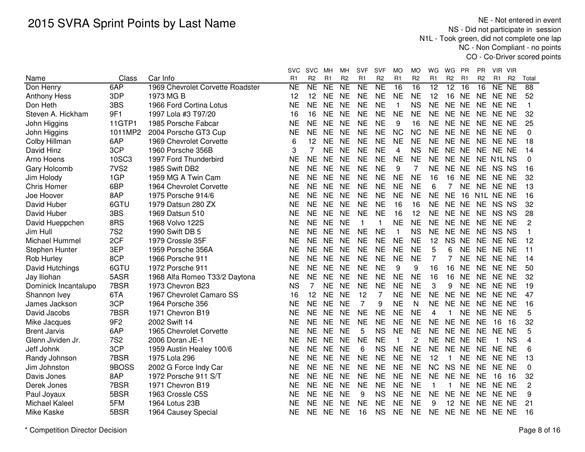NE - Not entered in event NS - Did not participate in session N1L - Took green, did not complete one lap NC - Non Compliant - no pointsCO - Co-Driver scored points

|                      |                  |                                  | svc       | <b>SVC</b>     | MН             | мн              | <b>SVF</b>     | <b>SVF</b>     | MO             | МO             | WG             | WG              | PR             | PR             | VIR VIR                |                |                |
|----------------------|------------------|----------------------------------|-----------|----------------|----------------|-----------------|----------------|----------------|----------------|----------------|----------------|-----------------|----------------|----------------|------------------------|----------------|----------------|
| Name                 | Class            | Car Info                         | R1        | R <sub>2</sub> | R <sub>1</sub> | R <sub>2</sub>  | R <sub>1</sub> | R <sub>2</sub> | R <sub>1</sub> | R <sub>2</sub> | R <sub>1</sub> | R <sub>2</sub>  | R <sub>1</sub> | R <sub>2</sub> | R <sub>1</sub>         | R <sub>2</sub> | Total          |
| Don Henry            | 6AP              | 1969 Chevrolet Corvette Roadster | <b>NE</b> | <b>NE</b>      | <b>NE</b>      | $\overline{NE}$ | <b>NE</b>      | <b>NE</b>      | 16             | 16             | 12             | $\overline{12}$ | 16             | 16             | $N E$ NE               |                | 88             |
| <b>Anthony Hess</b>  | 3DP              | 1973 MG B                        | 12        | 12             | <b>NE</b>      | <b>NE</b>       | <b>NE</b>      | <b>NE</b>      | <b>NE</b>      | <b>NE</b>      | 12             | 16              | <b>NE</b>      | <b>NE</b>      | NE NE                  |                | 52             |
| Don Heth             | 3BS              | 1966 Ford Cortina Lotus          | <b>NE</b> | <b>NE</b>      | <b>NE</b>      | <b>NE</b>       | <b>NE</b>      | <b>NE</b>      | $\mathbf{1}$   | <b>NS</b>      | <b>NE</b>      | <b>NE</b>       | <b>NE</b>      | <b>NE</b>      | NE NE                  |                | $\mathbf{1}$   |
| Steven A. Hickham    | 9F1              | 1997 Lola #3 T97/20              | 16        | 16             | <b>NE</b>      | <b>NE</b>       | <b>NE</b>      | <b>NE</b>      | <b>NE</b>      | <b>NE</b>      | <b>NE</b>      | NE NE           |                | <b>NE</b>      | NE NE                  |                | 32             |
| John Higgins         | 11GTP1           | 1985 Porsche Fabcar              | <b>NE</b> | <b>NE</b>      | <b>NE</b>      | <b>NE</b>       | <b>NE</b>      | <b>NE</b>      | 9              | 16             | <b>NE</b>      | NE NE           |                | <b>NE</b>      | NE NE                  |                | 25             |
| John Higgins         | 1011MP2          | 2004 Porsche GT3 Cup             | <b>NE</b> | <b>NE</b>      | <b>NE</b>      | <b>NE</b>       | <b>NE</b>      | <b>NE</b>      | <b>NC</b>      | <b>NC</b>      | <b>NE</b>      | NE NE           |                | <b>NE</b>      | NE NE                  |                | 0              |
| Colby Hillman        | 6AP              | 1969 Chevrolet Corvette          | 6         | 12             | <b>NE</b>      | <b>NE</b>       | <b>NE</b>      | <b>NE</b>      | <b>NE</b>      | <b>NE</b>      | <b>NE</b>      | NE NE           |                |                | NE NE NE               |                | 18             |
| David Hinz           | 3CP              | 1960 Porsche 356B                | 3         | 7              | <b>NE</b>      | <b>NE</b>       | <b>NE</b>      | <b>NE</b>      | 4              | <b>NS</b>      | <b>NE</b>      | NE NE           |                |                | NE NE NE               |                | 14             |
| Arno Hoens           | 10SC3            | 1997 Ford Thunderbird            | <b>NE</b> | <b>NE</b>      | <b>NE</b>      | <b>NE</b>       | <b>NE</b>      | <b>NE</b>      | <b>NE</b>      | <b>NE</b>      | <b>NE</b>      | NE NE           |                |                | NE N1L NS              |                | $\Omega$       |
| Gary Holcomb         | 7VS <sub>2</sub> | 1985 Swift DB2                   | <b>NE</b> | <b>NE</b>      | <b>NE</b>      | <b>NE</b>       | <b>NE</b>      | <b>NE</b>      | 9              | 7              | <b>NE</b>      | NE NE           |                |                | NE NS NS               |                | 16             |
| Jim Holody           | 1GP              | 1959 MG A Twin Cam               | <b>NE</b> | <b>NE</b>      | <b>NE</b>      | <b>NE</b>       | <b>NE</b>      | <b>NE</b>      | <b>NE</b>      | <b>NE</b>      | 16             | 16              | <b>NE</b>      | <b>NE</b>      | NE NE                  |                | 32             |
| <b>Chris Homer</b>   | 6BP              | 1964 Chevrolet Corvette          | <b>NE</b> | <b>NE</b>      | <b>NE</b>      | <b>NE</b>       | <b>NE</b>      | <b>NE</b>      | <b>NE</b>      | <b>NE</b>      | 6              |                 | <b>NE</b>      | <b>NE</b>      | NE NE                  |                | 13             |
| Joe Hoover           | 8AP              | 1975 Porsche 914/6               | <b>NE</b> | <b>NE</b>      | <b>NE</b>      | <b>NE</b>       | <b>NE</b>      | <b>NE</b>      | <b>NE</b>      | <b>NE</b>      | <b>NE</b>      | <b>NE</b>       | 16             |                | N <sub>1</sub> L NE NE |                | 16             |
| David Huber          | 6GTU             | 1979 Datsun 280 ZX               | <b>NE</b> | <b>NE</b>      | <b>NE</b>      | <b>NE</b>       | <b>NE</b>      | <b>NE</b>      | 16             | 16             | <b>NE</b>      | NE NE           |                | <b>NE</b>      | NS NS                  |                | 32             |
| David Huber          | 3BS              | 1969 Datsun 510                  | <b>NE</b> | <b>NE</b>      | <b>NE</b>      | <b>NE</b>       | <b>NE</b>      | <b>NE</b>      | 16             | 12             | <b>NE</b>      | NE NE           |                | <b>NE</b>      | NS NS                  |                | 28             |
| David Hueppchen      | 8RS              | 1968 Volvo 122S                  | <b>NE</b> | <b>NE</b>      | <b>NE</b>      | <b>NE</b>       | $\mathbf{1}$   | 1              | <b>NE</b>      | <b>NE</b>      | <b>NE</b>      | NE NE           |                | <b>NE</b>      | NE NE                  |                | $\overline{2}$ |
| Jim Hull             | <b>7S2</b>       | 1990 Swift DB 5                  | <b>NE</b> | <b>NE</b>      | <b>NE</b>      | <b>NE</b>       | <b>NE</b>      | <b>NE</b>      | 1              | <b>NS</b>      | <b>NE</b>      | NE NE           |                | <b>NE</b>      | NS NS                  |                | 1              |
| Michael Hummel       | 2CF              | 1979 Crossle 35F                 | <b>NE</b> | <b>NE</b>      | <b>NE</b>      | <b>NE</b>       | <b>NE</b>      | <b>NE</b>      | <b>NE</b>      | <b>NE</b>      | 12             | <b>NS</b>       | <b>NE</b>      | <b>NE</b>      | NE NE                  |                | 12             |
| Stephen Hunter       | 3EP              | 1959 Porsche 356A                | <b>NE</b> | <b>NE</b>      | <b>NE</b>      | <b>NE</b>       | <b>NE</b>      | <b>NE</b>      | <b>NE</b>      | <b>NE</b>      | 5              | 6               | <b>NE</b>      | <b>NE</b>      | NE NE                  |                | 11             |
| Rob Hurley           | 8CP              | 1966 Porsche 911                 | <b>NE</b> | <b>NE</b>      | <b>NE</b>      | <b>NE</b>       | <b>NE</b>      | <b>NE</b>      | <b>NE</b>      | <b>NE</b>      | 7              | 7               | <b>NE</b>      |                | NE NE NE               |                | 14             |
| David Hutchings      | 6GTU             | 1972 Porsche 911                 | <b>NE</b> | <b>NE</b>      | <b>NE</b>      | <b>NE</b>       | <b>NE</b>      | <b>NE</b>      | 9              | 9              | 16             | 16              | <b>NE</b>      |                | NE NE NE               |                | 50             |
| Jay Iliohan          | 5ASR             | 1968 Alfa Romeo T33/2 Daytona    | <b>NE</b> | <b>NE</b>      | <b>NE</b>      | <b>NE</b>       | <b>NE</b>      | <b>NE</b>      | <b>NE</b>      | <b>NE</b>      | 16             | 16              | <b>NE</b>      | <b>NE</b>      | NE NE                  |                | 32             |
| Dominick Incantalupo | 7BSR             | 1973 Chevron B23                 | <b>NS</b> | $\overline{7}$ | <b>NE</b>      | <b>NE</b>       | <b>NE</b>      | <b>NE</b>      | <b>NE</b>      | <b>NE</b>      | 3              | 9               | <b>NE</b>      | <b>NE</b>      | NE NE                  |                | 19             |
| Shannon Ivey         | 6TA              | 1967 Chevrolet Camaro SS         | 16        | 12             | <b>NE</b>      | <b>NE</b>       | 12             | 7              | <b>NE</b>      | <b>NE</b>      | <b>NE</b>      | NE NE           |                | <b>NE</b>      | NE NE                  |                | 47             |
| James Jackson        | 3CP              | 1964 Porsche 356                 | <b>NE</b> | <b>NE</b>      | <b>NE</b>      | <b>NE</b>       | 7              | 9              | <b>NE</b>      | N              | <b>NE</b>      | <b>NE</b>       | <b>NE</b>      | <b>NE</b>      | NE NE                  |                | 16             |
| David Jacobs         | 7BSR             | 1971 Chevron B19                 | <b>NE</b> | <b>NE</b>      | <b>NE</b>      | <b>NE</b>       | <b>NE</b>      | <b>NE</b>      | <b>NE</b>      | <b>NE</b>      | 4              | 1               | <b>NE</b>      | <b>NE</b>      | NE NE                  |                | 5              |
| Mike Jacques         | 9F <sub>2</sub>  | 2002 Swift 14                    | <b>NE</b> | <b>NE</b>      | <b>NE</b>      | <b>NE</b>       | <b>NE</b>      | <b>NE</b>      | <b>NE</b>      | <b>NE</b>      | <b>NE</b>      | NE NE           |                | <b>NE</b>      | 16                     | 16             | 32             |
| <b>Brent Jarvis</b>  | 6AP              | 1965 Chevrolet Corvette          | <b>NE</b> | <b>NE</b>      | <b>NE</b>      | <b>NE</b>       | 5              | <b>NS</b>      | <b>NE</b>      | <b>NE</b>      | <b>NE</b>      | NE NE           |                | <b>NE</b>      | NE NE                  |                | 5              |
| Glenn Jividen Jr.    | <b>7S2</b>       | 2006 Doran JE-1                  | <b>NE</b> | <b>NE</b>      | <b>NE</b>      | <b>NE</b>       | <b>NE</b>      | <b>NE</b>      | $\mathbf{1}$   | 2              | <b>NE</b>      | NE NE           |                | <b>NE</b>      | $\mathbf 1$            | <b>NS</b>      | 4              |
| Jeff Johnk           | 3CP              | 1959 Austin Healey 100/6         | <b>NE</b> | <b>NE</b>      | <b>NE</b>      | <b>NE</b>       | 6              | <b>NS</b>      | <b>NE</b>      | <b>NE</b>      | <b>NE</b>      | <b>NE</b>       | <b>NE</b>      | <b>NE</b>      | NE NE                  |                | 6              |
| Randy Johnson        | 7BSR             | 1975 Lola 296                    | <b>NE</b> | <b>NE</b>      | <b>NE</b>      | <b>NE</b>       | <b>NE</b>      | <b>NE</b>      | <b>NE</b>      | <b>NE</b>      | 12             | $\mathbf{1}$    | <b>NE</b>      | <b>NE</b>      | NE NE                  |                | 13             |
| Jim Johnston         | 9BOSS            | 2002 G Force Indy Car            | <b>NE</b> | <b>NE</b>      | <b>NE</b>      | <b>NE</b>       | <b>NE</b>      | <b>NE</b>      | <b>NE</b>      | <b>NE</b>      | <b>NC</b>      | NS NE           |                | <b>NE</b>      | NE NE                  |                | 0              |
| Davis Jones          | 8AP              | 1972 Porsche 911 S/T             | <b>NE</b> | <b>NE</b>      | <b>NE</b>      | <b>NE</b>       | <b>NE</b>      | <b>NE</b>      | <b>NE</b>      | <b>NE</b>      | <b>NE</b>      | <b>NE</b>       | <b>NE</b>      | <b>NE</b>      | 16                     | -16            | 32             |
| Derek Jones          | 7BSR             | 1971 Chevron B19                 | <b>NE</b> | <b>NE</b>      | <b>NE</b>      | <b>NE</b>       | <b>NE</b>      | <b>NE</b>      | <b>NE</b>      | <b>NE</b>      | 1              | 1               | <b>NE</b>      | <b>NE</b>      | NE NE                  |                | $\overline{2}$ |
| Paul Joyaux          | 5BSR             | 1963 Crossle C5S                 | NΕ        | <b>NE</b>      | <b>NE</b>      | <b>NE</b>       | 9              | <b>NS</b>      | <b>NE</b>      | <b>NE</b>      | <b>NE</b>      | NE NE           |                | NE.            | NE NE                  |                | 9              |
| Michael Kaleel       | 5FM              | 1964 Lotus 23B                   | NE        | <b>NE</b>      | <b>NE</b>      | <b>NE</b>       | <b>NE</b>      | <b>NE</b>      | <b>NE</b>      | <b>NE</b>      | 9              | 12 NE           |                | NE             | NE NE                  |                | 21             |
| Mike Kaske           | 5BSR             | 1964 Causey Special              | <b>NE</b> | <b>NE</b>      | <b>NE</b>      | <b>NE</b>       | 16             | <b>NS</b>      | <b>NE</b>      | <b>NE</b>      | <b>NE</b>      | NE NE           |                |                | NE NE NE               |                | 16             |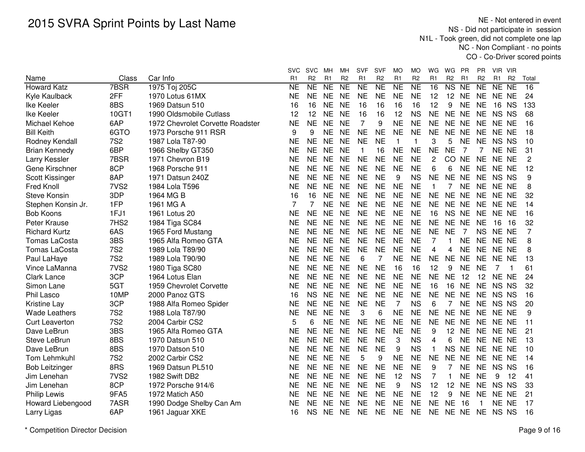NE - Not entered in event NS - Did not participate in session N1L - Took green, did not complete one lap NC - Non Compliant - no pointsCO - Co-Driver scored points

|                            | Class            |                                  | <b>SVC</b><br>R <sub>1</sub> | <b>SVC</b><br>R <sub>2</sub> | MН<br>R <sub>1</sub> | мн<br>R <sub>2</sub> | <b>SVF</b><br>R <sub>1</sub> | <b>SVF</b><br>R <sub>2</sub> | MO<br>R <sub>1</sub> | МO<br>R <sub>2</sub> | WG<br>R <sub>1</sub> | WG<br>R <sub>2</sub>   | PR<br>R <sub>1</sub> | PR<br>R <sub>2</sub> | - VIR<br>VIR.<br>R <sub>1</sub> | R <sub>2</sub> | Total |
|----------------------------|------------------|----------------------------------|------------------------------|------------------------------|----------------------|----------------------|------------------------------|------------------------------|----------------------|----------------------|----------------------|------------------------|----------------------|----------------------|---------------------------------|----------------|-------|
| Name<br><b>Howard Katz</b> | 7BSR             | Car Info<br>1975 Toj 205C        | <b>NE</b>                    | <b>NE</b>                    | <b>NE</b>            | <b>NE</b>            | $\overline{NE}$              | N <sub>E</sub>               | <b>NE</b>            | <b>NE</b>            | 16                   | $\overline{\text{NS}}$ | <b>NE</b>            | <b>NE</b>            | <b>NE</b>                       | <b>NE</b>      | 16    |
| Kyle Kaulback              | 2FF              | 1970 Lotus 61MX                  | <b>NE</b>                    | <b>NE</b>                    | <b>NE</b>            | <b>NE</b>            | <b>NE</b>                    | <b>NE</b>                    | <b>NE</b>            | <b>NE</b>            | 12                   | 12                     | <b>NE</b>            | <b>NE</b>            | NE NE                           |                | 24    |
| Ike Keeler                 | 8BS              | 1969 Datsun 510                  | 16                           | 16                           | <b>NE</b>            | <b>NE</b>            | 16                           | 16                           | 16                   | 16                   | 12                   | 9                      | <b>NE</b>            | <b>NE</b>            | 16                              | <b>NS</b>      | 133   |
| Ike Keeler                 | 10GT1            | 1990 Oldsmobile Cutlass          | 12                           | 12                           | <b>NE</b>            | <b>NE</b>            | 16                           | 16                           | 12                   | <b>NS</b>            | <b>NE</b>            | NE NE                  |                      | <b>NE</b>            | NS NS                           |                | 68    |
| Michael Kehoe              | 6AP              | 1972 Chevrolet Corvette Roadster | ΝE                           | <b>NE</b>                    | <b>NE</b>            | <b>NE</b>            | 7                            | 9                            | <b>NE</b>            | <b>NE</b>            | <b>NE</b>            | <b>NE</b>              | <b>NE</b>            | <b>NE</b>            | NE NE                           |                | 16    |
| <b>Bill Keith</b>          | 6GTO             | 1973 Porsche 911 RSR             | 9                            | 9                            | <b>NE</b>            | <b>NE</b>            | <b>NE</b>                    | <b>NE</b>                    | <b>NE</b>            | <b>NE</b>            | <b>NE</b>            | <b>NE</b>              | <b>NE</b>            | <b>NE</b>            | NE NE                           |                | 18    |
| Rodney Kendall             | <b>7S2</b>       | 1987 Lola T87-90                 | NΕ                           | <b>NE</b>                    | <b>NE</b>            | <b>NE</b>            | <b>NE</b>                    | <b>NE</b>                    | $\mathbf 1$          | 1                    | 3                    | 5                      | <b>NE</b>            | <b>NE</b>            | NS NS                           |                | 10    |
| <b>Brian Kennedy</b>       | 6BP              | 1966 Shelby GT350                | NE                           | <b>NE</b>                    | <b>NE</b>            | <b>NE</b>            | -1                           | 16                           | <b>NE</b>            | <b>NE</b>            | <b>NE</b>            | <b>NE</b>              | 7                    | 7                    | NE NE                           |                | 31    |
| Larry Kessler              | 7BSR             | 1971 Chevron B19                 | ΝE                           | <b>NE</b>                    | <b>NE</b>            | <b>NE</b>            | <b>NE</b>                    | <b>NE</b>                    | <b>NE</b>            | <b>NE</b>            | 2                    | CO                     | <b>NE</b>            | <b>NE</b>            | NE NE                           |                | 2     |
| Gene Kirschner             | 8CP              | 1968 Porsche 911                 | NE                           | <b>NE</b>                    | <b>NE</b>            | <b>NE</b>            | <b>NE</b>                    | <b>NE</b>                    | <b>NE</b>            | <b>NE</b>            | 6                    | 6                      | <b>NE</b>            | <b>NE</b>            | NE NE                           |                | 12    |
| Scott Kissinger            | 8AP              | 1971 Datsun 240Z                 | NE                           | <b>NE</b>                    | <b>NE</b>            | <b>NE</b>            | <b>NE</b>                    | <b>NE</b>                    | 9                    | <b>NS</b>            | <b>NE</b>            | <b>NE</b>              | <b>NE</b>            | <b>NE</b>            | NS NS                           |                | 9     |
| <b>Fred Knoll</b>          | 7VS <sub>2</sub> | 1984 Lola T596                   | <b>NE</b>                    | <b>NE</b>                    | <b>NE</b>            | <b>NE</b>            | <b>NE</b>                    | <b>NE</b>                    | <b>NE</b>            | <b>NE</b>            | 1                    | 7                      | <b>NE</b>            | <b>NE</b>            | NE NE                           |                | 8     |
| <b>Steve Konsin</b>        | 3DP              | 1964 MG B                        | 16                           | 16                           | <b>NE</b>            | <b>NE</b>            | <b>NE</b>                    | <b>NE</b>                    | <b>NE</b>            | <b>NE</b>            | <b>NE</b>            | <b>NE</b>              | <b>NE</b>            | <b>NE</b>            | NE NE                           |                | 32    |
| Stephen Konsin Jr.         | 1FP              | 1961 MG A                        | 7                            | 7                            | <b>NE</b>            | <b>NE</b>            | <b>NE</b>                    | <b>NE</b>                    | <b>NE</b>            | <b>NE</b>            | <b>NE</b>            | NE NE                  |                      | <b>NE</b>            | NE NE                           |                | 14    |
| <b>Bob Koons</b>           | 1FJ1             | 1961 Lotus 20                    | ΝE                           | <b>NE</b>                    | <b>NE</b>            | <b>NE</b>            | <b>NE</b>                    | <b>NE</b>                    | <b>NE</b>            | <b>NE</b>            | 16                   | <b>NS</b>              | <b>NE</b>            | <b>NE</b>            | NE NE                           |                | 16    |
| Peter Krause               | 7HS2             | 1984 Tiga SC84                   | NE                           | <b>NE</b>                    | <b>NE</b>            | <b>NE</b>            | <b>NE</b>                    | <b>NE</b>                    | <b>NE</b>            | <b>NE</b>            | <b>NE</b>            | NE NE                  |                      | <b>NE</b>            | 16                              | 16             | 32    |
| <b>Richard Kurtz</b>       | 6AS              | 1965 Ford Mustang                | <b>NE</b>                    | <b>NE</b>                    | <b>NE</b>            | <b>NE</b>            | <b>NE</b>                    | <b>NE</b>                    | <b>NE</b>            | <b>NE</b>            | <b>NE</b>            | <b>NE</b>              | $\overline{7}$       | <b>NS</b>            | NE NE                           |                | 7     |
| <b>Tomas LaCosta</b>       | 3BS              | 1965 Alfa Romeo GTA              | <b>NE</b>                    | <b>NE</b>                    | <b>NE</b>            | <b>NE</b>            | <b>NE</b>                    | <b>NE</b>                    | <b>NE</b>            | <b>NE</b>            | 7                    | 1                      | <b>NE</b>            | <b>NE</b>            | NE NE                           |                | 8     |
| <b>Tomas LaCosta</b>       | <b>7S2</b>       | 1989 Lola T89/90                 | NE                           | <b>NE</b>                    | <b>NE</b>            | <b>NE</b>            | <b>NE</b>                    | <b>NE</b>                    | <b>NE</b>            | <b>NE</b>            | 4                    | 4                      | <b>NE</b>            | <b>NE</b>            | NE NE                           |                | 8     |
| Paul LaHaye                | <b>7S2</b>       | 1989 Lola T90/90                 | NE                           | <b>NE</b>                    | <b>NE</b>            | <b>NE</b>            | 6                            | 7                            | <b>NE</b>            | <b>NE</b>            | <b>NE</b>            | <b>NE</b>              | <b>NE</b>            | <b>NE</b>            | NE NE                           |                | 13    |
| Vince LaManna              | 7VS <sub>2</sub> | 1980 Tiga SC80                   | NΕ                           | <b>NE</b>                    | <b>NE</b>            | <b>NE</b>            | <b>NE</b>                    | <b>NE</b>                    | 16                   | 16                   | 12                   | 9                      | <b>NE</b>            | <b>NE</b>            | 7                               |                | 61    |
| <b>Clark Lance</b>         | 3CP              | 1964 Lotus Elan                  | NΕ                           | <b>NE</b>                    | <b>NE</b>            | <b>NE</b>            | <b>NE</b>                    | <b>NE</b>                    | <b>NE</b>            | <b>NE</b>            | <b>NE</b>            | <b>NE</b>              | 12                   | 12                   | NE NE                           |                | 24    |
| Simon Lane                 | 5GT              | 1959 Chevrolet Corvette          | ΝE                           | <b>NE</b>                    | <b>NE</b>            | <b>NE</b>            | <b>NE</b>                    | <b>NE</b>                    | <b>NE</b>            | <b>NE</b>            | 16                   | 16                     | <b>NE</b>            | <b>NE</b>            | NS NS                           |                | 32    |
| Phil Lasco                 | 10MP             | 2000 Panoz GTS                   | 16                           | <b>NS</b>                    | <b>NE</b>            | <b>NE</b>            | <b>NE</b>                    | <b>NE</b>                    | <b>NE</b>            | <b>NE</b>            | <b>NE</b>            | NE NE                  |                      | <b>NE</b>            | NS NS                           |                | 16    |
| <b>Kristine Lay</b>        | 3CP              | 1988 Alfa Romeo Spider           | NE                           | <b>NE</b>                    | <b>NE</b>            | <b>NE</b>            | <b>NE</b>                    | <b>NE</b>                    | 7                    | <b>NS</b>            | 6                    |                        | <b>NE</b>            | <b>NE</b>            | NS NS                           |                | 20    |
| <b>Wade Leathers</b>       | <b>7S2</b>       | 1988 Lola T87/90                 | <b>NE</b>                    | <b>NE</b>                    | <b>NE</b>            | <b>NE</b>            | 3                            | 6                            | <b>NE</b>            | <b>NE</b>            | <b>NE</b>            | <b>NE</b>              | <b>NE</b>            | <b>NE</b>            | NE NE                           |                | 9     |
| <b>Curt Leaverton</b>      | <b>7S2</b>       | 2004 Carbir CS2                  | 5                            | 6                            | <b>NE</b>            | <b>NE</b>            | <b>NE</b>                    | <b>NE</b>                    | <b>NE</b>            | <b>NE</b>            | <b>NE</b>            | <b>NE</b>              | <b>NE</b>            | <b>NE</b>            | NE NE                           |                | 11    |
| Dave LeBrun                | 3BS              | 1965 Alfa Romeo GTA              | NE                           | <b>NE</b>                    | <b>NE</b>            | <b>NE</b>            | <b>NE</b>                    | <b>NE</b>                    | <b>NE</b>            | <b>NE</b>            | 9                    | 12                     | <b>NE</b>            | <b>NE</b>            | NE NE                           |                | 21    |
| Steve LeBrun               | 8BS              | 1970 Datsun 510                  | <b>NE</b>                    | <b>NE</b>                    | <b>NE</b>            | <b>NE</b>            | <b>NE</b>                    | <b>NE</b>                    | 3                    | <b>NS</b>            | 4                    | 6                      | <b>NE</b>            | <b>NE</b>            | NE NE                           |                | 13    |
| Dave LeBrun                | 8BS              | 1970 Datson 510                  | <b>NE</b>                    | <b>NE</b>                    | <b>NE</b>            | <b>NE</b>            | <b>NE</b>                    | <b>NE</b>                    | 9                    | <b>NS</b>            | $\mathbf{1}$         | <b>NS</b>              | <b>NE</b>            | <b>NE</b>            | NE NE                           |                | 10    |
| Tom Lehmkuhl               | <b>7S2</b>       | 2002 Carbir CS2                  | <b>NE</b>                    | <b>NE</b>                    | <b>NE</b>            | <b>NE</b>            | 5                            | 9                            | <b>NE</b>            | <b>NE</b>            | <b>NE</b>            | <b>NE</b>              | <b>NE</b>            | <b>NE</b>            | NE NE                           |                | 14    |
| <b>Bob Leitzinger</b>      | 8RS              | 1969 Datsun PL510                | <b>NE</b>                    | <b>NE</b>                    | <b>NE</b>            | <b>NE</b>            | <b>NE</b>                    | <b>NE</b>                    | <b>NE</b>            | <b>NE</b>            | 9                    | 7                      | <b>NE</b>            | <b>NE</b>            | NS NS                           |                | 16    |
| Jim Lenehan                | 7VS <sub>2</sub> | 1982 Swift DB2                   | NE                           | <b>NE</b>                    | <b>NE</b>            | <b>NE</b>            | <b>NE</b>                    | <b>NE</b>                    | 12                   | <b>NS</b>            | $\overline{7}$       | 1                      | <b>NE</b>            | <b>NE</b>            | 9                               | 12             | 41    |
| Jim Lenehan                | 8CP              | 1972 Porsche 914/6               | NE                           | <b>NE</b>                    | NE.                  | <b>NE</b>            | <b>NE</b>                    | <b>NE</b>                    | 9                    | <b>NS</b>            | 12                   | 12                     | <b>NE</b>            | <b>NE</b>            | NS NS                           |                | 33    |
| <b>Philip Lewis</b>        | 9FA5             | 1972 Matich A50                  | NΕ                           | <b>NE</b>                    | NE.                  | <b>NE</b>            | <b>NE</b>                    | <b>NE</b>                    | <b>NE</b>            | <b>NE</b>            | 12                   | 9                      | <b>NE</b>            | <b>NE</b>            | NE NE                           |                | 21    |
| Howard Liebengood          | 7ASR             | 1990 Dodge Shelby Can Am         | NΕ                           | <b>NE</b>                    | <b>NE</b>            | <b>NE</b>            | <b>NE</b>                    | <b>NE</b>                    | <b>NE</b>            | <b>NE</b>            | <b>NE</b>            | <b>NE</b>              | 16                   |                      | NE NE                           |                | 17    |
| Larry Ligas                | 6AP              | 1961 Jaguar XKE                  | 16                           | <b>NS</b>                    | <b>NE</b>            | <b>NE</b>            | <b>NE</b>                    | <b>NE</b>                    | <b>NE</b>            | <b>NE</b>            | <b>NE</b>            | NE NE                  |                      | <b>NE</b>            | NS NS                           |                | 16    |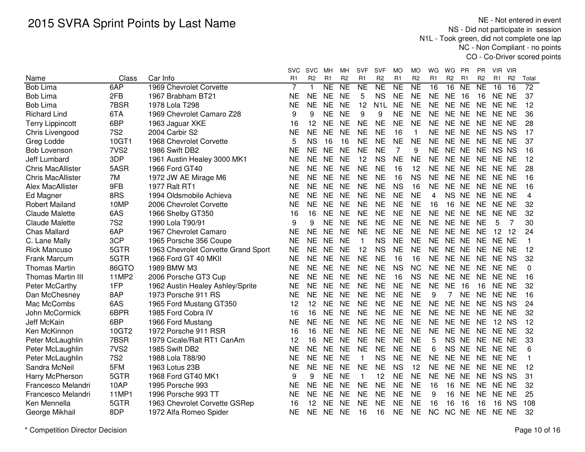NE - Not entered in event NS - Did not participate in session N1L - Took green, did not complete one lap NC - Non Compliant - no pointsCO - Co-Driver scored points

|                          |                  |                                     | svc            | <b>SVC</b>     | MН                     | мн              | SVF            | <b>SVF</b>       | МO             | MO             | WG              | WG             | <b>PR</b>       | ΡR             | VIR VIR        |                 |                 |
|--------------------------|------------------|-------------------------------------|----------------|----------------|------------------------|-----------------|----------------|------------------|----------------|----------------|-----------------|----------------|-----------------|----------------|----------------|-----------------|-----------------|
| Name                     | Class            | Car Info                            | R <sub>1</sub> | R <sub>2</sub> | R <sub>1</sub>         | R <sub>2</sub>  | R1             | R <sub>2</sub>   | R <sub>1</sub> | R <sub>2</sub> | R <sub>1</sub>  | R <sub>2</sub> | R <sub>1</sub>  | R <sub>2</sub> | R <sub>1</sub> | R <sub>2</sub>  | Total           |
| <b>Bob Lima</b>          | 6AP              | 1969 Chevrolet Corvette             | 7              | 1              | $\overline{\text{NE}}$ | $\overline{NE}$ | N <sub>E</sub> | NE               | N <sub>E</sub> | NE             | $\overline{16}$ | 16             | $\overline{NE}$ | <b>NE</b>      | 16             | $\overline{16}$ | $\overline{72}$ |
| <b>Bob Lima</b>          | 2FB              | 1967 Brabham BT21                   | <b>NE</b>      | <b>NE</b>      | <b>NE</b>              | <b>NE</b>       | 5              | <b>NS</b>        | <b>NE</b>      | <b>NE</b>      | <b>NE</b>       | <b>NE</b>      | 16              | 16             | NE NE          |                 | 37              |
| <b>Bob Lima</b>          | 7BSR             | 1978 Lola T298                      | <b>NE</b>      | <b>NE</b>      | <b>NE</b>              | <b>NE</b>       | 12             | N <sub>1</sub> L | <b>NE</b>      | <b>NE</b>      | <b>NE</b>       | <b>NE</b>      | <b>NE</b>       | <b>NE</b>      | NE NE          |                 | 12              |
| <b>Richard Lind</b>      | 6TA              | 1969 Chevrolet Camaro Z28           | 9              | 9              | <b>NE</b>              | <b>NE</b>       | 9              | 9                | <b>NE</b>      | <b>NE</b>      | <b>NE</b>       | NE NE          |                 | <b>NE</b>      | NE NE          |                 | 36              |
| <b>Terry Lippincott</b>  | 6BP              | 1963 Jaguar XKE                     | 16             | 12             | <b>NE</b>              | <b>NE</b>       | <b>NE</b>      | <b>NE</b>        | <b>NE</b>      | <b>NE</b>      | <b>NE</b>       | NE NE          |                 | <b>NE</b>      | NE NE          |                 | 28              |
| Chris Livengood          | <b>7S2</b>       | 2004 Carbir S2                      | <b>NE</b>      | <b>NE</b>      | <b>NE</b>              | <b>NE</b>       | <b>NE</b>      | <b>NE</b>        | 16             | $\mathbf{1}$   | <b>NE</b>       | NE NE          |                 | <b>NE</b>      | NS NS          |                 | 17              |
| Greg Lodde               | 10GT1            | 1968 Chevrolet Corvette             | 5              | <b>NS</b>      | 16                     | 16              | <b>NE</b>      | <b>NE</b>        | <b>NE</b>      | <b>NE</b>      | <b>NE</b>       | NE NE          |                 |                | NE NE NE       |                 | 37              |
| <b>Bob Lovenson</b>      | 7VS <sub>2</sub> | 1986 Swift DB2                      | NΕ             | <b>NE</b>      | <b>NE</b>              | <b>NE</b>       | <b>NE</b>      | <b>NE</b>        | 7              | 9              | <b>NE</b>       | NE NE          |                 | NE             | NS NS          |                 | 16              |
| <b>Jeff Lumbard</b>      | 3DP              | 1961 Austin Healey 3000 MK1         | <b>NE</b>      | <b>NE</b>      | <b>NE</b>              | <b>NE</b>       | 12             | <b>NS</b>        | <b>NE</b>      | <b>NE</b>      | <b>NE</b>       | NE NE          |                 | <b>NE</b>      | NE NE          |                 | 12              |
| <b>Chris MacAllister</b> | 5ASR             | 1966 Ford GT40                      | <b>NE</b>      | <b>NE</b>      | <b>NE</b>              | <b>NE</b>       | <b>NE</b>      | <b>NE</b>        | 16             | 12             | <b>NE</b>       | NE NE          |                 | <b>NE</b>      | NE NE          |                 | 28              |
| <b>Chris MacAllister</b> | 7M               | 1972 JW AE Mirage M6                | <b>NE</b>      | <b>NE</b>      | <b>NE</b>              | <b>NE</b>       | <b>NE</b>      | <b>NE</b>        | 16             | <b>NS</b>      | <b>NE</b>       | NE NE          |                 | <b>NE</b>      | NE NE          |                 | 16              |
| Alex MacAllister         | 9FB              | 1977 Ralt RT1                       | <b>NE</b>      | <b>NE</b>      | <b>NE</b>              | <b>NE</b>       | <b>NE</b>      | <b>NE</b>        | <b>NS</b>      | 16             | <b>NE</b>       | NE NE          |                 | <b>NE</b>      | NE NE          |                 | 16              |
| Ed Magner                | 8RS              | 1994 Oldsmobile Achieva             | <b>NE</b>      | <b>NE</b>      | <b>NE</b>              | <b>NE</b>       | <b>NE</b>      | <b>NE</b>        | <b>NE</b>      | <b>NE</b>      | 4               | <b>NS</b>      | <b>NE</b>       | <b>NE</b>      | NE NE          |                 | 4               |
| <b>Robert Mailand</b>    | 10MP             | 2006 Chevrolet Corvette             | <b>NE</b>      | <b>NE</b>      | <b>NE</b>              | <b>NE</b>       | <b>NE</b>      | <b>NE</b>        | <b>NE</b>      | <b>NE</b>      | 16              | 16             | <b>NE</b>       | <b>NE</b>      | NE NE          |                 | 32              |
| <b>Claude Malette</b>    | 6AS              | 1966 Shelby GT350                   | 16             | 16             | <b>NE</b>              | <b>NE</b>       | <b>NE</b>      | <b>NE</b>        | <b>NE</b>      | <b>NE</b>      | <b>NE</b>       | NE.            | NE              | <b>NE</b>      | NE NE          |                 | 32              |
| <b>Claude Malette</b>    | <b>7S2</b>       | 1990 Lola T90/91                    | 9              | 9              | <b>NE</b>              | <b>NE</b>       | <b>NE</b>      | <b>NE</b>        | <b>NE</b>      | <b>NE</b>      | <b>NE</b>       | NE NE          |                 | <b>NE</b>      | 5              | 7               | 30              |
| <b>Chas Mallard</b>      | 6AP              | 1967 Chevrolet Camaro               | <b>NE</b>      | <b>NE</b>      | <b>NE</b>              | <b>NE</b>       | <b>NE</b>      | <b>NE</b>        | <b>NE</b>      | <b>NE</b>      | <b>NE</b>       | NE NE          |                 | <b>NE</b>      | 12             | 12              | 24              |
| C. Lane Mally            | 3CP              | 1965 Porsche 356 Coupe              | <b>NE</b>      | <b>NE</b>      | <b>NE</b>              | <b>NE</b>       | $\overline{1}$ | <b>NS</b>        | <b>NE</b>      | <b>NE</b>      | <b>NE</b>       | NE NE          |                 | <b>NE</b>      | NE NE          |                 | $\mathbf{1}$    |
| <b>Rick Mancuso</b>      | 5GTR             | 1963 Chevrolet Corvette Grand Sport | <b>NE</b>      | <b>NE</b>      | <b>NE</b>              | <b>NE</b>       | 12             | <b>NS</b>        | <b>NE</b>      | <b>NE</b>      | <b>NE</b>       | NE NE          |                 | <b>NE</b>      | NE NE          |                 | 12              |
| Frank Marcum             | 5GTR             | 1966 Ford GT 40 MKII                | <b>NE</b>      | <b>NE</b>      | <b>NE</b>              | <b>NE</b>       | <b>NE</b>      | <b>NE</b>        | 16             | 16             | <b>NE</b>       | NE NE          |                 | <b>NE</b>      | NE NS          |                 | 32              |
| <b>Thomas Martin</b>     | 86GTO            | 1989 BMW M3                         | <b>NE</b>      | <b>NE</b>      | <b>NE</b>              | <b>NE</b>       | <b>NE</b>      | <b>NE</b>        | <b>NS</b>      | <b>NC</b>      | <b>NE</b>       | NE NE          |                 | <b>NE</b>      | NE NE          |                 | 0               |
| Thomas Martin III        | 11MP2            | 2006 Porsche GT3 Cup                | NE             | <b>NE</b>      | <b>NE</b>              | <b>NE</b>       | <b>NE</b>      | <b>NE</b>        | 16             | <b>NS</b>      | <b>NE</b>       | NE NE          |                 | <b>NE</b>      | NE NE          |                 | 16              |
| Peter McCarthy           | 1FP              | 1962 Austin Healey Ashley/Sprite    | NE             | <b>NE</b>      | <b>NE</b>              | <b>NE</b>       | <b>NE</b>      | <b>NE</b>        | <b>NE</b>      | <b>NE</b>      | <b>NE</b>       | <b>NE</b>      | 16              | 16             | NE NE          |                 | 32              |
| Dan McChesney            | 8AP              | 1973 Porsche 911 RS                 | <b>NE</b>      | <b>NE</b>      | <b>NE</b>              | <b>NE</b>       | <b>NE</b>      | <b>NE</b>        | <b>NE</b>      | <b>NE</b>      | 9               | $\overline{7}$ | <b>NE</b>       | <b>NE</b>      | NE NE          |                 | 16              |
| Mac McCombs              | 6AS              | 1965 Ford Mustang GT350             | 12             | 12             | <b>NE</b>              | <b>NE</b>       | <b>NE</b>      | <b>NE</b>        | <b>NE</b>      | <b>NE</b>      | <b>NE</b>       | NE NE          |                 | <b>NE</b>      | NS NS          |                 | 24              |
| John McCormick           | 6BPR             | 1985 Ford Cobra IV                  | 16             | 16             | <b>NE</b>              | <b>NE</b>       | <b>NE</b>      | <b>NE</b>        | <b>NE</b>      | <b>NE</b>      | <b>NE</b>       | NE NE          |                 | <b>NE</b>      | NE NE          |                 | 32              |
| Jeff McKain              | 6BP              | 1966 Ford Mustang                   | <b>NE</b>      | <b>NE</b>      | <b>NE</b>              | <b>NE</b>       | <b>NE</b>      | <b>NE</b>        | <b>NE</b>      | <b>NE</b>      | <b>NE</b>       | <b>NE</b>      | <b>NE</b>       | <b>NE</b>      | 12 NS          |                 | 12              |
| Ken McKinnon             | 10GT2            | 1972 Porsche 911 RSR                | 16             | 16             | <b>NE</b>              | <b>NE</b>       | <b>NE</b>      | <b>NE</b>        | <b>NE</b>      | <b>NE</b>      | <b>NE</b>       | <b>NE</b>      | <b>NE</b>       | <b>NE</b>      | NE NE          |                 | 32              |
| Peter McLaughlin         | 7BSR             | 1979 Cicale/Ralt RT1 CanAm          | 12             | 16             | <b>NE</b>              | <b>NE</b>       | <b>NE</b>      | <b>NE</b>        | <b>NE</b>      | <b>NE</b>      | 5               | <b>NS</b>      | <b>NE</b>       | <b>NE</b>      | NE NE          |                 | 33              |
| Peter McLaughlin         | 7VS <sub>2</sub> | 1985 Swift DB2                      | NE             | <b>NE</b>      | <b>NE</b>              | <b>NE</b>       | <b>NE</b>      | <b>NE</b>        | <b>NE</b>      | <b>NE</b>      | 6               | <b>NS</b>      | <b>NE</b>       | <b>NE</b>      | NE NE          |                 | 6               |
| Peter McLaughlin         | <b>7S2</b>       | 1988 Lola T88/90                    | <b>NE</b>      | <b>NE</b>      | <b>NE</b>              | <b>NE</b>       | $\mathbf{1}$   | <b>NS</b>        | <b>NE</b>      | <b>NE</b>      | <b>NE</b>       | <b>NE</b>      | <b>NE</b>       | <b>NE</b>      | NE NE          |                 | 1               |
| Sandra McNeil            | 5FM              | 1963 Lotus 23B                      | <b>NE</b>      | <b>NE</b>      | <b>NE</b>              | <b>NE</b>       | <b>NE</b>      | <b>NE</b>        | <b>NS</b>      | 12             | <b>NE</b>       | <b>NE</b>      | <b>NE</b>       | <b>NE</b>      | NE NE          |                 | 12              |
| Harry McPherson          | 5GTR             | 1968 Ford GT40 MK1                  | 9              | 9              | <b>NE</b>              | <b>NE</b>       | $\mathbf{1}$   | 12               | <b>NE</b>      | <b>NE</b>      | <b>NE</b>       | <b>NE</b>      | <b>NE</b>       | <b>NE</b>      | NS NS          |                 | 31              |
| Francesco Melandri       | 10AP             | 1995 Porsche 993                    | <b>NE</b>      | <b>NE</b>      | <b>NE</b>              | <b>NE</b>       | <b>NE</b>      | <b>NE</b>        | <b>NE</b>      | <b>NE</b>      | 16              | 16             | <b>NE</b>       | <b>NE</b>      | NE NE          |                 | 32              |
| Francesco Melandri       | 11MP1            | 1996 Porsche 993 TT                 | <b>NE</b>      | <b>NE</b>      | <b>NE</b>              | <b>NE</b>       | <b>NE</b>      | <b>NE</b>        | <b>NE</b>      | <b>NE</b>      | 9               | 16             | <b>NE</b>       | <b>NE</b>      | NE NE          |                 | 25              |
| Ken Mennella             | 5GTR             | 1963 Chevrolet Corvette GSRep       | 16             | 12             | <b>NE</b>              | <b>NE</b>       | <b>NE</b>      | <b>NE</b>        | <b>NE</b>      | <b>NE</b>      | 16              | 16             | 16              | 16             | 16             | <b>NS</b>       | 108             |
| George Mikhail           | 8DP              | 1972 Alfa Romeo Spider              | ΝE             | <b>NE</b>      | <b>NE</b>              | <b>NE</b>       | 16             | 16               | <b>NE</b>      | <b>NE</b>      | <b>NC</b>       | <b>NC</b>      | <b>NE</b>       | <b>NE</b>      | NE NE          |                 | 32              |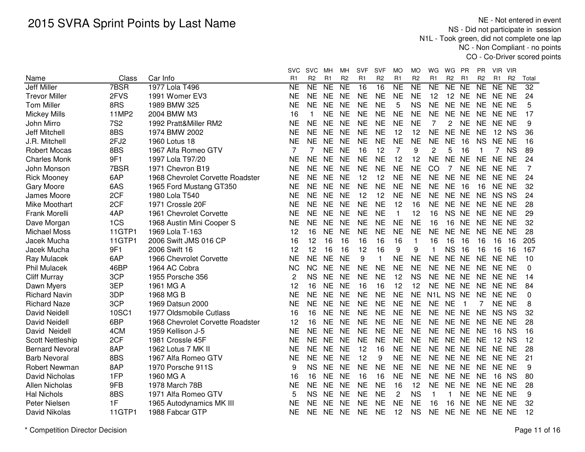NE - Not entered in event NS - Did not participate in session N1L - Took green, did not complete one lap NC - Non Compliant - no pointsCO - Co-Driver scored points

|                         |                  |                                  | <b>SVC</b>     | svc                 | MН             | мн              | <b>SVF</b>     | <b>SVF</b>      | MO             | MO                  | WG             | WG             | PR             | <b>PR</b>      | - VIR<br>VIR.                    |                 |
|-------------------------|------------------|----------------------------------|----------------|---------------------|----------------|-----------------|----------------|-----------------|----------------|---------------------|----------------|----------------|----------------|----------------|----------------------------------|-----------------|
| Name                    | Class            | Car Info                         | R <sub>1</sub> | R <sub>2</sub>      | R <sub>1</sub> | R <sub>2</sub>  | R <sub>1</sub> | R <sub>2</sub>  | R <sub>1</sub> | R <sub>2</sub>      | R <sub>1</sub> | R <sub>2</sub> | R <sub>1</sub> | R <sub>2</sub> | R <sub>1</sub><br>R <sub>2</sub> | Total           |
| <b>Jeff Miller</b>      | 7BSR             | 1977 Lola T496                   | <b>NE</b>      | $\overline{\sf NE}$ | <b>NE</b>      | $\overline{NE}$ | 16             | $\overline{16}$ | <b>NE</b>      | $\overline{\sf NE}$ | N <sub>E</sub> | NE NE          |                | NE             | NE<br>$\overline{NE}$            | $\overline{32}$ |
| <b>Trevor Miller</b>    | 2FVS             | 1991 Womer EV3                   | <b>NE</b>      | <b>NE</b>           | <b>NE</b>      | <b>NE</b>       | NE             | <b>NE</b>       | <b>NE</b>      | <b>NE</b>           | 12             | 12             | NE.            | <b>NE</b>      | NE NE                            | 24              |
| <b>Tom Miller</b>       | 8RS              | 1989 BMW 325                     | <b>NE</b>      | <b>NE</b>           | <b>NE</b>      | <b>NE</b>       | <b>NE</b>      | <b>NE</b>       | 5              | <b>NS</b>           | <b>NE</b>      | NE NE          |                | <b>NE</b>      | NE NE                            | 5               |
| <b>Mickey Mills</b>     | <b>11MP2</b>     | 2004 BMW M3                      | 16             | $\mathbf{1}$        | <b>NE</b>      | <b>NE</b>       | <b>NE</b>      | <b>NE</b>       | <b>NE</b>      | <b>NE</b>           | <b>NE</b>      | NE NE          |                | <b>NE</b>      | NE NE                            | 17              |
| John Mirro              | <b>7S2</b>       | 1992 Pratt&Miller RM2            | <b>NE</b>      | <b>NE</b>           | <b>NE</b>      | <b>NE</b>       | <b>NE</b>      | <b>NE</b>       | <b>NE</b>      | <b>NE</b>           | 7              | 2              | <b>NE</b>      | <b>NE</b>      | NE NE                            | 9               |
| Jeff Mitchell           | 8BS              | 1974 BMW 2002                    | <b>NE</b>      | <b>NE</b>           | <b>NE</b>      | <b>NE</b>       | <b>NE</b>      | <b>NE</b>       | 12             | 12                  | <b>NE</b>      | NE NE          |                | <b>NE</b>      | 12 NS                            | 36              |
| J.R. Mitchell           | 2FJ <sub>2</sub> | 1960 Lotus 18                    | NE             | <b>NE</b>           | <b>NE</b>      | <b>NE</b>       | <b>NE</b>      | <b>NE</b>       | <b>NE</b>      | <b>NE</b>           | <b>NE</b>      | <b>NE</b>      | 16             | <b>NS</b>      | NE NE                            | 16              |
| <b>Robert Mocas</b>     | 8BS              | 1967 Alfa Romeo GTV              | 7              | 7                   | <b>NE</b>      | <b>NE</b>       | 16             | 12              | 7              | 9                   | $\overline{c}$ | 5              | 16             | $\mathbf 1$    | 7 NS                             | 89              |
| <b>Charles Monk</b>     | 9F1              | 1997 Lola T97/20                 | <b>NE</b>      | <b>NE</b>           | <b>NE</b>      | <b>NE</b>       | <b>NE</b>      | <b>NE</b>       | 12             | 12                  | <b>NE</b>      | NE NE          |                | <b>NE</b>      | NE NE                            | 24              |
| John Monson             | 7BSR             | 1971 Chevron B19                 | NE             | <b>NE</b>           | <b>NE</b>      | <b>NE</b>       | <b>NE</b>      | <b>NE</b>       | <b>NE</b>      | <b>NE</b>           | CO             | 7              | NE             | NE             | NE NE                            | 7               |
| <b>Rick Mooney</b>      | 6AP              | 1968 Chevrolet Corvette Roadster | <b>NE</b>      | <b>NE</b>           | <b>NE</b>      | <b>NE</b>       | 12             | 12              | <b>NE</b>      | <b>NE</b>           | <b>NE</b>      | NE NE          |                | <b>NE</b>      | NE NE                            | 24              |
| <b>Gary Moore</b>       | 6AS              | 1965 Ford Mustang GT350          | <b>NE</b>      | <b>NE</b>           | <b>NE</b>      | <b>NE</b>       | <b>NE</b>      | <b>NE</b>       | <b>NE</b>      | <b>NE</b>           | <b>NE</b>      | <b>NE</b>      | -16            | 16             | NE NE                            | 32              |
| James Moore             | 2CF              | 1980 Lola T540                   | <b>NE</b>      | <b>NE</b>           | <b>NE</b>      | <b>NE</b>       | 12             | 12              | <b>NE</b>      | <b>NE</b>           | <b>NE</b>      | NE NE          |                | <b>NE</b>      | NS NS                            | 24              |
| <b>Mike Moothart</b>    | 2CF              | 1971 Crossle 20F                 | <b>NE</b>      | <b>NE</b>           | <b>NE</b>      | <b>NE</b>       | <b>NE</b>      | <b>NE</b>       | 12             | 16                  | <b>NE</b>      | NE NE          |                | <b>NE</b>      | NE NE                            | 28              |
| Frank Morelli           | 4AP              | 1961 Chevrolet Corvette          | <b>NE</b>      | <b>NE</b>           | <b>NE</b>      | <b>NE</b>       | <b>NE</b>      | <b>NE</b>       | $\mathbf{1}$   | 12                  | 16             | NS NE          |                |                | NE NE NE                         | 29              |
| Dave Morgan             | 1CS              | 1968 Austin Mini Cooper S        | <b>NE</b>      | <b>NE</b>           | <b>NE</b>      | <b>NE</b>       | <b>NE</b>      | <b>NE</b>       | <b>NE</b>      | <b>NE</b>           | 16             | 16             | <b>NE</b>      |                | NE NE NE                         | 32              |
| <b>Michael Moss</b>     | 11GTP1           | 1969 Lola T-163                  | 12             | 16                  | <b>NE</b>      | <b>NE</b>       | <b>NE</b>      | <b>NE</b>       | <b>NE</b>      | <b>NE</b>           | <b>NE</b>      | NE NE          |                | <b>NE</b>      | NE NE                            | 28              |
| Jacek Mucha             | 11GTP1           | 2006 Swift JMS 016 CP            | 16             | 12                  | 16             | 16              | 16             | 16              | 16             | $\mathbf{1}$        | 16             | 16             | 16             | 16             | 16<br>16                         | 205             |
| Jacek Mucha             | 9F1              | 2006 Swift 16                    | 12             | 12                  | 16             | 16              | 12             | 16              | 9              | 9                   | $\mathbf{1}$   | <b>NS</b>      | 16             | 16             | 16<br>16                         | 167             |
| Ray Mulacek             | 6AP              | 1966 Chevrolet Corvette          | <b>NE</b>      | <b>NE</b>           | <b>NE</b>      | <b>NE</b>       | 9              | $\mathbf{1}$    | <b>NE</b>      | <b>NE</b>           | <b>NE</b>      | NE NE          |                | <b>NE</b>      | NE NE                            | 10              |
| <b>Phil Mulacek</b>     | 46BP             | 1964 AC Cobra                    | <b>NC</b>      | <b>NC</b>           | <b>NE</b>      | <b>NE</b>       | <b>NE</b>      | <b>NE</b>       | <b>NE</b>      | <b>NE</b>           | <b>NE</b>      | NE NE          |                | <b>NE</b>      | NE NE                            | $\mathbf{0}$    |
| <b>Cliff Murray</b>     | 3CP              | 1955 Porsche 356                 | $\overline{c}$ | <b>NS</b>           | <b>NE</b>      | <b>NE</b>       | <b>NE</b>      | <b>NE</b>       | 12             | <b>NS</b>           | <b>NE</b>      | NE NE          |                | <b>NE</b>      | NE NE                            | 14              |
| Dawn Myers              | 3EP              | 1961 MG A                        | 12             | 16                  | <b>NE</b>      | <b>NE</b>       | 16             | 16              | 12             | 12                  | <b>NE</b>      | NE NE          |                | <b>NE</b>      | NE NE                            | 84              |
| <b>Richard Navin</b>    | 3DP              | 1968 MG B                        | <b>NE</b>      | <b>NE</b>           | <b>NE</b>      | <b>NE</b>       | <b>NE</b>      | <b>NE</b>       | <b>NE</b>      | <b>NE</b>           |                | N1L NS NE      |                | <b>NE</b>      | NE NE                            | $\mathbf{0}$    |
| <b>Richard Naze</b>     | 3CP              | 1969 Datsun 2000                 | <b>NE</b>      | <b>NE</b>           | <b>NE</b>      | <b>NE</b>       | <b>NE</b>      | <b>NE</b>       | <b>NE</b>      | <b>NE</b>           | <b>NE</b>      | <b>NE</b>      | -1             | $\overline{7}$ | NE NE                            | 8               |
| <b>David Neidell</b>    | 10SC1            | 1977 Oldsmobile Cutlass          | 16             | 16                  | <b>NE</b>      | <b>NE</b>       | <b>NE</b>      | <b>NE</b>       | <b>NE</b>      | <b>NE</b>           | <b>NE</b>      | NE NE          |                | <b>NE</b>      | NS NS                            | 32              |
| David Neidell           | 6BP              | 1968 Chevrolet Corvette Roadster | 12             | 16                  | <b>NE</b>      | <b>NE</b>       | <b>NE</b>      | <b>NE</b>       | <b>NE</b>      | <b>NE</b>           | <b>NE</b>      | NE NE          |                | <b>NE</b>      | NE NE                            | 28              |
| David Neidell           | 4CM              | 1959 Kellison J-5                | <b>NE</b>      | <b>NE</b>           | <b>NE</b>      | <b>NE</b>       | <b>NE</b>      | <b>NE</b>       | <b>NE</b>      | <b>NE</b>           | NE             | NE NE          |                | NE             | 16 NS                            | 16              |
| <b>Scott Nettleship</b> | 2CF              | 1981 Crossle 45F                 | <b>NE</b>      | <b>NE</b>           | <b>NE</b>      | <b>NE</b>       | <b>NE</b>      | <b>NE</b>       | <b>NE</b>      | <b>NE</b>           | <b>NE</b>      | NE NE          |                | <b>NE</b>      | 12 NS                            | 12              |
| <b>Bernard Nevoral</b>  | 8AP              | 1962 Lotus 7 MK II               | <b>NE</b>      | <b>NE</b>           | <b>NE</b>      | <b>NE</b>       | 12             | 16              | <b>NE</b>      | <b>NE</b>           | <b>NE</b>      | NE NE          |                | <b>NE</b>      | NE NE                            | 28              |
| <b>Barb Nevoral</b>     | 8BS              | 1967 Alfa Romeo GTV              | <b>NE</b>      | <b>NE</b>           | <b>NE</b>      | <b>NE</b>       | 12             | 9               | <b>NE</b>      | <b>NE</b>           | <b>NE</b>      | NE NE          |                | <b>NE</b>      | NE NE                            | 21              |
| <b>Robert Newman</b>    | 8AP              | 1970 Porsche 911S                | 9              | <b>NS</b>           | <b>NE</b>      | <b>NE</b>       | <b>NE</b>      | <b>NE</b>       | <b>NE</b>      | <b>NE</b>           | <b>NE</b>      | NE NE          |                | <b>NE</b>      | NE NE                            | 9               |
| David Nicholas          | 1FP              | 1960 MG A                        | 16             | 16                  | <b>NE</b>      | <b>NE</b>       | 16             | 16              | <b>NE</b>      | <b>NE</b>           | <b>NE</b>      | NE NE          |                | <b>NE</b>      | 16<br><b>NS</b>                  | 80              |
| Allen Nicholas          | 9FB              | 1978 March 78B                   | <b>NE</b>      | <b>NE</b>           | <b>NE</b>      | <b>NE</b>       | <b>NE</b>      | <b>NE</b>       | 16             | 12                  | <b>NE</b>      | NE NE          |                |                | NE NE NE                         | 28              |
| <b>Hal Nichols</b>      | 8BS              | 1971 Alfa Romeo GTV              | 5              | <b>NS</b>           | <b>NE</b>      | <b>NE</b>       | <b>NE</b>      | <b>NE</b>       | $\overline{c}$ | <b>NS</b>           | $\mathbf{1}$   | 1.             | <b>NE</b>      | <b>NE</b>      | NE NE                            | 9               |
| Peter Nielsen           | 1F               | 1965 Autodynamics MK III         | <b>NE</b>      | <b>NE</b>           | <b>NE</b>      | <b>NE</b>       | <b>NE</b>      | <b>NE</b>       | <b>NE</b>      | <b>NE</b>           | 16             | 16             | <b>NE</b>      | <b>NE</b>      | NE NE                            | 32              |
| David Nikolas           | 11GTP1           | 1988 Fabcar GTP                  | <b>NE</b>      | <b>NE</b>           | <b>NE</b>      | <b>NE</b>       | <b>NE</b>      | <b>NE</b>       | 12             | <b>NS</b>           | <b>NE</b>      | NE NE          |                |                | NE NE NE                         | 12              |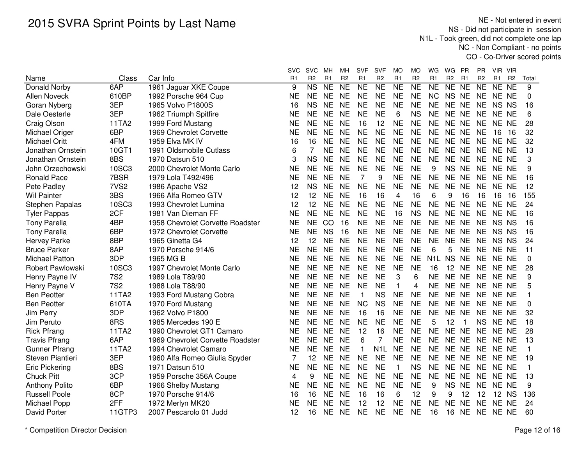NE - Not entered in event NS - Did not participate in session N1L - Took green, did not complete one lap NC - Non Compliant - no pointsCO - Co-Driver scored points

|                        |                  |                                  | svc            | <b>SVC</b>             | мн             | MН              | <b>SVF</b>     | <b>SVF</b>       | MO                     | MО                  | WG               | WG<br>PR                         | PR             | VIR VIR        |                |             |
|------------------------|------------------|----------------------------------|----------------|------------------------|----------------|-----------------|----------------|------------------|------------------------|---------------------|------------------|----------------------------------|----------------|----------------|----------------|-------------|
| Name                   | Class            | Car Info                         | R <sub>1</sub> | R <sub>2</sub>         | R <sub>1</sub> | R <sub>2</sub>  | R <sub>1</sub> | R <sub>2</sub>   | R <sub>1</sub>         | R <sub>2</sub>      | R1               | R <sub>2</sub><br>R <sub>1</sub> | R <sub>2</sub> | R <sub>1</sub> | R <sub>2</sub> | Total       |
| Donald Norby           | 6AP              | 1961 Jaguar XKE Coupe            | 9              | $\overline{\text{NS}}$ | <b>NE</b>      | $\overline{NE}$ | <b>NE</b>      | $\overline{NE}$  | $\overline{\text{NE}}$ | $\overline{\sf NE}$ | <b>NE</b>        | NE NE                            | N <sub>E</sub> | NE NE          |                | 9           |
| Allen Noveck           | 610BP            | 1992 Porsche 964 Cup             | NE             | <b>NE</b>              | <b>NE</b>      | <b>NE</b>       | <b>NE</b>      | <b>NE</b>        | <b>NE</b>              | <b>NE</b>           | <b>NC</b>        | NS NE                            | <b>NE</b>      | NE NE          |                | 0           |
| Goran Nyberg           | 3EP              | 1965 Volvo P1800S                | 16             | <b>NS</b>              | <b>NE</b>      | <b>NE</b>       | <b>NE</b>      | <b>NE</b>        | <b>NE</b>              | <b>NE</b>           | <b>NE</b>        | NE NE                            | <b>NE</b>      | NS NS          |                | 16          |
| Dale Oesterle          | 3EP              | 1962 Triumph Spitfire            | <b>NE</b>      | <b>NE</b>              | <b>NE</b>      | <b>NE</b>       | <b>NE</b>      | <b>NE</b>        | 6                      | <b>NS</b>           | <b>NE</b>        | NE NE                            | <b>NE</b>      | NE NE          |                | 6           |
| Craig Olson            | 11TA2            | 1999 Ford Mustang                | <b>NE</b>      | <b>NE</b>              | <b>NE</b>      | <b>NE</b>       | 16             | 12               | <b>NE</b>              | <b>NE</b>           | <b>NE</b>        | NE NE                            | <b>NE</b>      | NE NE          |                | 28          |
| Michael Origer         | 6BP              | 1969 Chevrolet Corvette          | <b>NE</b>      | <b>NE</b>              | <b>NE</b>      | <b>NE</b>       | <b>NE</b>      | <b>NE</b>        | <b>NE</b>              | <b>NE</b>           | <b>NE</b>        | NE NE                            | <b>NE</b>      | 16             | 16             | 32          |
| <b>Michael Oritt</b>   | 4FM              | 1959 Elva MK IV                  | 16             | 16                     | <b>NE</b>      | <b>NE</b>       | <b>NE</b>      | <b>NE</b>        | <b>NE</b>              | <b>NE</b>           | <b>NE</b>        | NE NE                            | <b>NE</b>      | NE NE          |                | 32          |
| Jonathan Ornstein      | 10GT1            | 1991 Oldsmobile Cutlass          | 6              | $\overline{7}$         | <b>NE</b>      | <b>NE</b>       | <b>NE</b>      | <b>NE</b>        | <b>NE</b>              | <b>NE</b>           | <b>NE</b>        | NE NE                            | <b>NE</b>      | NE NE          |                | 13          |
| Jonathan Ornstein      | 8BS              | 1970 Datsun 510                  | 3              | <b>NS</b>              | <b>NE</b>      | <b>NE</b>       | <b>NE</b>      | <b>NE</b>        | <b>NE</b>              | <b>NE</b>           | <b>NE</b>        | NE NE                            | <b>NE</b>      | NE NE          |                | 3           |
| John Orzechowski       | 10SC3            | 2000 Chevrolet Monte Carlo       | <b>NE</b>      | <b>NE</b>              | <b>NE</b>      | <b>NE</b>       | <b>NE</b>      | <b>NE</b>        | <b>NE</b>              | <b>NE</b>           | 9                | NS NE                            | <b>NE</b>      | NE NE          |                | 9           |
| <b>Ronald Pace</b>     | 7BSR             | 1979 Lola T492/496               | <b>NE</b>      | <b>NE</b>              | <b>NE</b>      | <b>NE</b>       | $\overline{7}$ | 9                | <b>NE</b>              | <b>NE</b>           | <b>NE</b>        | NE NE                            | <b>NE</b>      | NE NE          |                | 16          |
| Pete Padley            | 7VS <sub>2</sub> | 1986 Apache VS2                  | 12             | <b>NS</b>              | <b>NE</b>      | <b>NE</b>       | <b>NE</b>      | <b>NE</b>        | <b>NE</b>              | <b>NE</b>           | <b>NE</b>        | NE NE                            | <b>NE</b>      | NE NE          |                | 12          |
| <b>Wil Painter</b>     | 3BS              | 1966 Alfa Romeo GTV              | 12             | 12                     | <b>NE</b>      | <b>NE</b>       | 16             | 16               | 4                      | 16                  | 6                | 9<br>16                          | 16             | 16 16          |                | 155         |
| <b>Stephen Papalas</b> | 10SC3            | 1993 Chevrolet Lumina            | 12             | 12                     | <b>NE</b>      | <b>NE</b>       | <b>NE</b>      | <b>NE</b>        | <b>NE</b>              | <b>NE</b>           | <b>NE</b>        | NE NE                            | <b>NE</b>      | NE NE          |                | 24          |
| <b>Tyler Pappas</b>    | 2CF              | 1981 Van Dieman FF               | <b>NE</b>      | <b>NE</b>              | <b>NE</b>      | <b>NE</b>       | <b>NE</b>      | <b>NE</b>        | 16                     | <b>NS</b>           | <b>NE</b>        | NE NE                            | <b>NE</b>      | NE NE          |                | 16          |
| <b>Tony Parella</b>    | 4BP              | 1958 Chevrolet Corvette Roadster | <b>NE</b>      | <b>NE</b>              | CO             | 16              | <b>NE</b>      | <b>NE</b>        | <b>NE</b>              | <b>NE</b>           | <b>NE</b>        | NE NE                            | <b>NE</b>      | NS NS          |                | 16          |
| <b>Tony Parella</b>    | 6BP              | 1972 Chevrolet Corvette          | <b>NE</b>      | <b>NE</b>              | <b>NS</b>      | 16              | <b>NE</b>      | <b>NE</b>        | <b>NE</b>              | <b>NE</b>           | <b>NE</b>        | NE NE                            | <b>NE</b>      | NS NS          |                | 16          |
| <b>Hervey Parke</b>    | 8BP              | 1965 Ginetta G4                  | 12             | 12                     | <b>NE</b>      | <b>NE</b>       | <b>NE</b>      | <b>NE</b>        | <b>NE</b>              | <b>NE</b>           | <b>NE</b>        | NE NE                            | <b>NE</b>      | NS NS          |                | 24          |
| <b>Bruce Parker</b>    | 8AP              | 1970 Porsche 914/6               | NE             | <b>NE</b>              | <b>NE</b>      | <b>NE</b>       | <b>NE</b>      | <b>NE</b>        | <b>NE</b>              | <b>NE</b>           | 6                | 5<br><b>NE</b>                   | <b>NE</b>      | NE NE          |                | 11          |
| <b>Michael Patton</b>  | 3DP              | 1965 MG B                        | <b>NE</b>      | <b>NE</b>              | <b>NE</b>      | <b>NE</b>       | <b>NE</b>      | <b>NE</b>        | <b>NE</b>              | <b>NE</b>           | N <sub>1</sub> L | <b>NS</b><br><b>NE</b>           | <b>NE</b>      | NE NE          |                | $\mathbf 0$ |
| Robert Pawlowski       | 10SC3            | 1997 Chevrolet Monte Carlo       | <b>NE</b>      | <b>NE</b>              | <b>NE</b>      | <b>NE</b>       | <b>NE</b>      | <b>NE</b>        | <b>NE</b>              | <b>NE</b>           | 16               | 12<br><b>NE</b>                  | <b>NE</b>      | NE NE          |                | 28          |
| Henry Payne IV         | <b>7S2</b>       | 1989 Lola T89/90                 | <b>NE</b>      | <b>NE</b>              | <b>NE</b>      | <b>NE</b>       | <b>NE</b>      | <b>NE</b>        | 3                      | 6                   | <b>NE</b>        | NE NE                            | <b>NE</b>      | NE NE          |                | 9           |
| Henry Payne V          | <b>7S2</b>       | 1988 Lola T88/90                 | <b>NE</b>      | <b>NE</b>              | <b>NE</b>      | <b>NE</b>       | <b>NE</b>      | <b>NE</b>        | 1                      | 4                   | <b>NE</b>        | NE NE                            | <b>NE</b>      | NE NE          |                | 5           |
| <b>Ben Peotter</b>     | 11TA2            | 1993 Ford Mustang Cobra          | NE             | <b>NE</b>              | <b>NE</b>      | <b>NE</b>       | -1             | <b>NS</b>        | <b>NE</b>              | <b>NE</b>           | <b>NE</b>        | NE NE                            | <b>NE</b>      | NE NE          |                | 1           |
| <b>Ben Peotter</b>     | 610TA            | 1970 Ford Mustang                | <b>NE</b>      | <b>NE</b>              | <b>NE</b>      | <b>NE</b>       | <b>NC</b>      | <b>NS</b>        | <b>NE</b>              | <b>NE</b>           | <b>NE</b>        | NE NE                            | <b>NE</b>      | NE NE          |                | 0           |
| Jim Perry              | 3DP              | 1962 Volvo P1800                 | NE             | <b>NE</b>              | <b>NE</b>      | <b>NE</b>       | 16             | 16               | <b>NE</b>              | <b>NE</b>           | <b>NE</b>        | NE NE                            | <b>NE</b>      | NE NE          |                | 32          |
| Jim Peruto             | 8RS              | 1985 Mercedes 190 E              | <b>NE</b>      | <b>NE</b>              | <b>NE</b>      | <b>NE</b>       | <b>NE</b>      | <b>NE</b>        | <b>NE</b>              | <b>NE</b>           | 5                | 12                               | <b>NS</b>      | NE NE          |                | 18          |
| <b>Rick Pfrang</b>     | 11TA2            | 1990 Chevrolet GT1 Camaro        | NE             | <b>NE</b>              | <b>NE</b>      | <b>NE</b>       | 12             | 16               | <b>NE</b>              | <b>NE</b>           | <b>NE</b>        | NE NE                            | <b>NE</b>      | NE NE          |                | 28          |
| <b>Travis Pfrang</b>   | 6AP              | 1969 Chevrolet Corvette Roadster | <b>NE</b>      | <b>NE</b>              | <b>NE</b>      | <b>NE</b>       | 6              | 7                | <b>NE</b>              | <b>NE</b>           | <b>NE</b>        | NE NE                            | <b>NE</b>      | NE NE          |                | 13          |
| <b>Gunner Pfrang</b>   | 11TA2            | 1994 Chevrolet Camaro            | <b>NE</b>      | <b>NE</b>              | <b>NE</b>      | <b>NE</b>       | $\mathbf{1}$   | N <sub>1</sub> L | <b>NE</b>              | <b>NE</b>           | <b>NE</b>        | NE NE                            | <b>NE</b>      | NE NE          |                | 1           |
| Steven Piantieri       | 3EP              | 1960 Alfa Romeo Giulia Spyder    | 7              | 12                     | <b>NE</b>      | <b>NE</b>       | <b>NE</b>      | <b>NE</b>        | <b>NE</b>              | <b>NE</b>           | <b>NE</b>        | NE NE                            | <b>NE</b>      | NE NE          |                | 19          |
| <b>Eric Pickering</b>  | 8BS              | 1971 Datsun 510                  | <b>NE</b>      | <b>NE</b>              | <b>NE</b>      | <b>NE</b>       | <b>NE</b>      | <b>NE</b>        | 1                      | <b>NS</b>           | <b>NE</b>        | NE NE                            | <b>NE</b>      | NE NE          |                | 1           |
| <b>Chuck Pitt</b>      | 3CP              | 1959 Porsche 356A Coupe          | 4              | 9                      | <b>NE</b>      | <b>NE</b>       | <b>NE</b>      | <b>NE</b>        | <b>NE</b>              | <b>NE</b>           | <b>NE</b>        | NE NE                            | <b>NE</b>      | NE NE          |                | 13          |
| <b>Anthony Polito</b>  | 6BP              | 1966 Shelby Mustang              | <b>NE</b>      | <b>NE</b>              | <b>NE</b>      | <b>NE</b>       | <b>NE</b>      | <b>NE</b>        | <b>NE</b>              | <b>NE</b>           | 9                | <b>NS</b><br><b>NE</b>           | <b>NE</b>      | NE NE          |                | 9           |
| <b>Russell Poole</b>   | 8CP              | 1970 Porsche 914/6               | 16             | 16                     | <b>NE</b>      | <b>NE</b>       | 16             | 16               | 6                      | 12                  | 9                | 9<br>12                          | 12             | 12 NS          |                | 136         |
| Michael Popp           | 2FF              | 1972 Merlyn MK20                 | NΕ             | <b>NE</b>              | <b>NE</b>      | <b>NE</b>       | 12             | 12               | NE                     | <b>NE</b>           | <b>NE</b>        | <b>NE</b><br><b>NE</b>           | <b>NE</b>      | NE NE          |                | 24          |
| David Porter           | 11GTP3           | 2007 Pescarolo 01 Judd           | 12             | 16                     | <b>NE</b>      | <b>NE</b>       | <b>NE</b>      | <b>NE</b>        | <b>NE</b>              | <b>NE</b>           | 16               | 16<br><b>NE</b>                  | <b>NE</b>      | NE NE          |                | 60          |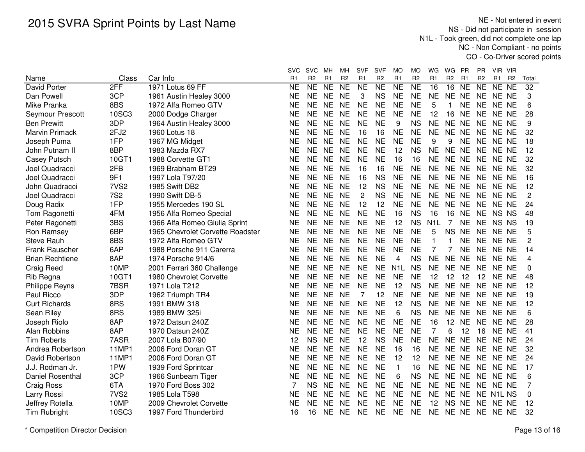NE - Not entered in event NS - Did not participate in session N1L - Took green, did not complete one lap NC - Non Compliant - no pointsCO - Co-Driver scored points

|                        |                  |                                  | svc                 | <b>SVC</b>     | мн             | мн             | <b>SVF</b>     | SVF            | MO               | МO             | WG               | WG.            | PR             | PR.            | VIR VIR        |                |                 |
|------------------------|------------------|----------------------------------|---------------------|----------------|----------------|----------------|----------------|----------------|------------------|----------------|------------------|----------------|----------------|----------------|----------------|----------------|-----------------|
| Name                   | Class            | Car Info                         | R <sub>1</sub>      | R <sub>2</sub> | R <sub>1</sub> | R <sub>2</sub> | R <sub>1</sub> | R <sub>2</sub> | R <sub>1</sub>   | R <sub>2</sub> | R <sub>1</sub>   | R <sub>2</sub> | R <sub>1</sub> | R <sub>2</sub> | R <sub>1</sub> | R <sub>2</sub> | Total           |
| <b>David Porter</b>    | 2FF              | 1971 Lotus 69 FF                 | $\overline{\sf NE}$ | NE             | <b>NE</b>      | <b>NE</b>      | <b>NE</b>      | NE             | N <sub>E</sub>   | NE             | 16               | 16             | <b>NE</b>      | <b>NE</b>      | NE NE          |                | $\overline{32}$ |
| Dan Powell             | 3CP              | 1961 Austin Healey 3000          | <b>NE</b>           | <b>NE</b>      | <b>NE</b>      | <b>NE</b>      | 3              | <b>NS</b>      | <b>NE</b>        | <b>NE</b>      | <b>NE</b>        | NE NE          |                | <b>NE</b>      | NE NE          |                | 3               |
| Mike Pranka            | 8BS              | 1972 Alfa Romeo GTV              | <b>NE</b>           | <b>NE</b>      | <b>NE</b>      | <b>NE</b>      | <b>NE</b>      | <b>NE</b>      | <b>NE</b>        | <b>NE</b>      | 5                | $\mathbf{1}$   | <b>NE</b>      | <b>NE</b>      | NE NE          |                | 6               |
| Seymour Prescott       | 10SC3            | 2000 Dodge Charger               | <b>NE</b>           | <b>NE</b>      | <b>NE</b>      | <b>NE</b>      | <b>NE</b>      | <b>NE</b>      | <b>NE</b>        | <b>NE</b>      | 12               | 16             | <b>NE</b>      | <b>NE</b>      | NE NE          |                | 28              |
| <b>Ben Prewitt</b>     | 3DP              | 1964 Austin Healey 3000          | <b>NE</b>           | <b>NE</b>      | <b>NE</b>      | <b>NE</b>      | <b>NE</b>      | <b>NE</b>      | 9                | <b>NS</b>      | <b>NE</b>        | NE NE          |                | <b>NE</b>      | NE NE          |                | 9               |
| <b>Marvin Primack</b>  | 2FJ2             | 1960 Lotus 18                    | <b>NE</b>           | <b>NE</b>      | <b>NE</b>      | <b>NE</b>      | 16             | 16             | <b>NE</b>        | <b>NE</b>      | <b>NE</b>        | NE NE          |                | <b>NE</b>      | NE NE          |                | 32              |
| Joseph Puma            | 1FP              | 1967 MG Midget                   | NE                  | <b>NE</b>      | <b>NE</b>      | <b>NE</b>      | <b>NE</b>      | <b>NE</b>      | <b>NE</b>        | <b>NE</b>      | 9                | 9              | <b>NE</b>      | <b>NE</b>      | NE NE          |                | 18              |
| John Putnam II         | 8BP              | 1983 Mazda RX7                   | NE                  | <b>NE</b>      | <b>NE</b>      | <b>NE</b>      | <b>NE</b>      | <b>NE</b>      | 12               | <b>NS</b>      | <b>NE</b>        | NE NE          |                | <b>NE</b>      | NE NE          |                | 12              |
| <b>Casey Putsch</b>    | 10GT1            | 1988 Corvette GT1                | NE                  | <b>NE</b>      | <b>NE</b>      | <b>NE</b>      | <b>NE</b>      | <b>NE</b>      | 16               | 16             | <b>NE</b>        | NE NE          |                | <b>NE</b>      | NE NE          |                | 32              |
| Joel Quadracci         | 2FB              | 1969 Brabham BT29                | NE                  | <b>NE</b>      | <b>NE</b>      | <b>NE</b>      | 16             | 16             | <b>NE</b>        | <b>NE</b>      | <b>NE</b>        | NE NE          |                | <b>NE</b>      | NE NE          |                | 32              |
| Joel Quadracci         | 9F1              | 1997 Lola T97/20                 | <b>NE</b>           | <b>NE</b>      | <b>NE</b>      | <b>NE</b>      | 16             | <b>NS</b>      | <b>NE</b>        | <b>NE</b>      | <b>NE</b>        | NE NE          |                | <b>NE</b>      | NE NE          |                | 16              |
| John Quadracci         | 7VS <sub>2</sub> | 1985 Swift DB2                   | <b>NE</b>           | <b>NE</b>      | <b>NE</b>      | <b>NE</b>      | 12             | <b>NS</b>      | <b>NE</b>        | <b>NE</b>      | <b>NE</b>        | NE NE          |                | <b>NE</b>      | NE NE          |                | 12              |
| Joel Quadracci         | <b>7S2</b>       | 1990 Swift DB-5                  | <b>NE</b>           | <b>NE</b>      | <b>NE</b>      | <b>NE</b>      | 2              | <b>NS</b>      | <b>NE</b>        | <b>NE</b>      | <b>NE</b>        | NE NE          |                | <b>NE</b>      | NE NE          |                | 2               |
| Doug Radix             | 1FP              | 1955 Mercedes 190 SL             | <b>NE</b>           | <b>NE</b>      | <b>NE</b>      | <b>NE</b>      | 12             | 12             | <b>NE</b>        | <b>NE</b>      | <b>NE</b>        | NE NE          |                | <b>NE</b>      | NE NE          |                | 24              |
| Tom Ragonetti          | 4FM              | 1956 Alfa Romeo Special          | <b>NE</b>           | <b>NE</b>      | <b>NE</b>      | <b>NE</b>      | <b>NE</b>      | <b>NE</b>      | 16               | <b>NS</b>      | 16               | 16             | <b>NE</b>      | <b>NE</b>      | NS NS          |                | 48              |
| Peter Ragonetti        | 3BS              | 1966 Alfa Romeo Giulia Sprint    | <b>NE</b>           | <b>NE</b>      | <b>NE</b>      | <b>NE</b>      | <b>NE</b>      | <b>NE</b>      | 12               | <b>NS</b>      | N <sub>1</sub> L | 7              | <b>NE</b>      | <b>NE</b>      | NS NS          |                | 19              |
| Ron Ramsey             | 6BP              | 1965 Chevrolet Corvette Roadster | <b>NE</b>           | <b>NE</b>      | <b>NE</b>      | <b>NE</b>      | <b>NE</b>      | <b>NE</b>      | <b>NE</b>        | <b>NE</b>      | 5                | <b>NS</b>      | <b>NE</b>      | <b>NE</b>      | NE NE          |                | 5               |
| <b>Steve Rauh</b>      | 8BS              | 1972 Alfa Romeo GTV              | <b>NE</b>           | <b>NE</b>      | <b>NE</b>      | <b>NE</b>      | <b>NE</b>      | <b>NE</b>      | <b>NE</b>        | <b>NE</b>      | 1                | 1              | <b>NE</b>      | <b>NE</b>      | NE NE          |                | $\overline{c}$  |
| <b>Frank Rauscher</b>  | 6AP              | 1988 Porsche 911 Carerra         | <b>NE</b>           | <b>NE</b>      | <b>NE</b>      | <b>NE</b>      | <b>NE</b>      | <b>NE</b>      | <b>NE</b>        | <b>NE</b>      | 7                | 7              | <b>NE</b>      | <b>NE</b>      | NE NE          |                | 14              |
| <b>Brian Rechtiene</b> | 8AP              | 1974 Porsche 914/6               | <b>NE</b>           | <b>NE</b>      | <b>NE</b>      | <b>NE</b>      | <b>NE</b>      | <b>NE</b>      | 4                | <b>NS</b>      | <b>NE</b>        | NE NE          |                | <b>NE</b>      | NE NE          |                | 4               |
| Craig Reed             | 10MP             | 2001 Ferrari 360 Challenge       | <b>NE</b>           | <b>NE</b>      | <b>NE</b>      | <b>NE</b>      | <b>NE</b>      | <b>NE</b>      | N <sub>1</sub> L | <b>NS</b>      | <b>NE</b>        | NE NE          |                | <b>NE</b>      | NE NE          |                | 0               |
| Rib Regna              | 10GT1            | 1980 Chevrolet Corvette          | NE                  | <b>NE</b>      | <b>NE</b>      | <b>NE</b>      | <b>NE</b>      | <b>NE</b>      | <b>NE</b>        | <b>NE</b>      | 12               | 12             | 12             | 12             | NE NE          |                | 48              |
| Philippe Reyns         | 7BSR             | 1971 Lola T212                   | <b>NE</b>           | <b>NE</b>      | <b>NE</b>      | <b>NE</b>      | <b>NE</b>      | <b>NE</b>      | 12               | <b>NS</b>      | <b>NE</b>        | NE NE          |                | <b>NE</b>      | NE NE          |                | 12              |
| Paul Ricco             | 3DP              | 1962 Triumph TR4                 | NE                  | <b>NE</b>      | <b>NE</b>      | <b>NE</b>      | 7              | 12             | <b>NE</b>        | <b>NE</b>      | <b>NE</b>        | NE NE          |                | <b>NE</b>      | NE NE          |                | 19              |
| <b>Curt Richards</b>   | 8RS              | 1991 BMW 318                     | NE                  | <b>NE</b>      | <b>NE</b>      | <b>NE</b>      | <b>NE</b>      | <b>NE</b>      | 12               | <b>NS</b>      | <b>NE</b>        | NE NE          |                | <b>NE</b>      | NE NE          |                | 12              |
| Sean Riley             | 8RS              | 1989 BMW 325i                    | <b>NE</b>           | <b>NE</b>      | <b>NE</b>      | <b>NE</b>      | <b>NE</b>      | <b>NE</b>      | 6                | <b>NS</b>      | <b>NE</b>        | NE NE          |                | <b>NE</b>      | NE NE          |                | 6               |
| Joseph Riolo           | 8AP              | 1972 Datsun 240Z                 | <b>NE</b>           | <b>NE</b>      | <b>NE</b>      | <b>NE</b>      | <b>NE</b>      | <b>NE</b>      | <b>NE</b>        | <b>NE</b>      | 16               | 12 NE          |                | <b>NE</b>      | NE NE          |                | 28              |
| Alan Robbins           | 8AP              | 1970 Datsun 240Z                 | <b>NE</b>           | <b>NE</b>      | <b>NE</b>      | <b>NE</b>      | <b>NE</b>      | <b>NE</b>      | <b>NE</b>        | <b>NE</b>      | 7                | 6              | 12             | 16             | NE NE          |                | 41              |
| <b>Tim Roberts</b>     | 7ASR             | 2007 Lola B07/90                 | 12                  | <b>NS</b>      | <b>NE</b>      | <b>NE</b>      | 12             | <b>NS</b>      | <b>NE</b>        | <b>NE</b>      | <b>NE</b>        | NE NE          |                | <b>NE</b>      | NE NE          |                | 24              |
| Andrea Robertson       | <b>11MP1</b>     | 2006 Ford Doran GT               | <b>NE</b>           | <b>NE</b>      | <b>NE</b>      | <b>NE</b>      | <b>NE</b>      | <b>NE</b>      | 16               | 16             | <b>NE</b>        | NE NE          |                | <b>NE</b>      | NE NE          |                | 32              |
| David Robertson        | 11MP1            | 2006 Ford Doran GT               | <b>NE</b>           | <b>NE</b>      | <b>NE</b>      | <b>NE</b>      | <b>NE</b>      | <b>NE</b>      | 12               | 12             | <b>NE</b>        | NE NE          |                | <b>NE</b>      | NE NE          |                | 24              |
| J.J. Rodman Jr.        | 1PW              | 1939 Ford Sprintcar              | <b>NE</b>           | <b>NE</b>      | <b>NE</b>      | <b>NE</b>      | <b>NE</b>      | <b>NE</b>      | $\mathbf{1}$     | 16             | <b>NE</b>        | NE NE          |                | <b>NE</b>      | NE NE          |                | 17              |
| Daniel Rosenthal       | 3CP              | 1966 Sunbeam Tiger               | <b>NE</b>           | <b>NE</b>      | <b>NE</b>      | <b>NE</b>      | <b>NE</b>      | <b>NE</b>      | 6                | <b>NS</b>      | <b>NE</b>        | NE NE          |                | <b>NE</b>      | NE NE          |                | 6               |
| Craig Ross             | 6TA              | 1970 Ford Boss 302               | 7                   | <b>NS</b>      | <b>NE</b>      | <b>NE</b>      | <b>NE</b>      | <b>NE</b>      | <b>NE</b>        | <b>NE</b>      | <b>NE</b>        | NE NE          |                | <b>NE</b>      | NE NE          |                | 7               |
| Larry Rossi            | 7VS <sub>2</sub> | 1985 Lola T598                   | <b>NE</b>           | <b>NE</b>      | <b>NE</b>      | <b>NE</b>      | <b>NE</b>      | <b>NE</b>      | <b>NE</b>        | <b>NE</b>      | <b>NE</b>        | NE NE          |                |                | NE N1L NS      |                | 0               |
| Jeffrey Rotella        | 10MP             | 2009 Chevrolet Corvette          | <b>NE</b>           | <b>NE</b>      | <b>NE</b>      | <b>NE</b>      | <b>NE</b>      | <b>NE</b>      | <b>NE</b>        | <b>NE</b>      | 12               | <b>NS</b>      | <b>NE</b>      | <b>NE</b>      | NE NE          |                | 12              |
| <b>Tim Rubright</b>    | 10SC3            | 1997 Ford Thunderbird            | 16                  | 16             | NE.            | <b>NE</b>      | <b>NE</b>      | <b>NE</b>      | <b>NE</b>        | <b>NE</b>      | <b>NE</b>        | NE NE          |                | <b>NE</b>      | NE NE          |                | 32              |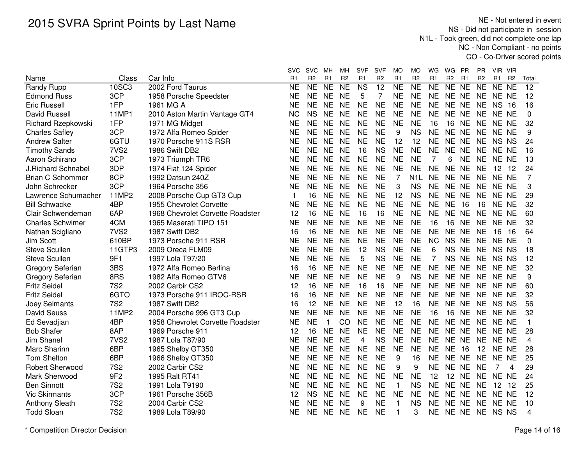NE - Not entered in event NS - Did not participate in session N1L - Took green, did not complete one lap NC - Non Compliant - no pointsCO - Co-Driver scored points

|                           |                  |                                  | svc            | <b>SVC</b>     | мн             | MН              | <b>SVF</b>     | <b>SVF</b>      | МO             | MO               | WG             | WG              | <b>PR</b>      | PR.            | VIR VIR        |                |          |
|---------------------------|------------------|----------------------------------|----------------|----------------|----------------|-----------------|----------------|-----------------|----------------|------------------|----------------|-----------------|----------------|----------------|----------------|----------------|----------|
| Name                      | Class            | Car Info                         | R <sub>1</sub> | R <sub>2</sub> | R <sub>1</sub> | R <sub>2</sub>  | R <sub>1</sub> | R <sub>2</sub>  | R <sub>1</sub> | R <sub>2</sub>   | R <sub>1</sub> | R <sub>2</sub>  | R <sub>1</sub> | R <sub>2</sub> | R <sub>1</sub> | R <sub>2</sub> | Total    |
| Randy Rupp                | 10SC3            | 2002 Ford Taurus                 | <b>NE</b>      | NE             | <b>NE</b>      | $\overline{NE}$ | <b>NS</b>      | $\overline{12}$ | <b>NE</b>      | N <sub>E</sub>   | <b>NE</b>      | NE NE           |                | <b>NE</b>      | NE NE          |                | 12       |
| <b>Edmond Russ</b>        | 3CP              | 1958 Porsche Speedster           | <b>NE</b>      | <b>NE</b>      | <b>NE</b>      | <b>NE</b>       | 5              | $\overline{7}$  | <b>NE</b>      | <b>NE</b>        | <b>NE</b>      | NE NE           |                | <b>NE</b>      | NE NE          |                | 12       |
| <b>Eric Russell</b>       | 1FP              | 1961 MG A                        | <b>NE</b>      | <b>NE</b>      | <b>NE</b>      | <b>NE</b>       | <b>NE</b>      | <b>NE</b>       | <b>NE</b>      | <b>NE</b>        | <b>NE</b>      | NE NE           |                | <b>NE</b>      | <b>NS 16</b>   |                | 16       |
| <b>David Russell</b>      | 11MP1            | 2010 Aston Martin Vantage GT4    | <b>NC</b>      | <b>NS</b>      | <b>NE</b>      | <b>NE</b>       | <b>NE</b>      | <b>NE</b>       | <b>NE</b>      | <b>NE</b>        | <b>NE</b>      | NE NE           |                | <b>NE</b>      | NE NE          |                | $\Omega$ |
| Richard Rzepkowski        | 1FP              | 1971 MG Midget                   | <b>NE</b>      | <b>NE</b>      | <b>NE</b>      | <b>NE</b>       | <b>NE</b>      | <b>NE</b>       | <b>NE</b>      | <b>NE</b>        | 16             | 16              | <b>NE</b>      | <b>NE</b>      | NE NE          |                | 32       |
| <b>Charles Safley</b>     | 3CP              | 1972 Alfa Romeo Spider           | NE             | <b>NE</b>      | <b>NE</b>      | <b>NE</b>       | <b>NE</b>      | <b>NE</b>       | 9              | <b>NS</b>        | <b>NE</b>      | NE NE           |                | <b>NE</b>      | NE NE          |                | 9        |
| <b>Andrew Salter</b>      | 6GTU             | 1970 Porsche 911S RSR            | NΕ             | <b>NE</b>      | <b>NE</b>      | <b>NE</b>       | <b>NE</b>      | <b>NE</b>       | 12             | 12               | <b>NE</b>      | NE NE           |                | <b>NE</b>      | NS NS          |                | 24       |
| <b>Timothy Sands</b>      | 7VS <sub>2</sub> | 1986 Swift DB2                   | <b>NE</b>      | <b>NE</b>      | <b>NE</b>      | <b>NE</b>       | 16             | <b>NS</b>       | <b>NE</b>      | <b>NE</b>        | <b>NE</b>      | NE NE           |                | <b>NE</b>      | NE NE          |                | 16       |
| Aaron Schirano            | 3CP              | 1973 Triumph TR6                 | <b>NE</b>      | <b>NE</b>      | <b>NE</b>      | <b>NE</b>       | <b>NE</b>      | <b>NE</b>       | <b>NE</b>      | <b>NE</b>        | $\overline{7}$ | 6               | <b>NE</b>      | <b>NE</b>      | NE NE          |                | 13       |
| <b>J.Richard Schnabel</b> | 3DP              | 1974 Fiat 124 Spider             | <b>NE</b>      | <b>NE</b>      | <b>NE</b>      | <b>NE</b>       | <b>NE</b>      | <b>NE</b>       | <b>NE</b>      | <b>NE</b>        | <b>NE</b>      | NE NE           |                | <b>NE</b>      | 12 12          |                | 24       |
| <b>Brian C Schommer</b>   | 8CP              | 1992 Datsun 240Z                 | <b>NE</b>      | <b>NE</b>      | <b>NE</b>      | <b>NE</b>       | <b>NE</b>      | <b>NE</b>       | 7              | N <sub>1</sub> L | <b>NE</b>      | NE NE           |                | <b>NE</b>      | NE NE          |                | 7        |
| John Schrecker            | 3CP              | 1964 Porsche 356                 | <b>NE</b>      | <b>NE</b>      | <b>NE</b>      | <b>NE</b>       | <b>NE</b>      | <b>NE</b>       | 3              | <b>NS</b>        | <b>NE</b>      | NE NE           |                | <b>NE</b>      | NE NE          |                | 3        |
| Lawrence Schumacher       | 11MP2            | 2008 Porsche Cup GT3 Cup         | 1              | 16             | <b>NE</b>      | <b>NE</b>       | <b>NE</b>      | <b>NE</b>       | 12             | <b>NS</b>        | <b>NE</b>      | NE NE           |                | <b>NE</b>      | NE NE          |                | 29       |
| <b>Bill Schwacke</b>      | 4BP              | 1955 Chevrolet Corvette          | <b>NE</b>      | <b>NE</b>      | <b>NE</b>      | <b>NE</b>       | <b>NE</b>      | <b>NE</b>       | <b>NE</b>      | <b>NE</b>        | <b>NE</b>      | <b>NE</b>       | 16             | 16             | NE NE          |                | 32       |
| Clair Schwendeman         | 6AP              | 1968 Chevrolet Corvette Roadster | 12             | 16             | <b>NE</b>      | <b>NE</b>       | 16             | 16              | <b>NE</b>      | <b>NE</b>        | <b>NE</b>      | NE NE           |                | <b>NE</b>      | NE NE          |                | 60       |
| <b>Charles Schwimer</b>   | 4CM              | 1965 Maserati TIPO 151           | <b>NE</b>      | <b>NE</b>      | <b>NE</b>      | <b>NE</b>       | <b>NE</b>      | <b>NE</b>       | <b>NE</b>      | <b>NE</b>        | 16             | 16              | <b>NE</b>      | <b>NE</b>      | NE NE          |                | 32       |
| Nathan Scigliano          | 7VS <sub>2</sub> | 1987 Swift DB2                   | 16             | 16             | <b>NE</b>      | <b>NE</b>       | <b>NE</b>      | <b>NE</b>       | <b>NE</b>      | <b>NE</b>        | <b>NE</b>      | NE NE           |                | <b>NE</b>      | 16             | 16             | 64       |
| <b>Jim Scott</b>          | 610BP            | 1973 Porsche 911 RSR             | <b>NE</b>      | <b>NE</b>      | <b>NE</b>      | <b>NE</b>       | <b>NE</b>      | <b>NE</b>       | <b>NE</b>      | <b>NE</b>        | <b>NC</b>      | <b>NS</b>       | <b>NE</b>      | <b>NE</b>      | NE NE          |                | $\Omega$ |
| <b>Steve Scullen</b>      | 11GTP3           | 2009 Oreca FLM09                 | <b>NE</b>      | <b>NE</b>      | <b>NE</b>      | <b>NE</b>       | 12             | <b>NS</b>       | <b>NE</b>      | <b>NE</b>        | 6              | NS NE           |                | <b>NE</b>      | NS NS          |                | 18       |
| <b>Steve Scullen</b>      | 9F1              | 1997 Lola T97/20                 | <b>NE</b>      | <b>NE</b>      | <b>NE</b>      | <b>NE</b>       | 5              | <b>NS</b>       | <b>NE</b>      | <b>NE</b>        | 7              | NS NE           |                | <b>NE</b>      | NS NS          |                | 12       |
| Gregory Seferian          | 3BS              | 1972 Alfa Romeo Berlina          | 16             | 16             | <b>NE</b>      | <b>NE</b>       | <b>NE</b>      | NE              | <b>NE</b>      | <b>NE</b>        | <b>NE</b>      | NE NE           |                | <b>NE</b>      | NE NE          |                | 32       |
| Gregory Seferian          | 8RS              | 1982 Alfa Romeo GTV6             | <b>NE</b>      | <b>NE</b>      | <b>NE</b>      | <b>NE</b>       | <b>NE</b>      | <b>NE</b>       | 9              | <b>NS</b>        | <b>NE</b>      | NE NE           |                | <b>NE</b>      | NE NE          |                | 9        |
| <b>Fritz Seidel</b>       | <b>7S2</b>       | 2002 Carbir CS2                  | 12             | 16             | <b>NE</b>      | <b>NE</b>       | 16             | 16              | <b>NE</b>      | <b>NE</b>        | <b>NE</b>      | NE NE           |                | <b>NE</b>      | NE NE          |                | 60       |
| <b>Fritz Seidel</b>       | 6GTO             | 1973 Porsche 911 IROC-RSR        | 16             | 16             | <b>NE</b>      | <b>NE</b>       | <b>NE</b>      | <b>NE</b>       | <b>NE</b>      | <b>NE</b>        | <b>NE</b>      | NE NE           |                | <b>NE</b>      | NE NE          |                | 32       |
| Joey Selmants             | <b>7S2</b>       | 1987 Swift DB2                   | 16             | 12             | <b>NE</b>      | <b>NE</b>       | <b>NE</b>      | <b>NE</b>       | 12             | 16               | <b>NE</b>      | NE NE           |                | <b>NE</b>      | NS NS          |                | 56       |
| <b>David Seuss</b>        | 11MP2            | 2004 Porsche 996 GT3 Cup         | <b>NE</b>      | <b>NE</b>      | <b>NE</b>      | <b>NE</b>       | <b>NE</b>      | <b>NE</b>       | <b>NE</b>      | <b>NE</b>        | 16             | 16              | <b>NE</b>      | <b>NE</b>      | NE NE          |                | 32       |
| Ed Sevadjian              | 4BP              | 1958 Chevrolet Corvette Roadster | <b>NE</b>      | <b>NE</b>      | 1              | CO              | <b>NE</b>      | <b>NE</b>       | <b>NE</b>      | <b>NE</b>        | <b>NE</b>      | NE NE           |                | <b>NE</b>      | NE NE          |                | 1        |
| <b>Bob Shafer</b>         | 8AP              | 1969 Porsche 911                 | 12             | 16             | <b>NE</b>      | <b>NE</b>       | <b>NE</b>      | <b>NE</b>       | <b>NE</b>      | <b>NE</b>        | <b>NE</b>      | NE NE           |                | <b>NE</b>      | NE NE          |                | 28       |
| Jim Shanel                | 7VS <sub>2</sub> | 1987 Lola T87/90                 | <b>NE</b>      | <b>NE</b>      | <b>NE</b>      | <b>NE</b>       | $\overline{4}$ | <b>NS</b>       | <b>NE</b>      | <b>NE</b>        | <b>NE</b>      | NE NE           |                | <b>NE</b>      | NE NE          |                | 4        |
| Marc Sharinn              | 6BP              | 1965 Shelby GT350                | <b>NE</b>      | <b>NE</b>      | <b>NE</b>      | <b>NE</b>       | <b>NE</b>      | <b>NE</b>       | <b>NE</b>      | <b>NE</b>        | <b>NE</b>      | <b>NE</b>       | 16             | 12             | NE NE          |                | 28       |
| <b>Tom Shelton</b>        | 6BP              | 1966 Shelby GT350                | <b>NE</b>      | <b>NE</b>      | <b>NE</b>      | <b>NE</b>       | <b>NE</b>      | <b>NE</b>       | 9              | 16               | <b>NE</b>      | NE NE           |                | <b>NE</b>      | NE NE          |                | 25       |
| <b>Robert Sherwood</b>    | <b>7S2</b>       | 2002 Carbir CS2                  | <b>NE</b>      | <b>NE</b>      | <b>NE</b>      | <b>NE</b>       | <b>NE</b>      | <b>NE</b>       | 9              | 9                | <b>NE</b>      | NE NE           |                | <b>NE</b>      | 7              | 4              | 29       |
| Mark Sherwood             | 9F <sub>2</sub>  | 1995 Ralt RT41                   | <b>NE</b>      | <b>NE</b>      | <b>NE</b>      | <b>NE</b>       | <b>NE</b>      | <b>NE</b>       | <b>NE</b>      | <b>NE</b>        | 12             | 12 <sup>7</sup> | <b>NE</b>      | <b>NE</b>      | NE NE          |                | 24       |
| <b>Ben Sinnott</b>        | <b>7S2</b>       | 1991 Lola T9190                  | <b>NE</b>      | <b>NE</b>      | <b>NE</b>      | <b>NE</b>       | <b>NE</b>      | <b>NE</b>       | $\mathbf{1}$   | <b>NS</b>        | <b>NE</b>      | NE NE           |                | <b>NE</b>      | 12 12          |                | 25       |
| <b>Vic Skirmants</b>      | 3CP              | 1961 Porsche 356B                | 12             | <b>NS</b>      | <b>NE</b>      | <b>NE</b>       | <b>NE</b>      | <b>NE</b>       | <b>NE</b>      | <b>NE</b>        | NE             | NE NE           |                | NE.            | NE NE          |                | 12       |
| <b>Anthony Sleath</b>     | <b>7S2</b>       | 2004 Carbir CS2                  | NE             | <b>NE</b>      | <b>NE</b>      | <b>NE</b>       | 9              | <b>NE</b>       | $\mathbf{1}$   | <b>NS</b>        | <b>NE</b>      | NE NE           |                | <b>NE</b>      | NE NE          |                | 10       |
| <b>Todd Sloan</b>         | <b>7S2</b>       | 1989 Lola T89/90                 | <b>NE</b>      | <b>NE</b>      | <b>NE</b>      | <b>NE</b>       | <b>NE</b>      | <b>NE</b>       | $\mathbf 1$    | 3                | <b>NE</b>      | NE NE           |                |                | NE NS NS       |                | 4        |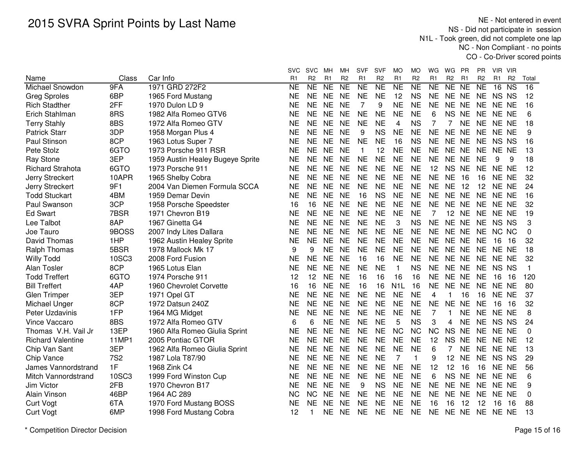NE - Not entered in event NS - Did not participate in session N1L - Took green, did not complete one lap NC - Non Compliant - no pointsCO - Co-Driver scored points

|                          |              |                                  | svc            | <b>SVC</b>     | MН             | MН                  | SVF            | <b>SVF</b>     | MO               | МO             | WG             | WG             | - PR           | PR             | VIR VIR  |                        |              |
|--------------------------|--------------|----------------------------------|----------------|----------------|----------------|---------------------|----------------|----------------|------------------|----------------|----------------|----------------|----------------|----------------|----------|------------------------|--------------|
| Name                     | Class        | Car Info                         | R <sub>1</sub> | R <sub>2</sub> | R <sub>1</sub> | R <sub>2</sub>      | R <sub>1</sub> | R <sub>2</sub> | R <sub>1</sub>   | R <sub>2</sub> | R <sub>1</sub> | R <sub>2</sub> | R <sub>1</sub> | R <sub>2</sub> | R1       | R <sub>2</sub>         | Total        |
| Michael Snowdon          | 9FA          | 1971 GRD 272F2                   | <b>NE</b>      | NE             | <b>NE</b>      | $\overline{\sf NE}$ | <b>NE</b>      | <b>NE</b>      | $\overline{NE}$  | NE             | N <sub>E</sub> | NE NE          |                | N <sub>E</sub> | 16       | $\overline{\text{NS}}$ | 16           |
| <b>Greg Sproles</b>      | 6BP          | 1965 Ford Mustang                | <b>NE</b>      | <b>NE</b>      | <b>NE</b>      | <b>NE</b>           | <b>NE</b>      | <b>NE</b>      | 12               | <b>NS</b>      | <b>NE</b>      | NE NE          |                | <b>NE</b>      | NS NS    |                        | 12           |
| <b>Rich Stadther</b>     | 2FF          | 1970 Dulon LD 9                  | <b>NE</b>      | <b>NE</b>      | <b>NE</b>      | <b>NE</b>           | 7              | 9              | <b>NE</b>        | <b>NE</b>      | <b>NE</b>      | <b>NE</b>      | <b>NE</b>      | <b>NE</b>      | NE NE    |                        | 16           |
| Erich Stahlman           | 8RS          | 1982 Alfa Romeo GTV6             | <b>NE</b>      | <b>NE</b>      | <b>NE</b>      | <b>NE</b>           | <b>NE</b>      | <b>NE</b>      | <b>NE</b>        | <b>NE</b>      | 6              | <b>NS</b>      | <b>NE</b>      | <b>NE</b>      | NE NE    |                        | 6            |
| <b>Terry Stahly</b>      | 8BS          | 1972 Alfa Romeo GTV              | <b>NE</b>      | <b>NE</b>      | <b>NE</b>      | <b>NE</b>           | <b>NE</b>      | <b>NE</b>      | 4                | <b>NS</b>      | 7              | 7              | <b>NE</b>      | <b>NE</b>      | NE NE    |                        | 18           |
| <b>Patrick Starr</b>     | 3DP          | 1958 Morgan Plus 4               | <b>NE</b>      | <b>NE</b>      | <b>NE</b>      | <b>NE</b>           | 9              | <b>NS</b>      | <b>NE</b>        | <b>NE</b>      | <b>NE</b>      | NE NE          |                | <b>NE</b>      | NE NE    |                        | 9            |
| Paul Stinson             | 8CP          | 1963 Lotus Super 7               | <b>NE</b>      | <b>NE</b>      | <b>NE</b>      | <b>NE</b>           | <b>NE</b>      | <b>NE</b>      | 16               | <b>NS</b>      | <b>NE</b>      | NE NE          |                | <b>NE</b>      | NS NS    |                        | 16           |
| Pete Stolz               | 6GTO         | 1973 Porsche 911 RSR             | NE             | <b>NE</b>      | <b>NE</b>      | <b>NE</b>           | $\mathbf{1}$   | 12             | <b>NE</b>        | <b>NE</b>      | <b>NE</b>      | NE NE          |                |                | NE NE NE |                        | 13           |
| <b>Ray Stone</b>         | 3EP          | 1959 Austin Healey Bugeye Sprite | NΕ             | <b>NE</b>      | <b>NE</b>      | <b>NE</b>           | <b>NE</b>      | <b>NE</b>      | <b>NE</b>        | <b>NE</b>      | <b>NE</b>      | NE NE          |                | <b>NE</b>      | 9        | 9                      | 18           |
| <b>Richard Strahota</b>  | 6GTO         | 1973 Porsche 911                 | <b>NE</b>      | <b>NE</b>      | <b>NE</b>      | <b>NE</b>           | <b>NE</b>      | <b>NE</b>      | <b>NE</b>        | <b>NE</b>      | 12             | NS NE          |                | <b>NE</b>      | NE NE    |                        | 12           |
| Jerry Streckert          | 10APR        | 1965 Shelby Cobra                | <b>NE</b>      | <b>NE</b>      | <b>NE</b>      | <b>NE</b>           | <b>NE</b>      | <b>NE</b>      | <b>NE</b>        | <b>NE</b>      | <b>NE</b>      | <b>NE</b>      | - 16           | 16             | NE NE    |                        | 32           |
| Jerry Streckert          | 9F1          | 2004 Van Diemen Formula SCCA     | <b>NE</b>      | <b>NE</b>      | <b>NE</b>      | <b>NE</b>           | <b>NE</b>      | <b>NE</b>      | <b>NE</b>        | <b>NE</b>      | <b>NE</b>      | <b>NE 12</b>   |                | 12             | NE NE    |                        | 24           |
| <b>Todd Stuckart</b>     | 4BM          | 1959 Demar Devin                 | <b>NE</b>      | <b>NE</b>      | <b>NE</b>      | <b>NE</b>           | 16             | <b>NS</b>      | <b>NE</b>        | <b>NE</b>      | <b>NE</b>      | NE NE          |                | <b>NE</b>      | NE NE    |                        | 16           |
| Paul Swanson             | 3CP          | 1958 Porsche Speedster           | 16             | 16             | <b>NE</b>      | <b>NE</b>           | <b>NE</b>      | <b>NE</b>      | <b>NE</b>        | <b>NE</b>      | <b>NE</b>      | NE NE          |                | <b>NE</b>      | NE NE    |                        | 32           |
| <b>Ed Swart</b>          | 7BSR         | 1971 Chevron B19                 | <b>NE</b>      | <b>NE</b>      | <b>NE</b>      | <b>NE</b>           | <b>NE</b>      | <b>NE</b>      | <b>NE</b>        | <b>NE</b>      | 7              | 12 NE          |                | <b>NE</b>      | NE NE    |                        | 19           |
| Lee Talbot               | 8AP          | 1967 Ginetta G4                  | <b>NE</b>      | <b>NE</b>      | <b>NE</b>      | <b>NE</b>           | <b>NE</b>      | <b>NE</b>      | 3                | <b>NS</b>      | <b>NE</b>      | NE NE          |                |                | NE NS NS |                        | 3            |
| Joe Tauro                | 9BOSS        | 2007 Indy Lites Dallara          | NE             | <b>NE</b>      | <b>NE</b>      | <b>NE</b>           | <b>NE</b>      | <b>NE</b>      | <b>NE</b>        | <b>NE</b>      | <b>NE</b>      | NE NE          |                | <b>NE</b>      | NC NC    |                        | 0            |
| David Thomas             | 1HP          | 1962 Austin Healey Sprite        | <b>NE</b>      | <b>NE</b>      | <b>NE</b>      | <b>NE</b>           | <b>NE</b>      | <b>NE</b>      | <b>NE</b>        | <b>NE</b>      | <b>NE</b>      | NE NE          |                | <b>NE</b>      | 16       | 16                     | 32           |
| Ralph Thomas             | 5BSR         | 1978 Mallock Mk 17               | 9              | 9              | <b>NE</b>      | <b>NE</b>           | <b>NE</b>      | <b>NE</b>      | <b>NE</b>        | <b>NE</b>      | <b>NE</b>      | NE NE          |                | <b>NE</b>      | NE NE    |                        | 18           |
| <b>Willy Todd</b>        | 10SC3        | 2008 Ford Fusion                 | <b>NE</b>      | <b>NE</b>      | <b>NE</b>      | <b>NE</b>           | 16             | 16             | <b>NE</b>        | <b>NE</b>      | <b>NE</b>      | NE NE          |                | <b>NE</b>      | NE NE    |                        | 32           |
| Alan Tosler              | 8CP          | 1965 Lotus Elan                  | <b>NE</b>      | <b>NE</b>      | <b>NE</b>      | <b>NE</b>           | <b>NE</b>      | <b>NE</b>      | $\mathbf{1}$     | <b>NS</b>      | <b>NE</b>      | NE NE          |                | <b>NE</b>      | NS NS    |                        | $\mathbf{1}$ |
| <b>Todd Treffert</b>     | 6GTO         | 1974 Porsche 911                 | 12             | 12             | <b>NE</b>      | <b>NE</b>           | 16             | 16             | 16               | 16             | <b>NE</b>      | NE NE          |                | <b>NE</b>      | 16       | 16                     | 120          |
| <b>Bill Treffert</b>     | 4AP          | 1960 Chevrolet Corvette          | 16             | 16             | <b>NE</b>      | <b>NE</b>           | 16             | 16             | N <sub>1</sub> L | 16             | <b>NE</b>      | NE NE          |                | <b>NE</b>      | NE NE    |                        | 80           |
| Glen Trimper             | 3EP          | 1971 Opel GT                     | <b>NE</b>      | <b>NE</b>      | <b>NE</b>      | <b>NE</b>           | <b>NE</b>      | <b>NE</b>      | <b>NE</b>        | <b>NE</b>      | 4              | 1              | 16             | 16             | NE NE    |                        | 37           |
| Michael Unger            | 8CP          | 1972 Datsun 240Z                 | NE             | <b>NE</b>      | <b>NE</b>      | <b>NE</b>           | <b>NE</b>      | <b>NE</b>      | <b>NE</b>        | <b>NE</b>      | <b>NE</b>      | NE NE          |                | <b>NE</b>      | 16       | 16                     | 32           |
| Peter Uzdavinis          | 1FP          | 1964 MG Midget                   | <b>NE</b>      | <b>NE</b>      | <b>NE</b>      | <b>NE</b>           | <b>NE</b>      | <b>NE</b>      | <b>NE</b>        | <b>NE</b>      | 7              | 1              | NE.            | NE.            | NE NE    |                        | 8            |
| Vince Vaccaro            | 8BS          | 1972 Alfa Romeo GTV              | 6              | 6              | <b>NE</b>      | <b>NE</b>           | <b>NE</b>      | <b>NE</b>      | 5                | <b>NS</b>      | 3              | 4              | <b>NE</b>      | <b>NE</b>      | NS NS    |                        | 24           |
| Thomas V.H. Vail Jr      | 13EP         | 1960 Alfa Romeo Giulia Sprint    | <b>NE</b>      | <b>NE</b>      | <b>NE</b>      | <b>NE</b>           | <b>NE</b>      | <b>NE</b>      | <b>NC</b>        | <b>NC</b>      | <b>NC</b>      | <b>NS</b>      | <b>NE</b>      | <b>NE</b>      | NE NE    |                        | $\mathbf{0}$ |
| <b>Richard Valentine</b> | <b>11MP1</b> | 2005 Pontiac GTOR                | <b>NE</b>      | <b>NE</b>      | <b>NE</b>      | <b>NE</b>           | <b>NE</b>      | <b>NE</b>      | <b>NE</b>        | <b>NE</b>      | 12             | <b>NS</b>      | <b>NE</b>      | <b>NE</b>      | NE NE    |                        | 12           |
| Chip Van Sant            | 3EP          | 1962 Alfa Romeo Giulia Sprint    | <b>NE</b>      | <b>NE</b>      | <b>NE</b>      | <b>NE</b>           | <b>NE</b>      | <b>NE</b>      | <b>NE</b>        | <b>NE</b>      | 6              |                | <b>NE</b>      | <b>NE</b>      | NE NE    |                        | 13           |
| Chip Vance               | <b>7S2</b>   | 1987 Lola T87/90                 | <b>NE</b>      | <b>NE</b>      | <b>NE</b>      | <b>NE</b>           | <b>NE</b>      | <b>NE</b>      | $\overline{7}$   | $\mathbf{1}$   | 9              | 12             | <b>NE</b>      | <b>NE</b>      | NS NS    |                        | 29           |
| James Vannordstrand      | 1F           | 1968 Zink C4                     | NΕ             | <b>NE</b>      | <b>NE</b>      | <b>NE</b>           | <b>NE</b>      | <b>NE</b>      | <b>NE</b>        | <b>NE</b>      | 12             | 12             | 16             | 16             | NE NE    |                        | 56           |
| Mitch Vannordstrand      | <b>10SC3</b> | 1999 Ford Winston Cup            | <b>NE</b>      | <b>NE</b>      | <b>NE</b>      | <b>NE</b>           | <b>NE</b>      | <b>NE</b>      | <b>NE</b>        | <b>NE</b>      | 6              | <b>NS</b>      | <b>NE</b>      | <b>NE</b>      | NE NE    |                        | 6            |
| Jim Victor               | 2FB          | 1970 Chevron B17                 | <b>NE</b>      | <b>NE</b>      | <b>NE</b>      | <b>NE</b>           | 9              | <b>NS</b>      | <b>NE</b>        | <b>NE</b>      | <b>NE</b>      | <b>NE</b>      | <b>NE</b>      | <b>NE</b>      | NE NE    |                        | 9            |
| Alain Vinson             | 46BP         | 1964 AC 289                      | <b>NC</b>      | <b>NC</b>      | <b>NE</b>      | <b>NE</b>           | <b>NE</b>      | <b>NE</b>      | <b>NE</b>        | <b>NE</b>      | <b>NE</b>      | <b>NE</b>      | <b>NE</b>      | <b>NE</b>      | NE NE    |                        | 0            |
| <b>Curt Vogt</b>         | 6TA          | 1970 Ford Mustang BOSS           | <b>NE</b>      | <b>NE</b>      | <b>NE</b>      | <b>NE</b>           | <b>NE</b>      | <b>NE</b>      | <b>NE</b>        | <b>NE</b>      | 16             | 16             | 12             | 12             | 16       | 16                     | 88           |
| <b>Curt Vogt</b>         | 6MP          | 1998 Ford Mustang Cobra          | 12             | $\mathbf 1$    | <b>NE</b>      | <b>NE</b>           | <b>NE</b>      | <b>NE</b>      | <b>NE</b>        | <b>NE</b>      | <b>NE</b>      | <b>NE</b>      | <b>NE</b>      | <b>NE</b>      | NE NE    |                        | 13           |